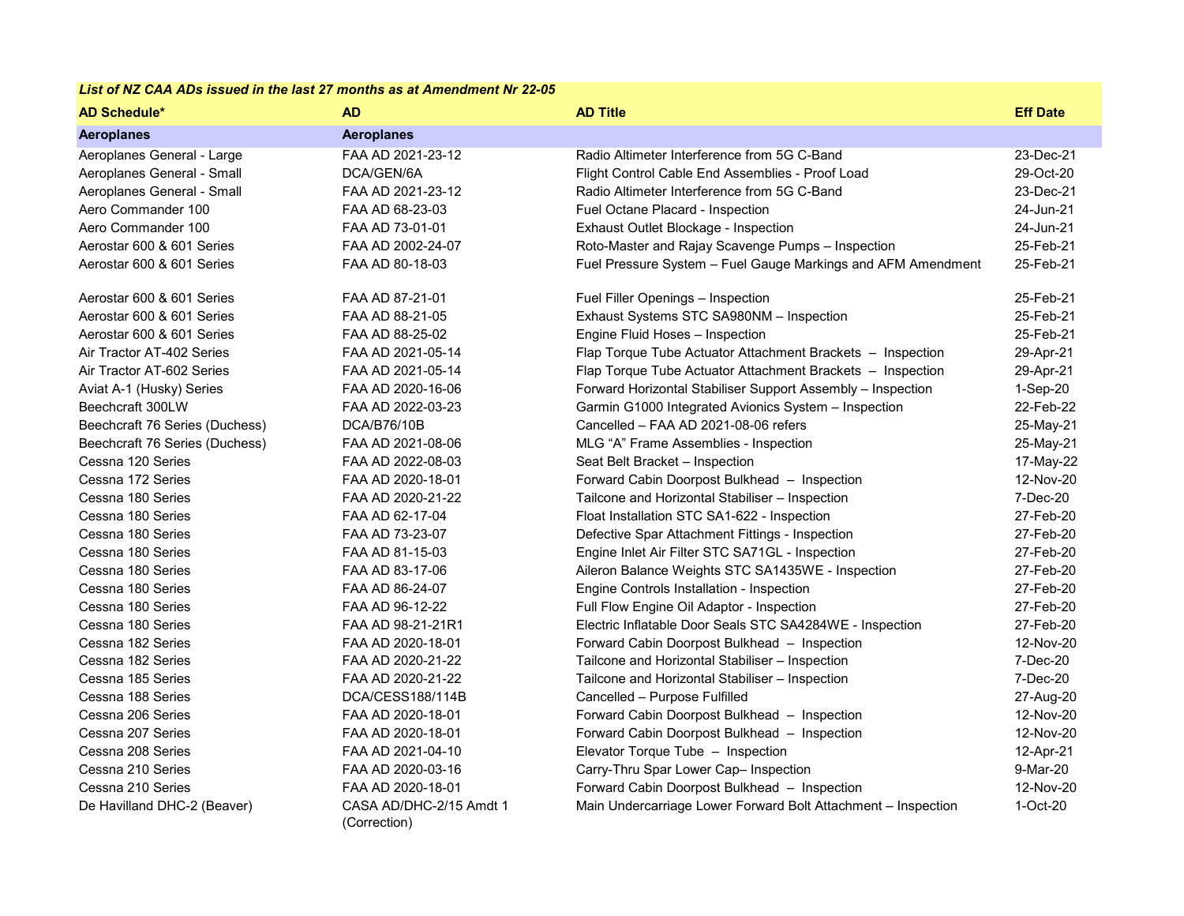## *List of NZ CAA ADs issued in the last 27 months as at Amendment Nr 22-05*

| <b>AD Schedule*</b>            | <b>AD</b>                               | <b>AD Title</b>                                               | <b>Eff Date</b> |
|--------------------------------|-----------------------------------------|---------------------------------------------------------------|-----------------|
| <b>Aeroplanes</b>              | <b>Aeroplanes</b>                       |                                                               |                 |
| Aeroplanes General - Large     | FAA AD 2021-23-12                       | Radio Altimeter Interference from 5G C-Band                   | 23-Dec-21       |
| Aeroplanes General - Small     | DCA/GEN/6A                              | Flight Control Cable End Assemblies - Proof Load              | 29-Oct-20       |
| Aeroplanes General - Small     | FAA AD 2021-23-12                       | Radio Altimeter Interference from 5G C-Band                   | 23-Dec-21       |
| Aero Commander 100             | FAA AD 68-23-03                         | Fuel Octane Placard - Inspection                              | 24-Jun-21       |
| Aero Commander 100             | FAA AD 73-01-01                         | Exhaust Outlet Blockage - Inspection                          | 24-Jun-21       |
| Aerostar 600 & 601 Series      | FAA AD 2002-24-07                       | Roto-Master and Rajay Scavenge Pumps - Inspection             | 25-Feb-21       |
| Aerostar 600 & 601 Series      | FAA AD 80-18-03                         | Fuel Pressure System - Fuel Gauge Markings and AFM Amendment  | 25-Feb-21       |
| Aerostar 600 & 601 Series      | FAA AD 87-21-01                         | Fuel Filler Openings - Inspection                             | 25-Feb-21       |
| Aerostar 600 & 601 Series      | FAA AD 88-21-05                         | Exhaust Systems STC SA980NM - Inspection                      | 25-Feb-21       |
| Aerostar 600 & 601 Series      | FAA AD 88-25-02                         | Engine Fluid Hoses - Inspection                               | 25-Feb-21       |
| Air Tractor AT-402 Series      | FAA AD 2021-05-14                       | Flap Torque Tube Actuator Attachment Brackets - Inspection    | 29-Apr-21       |
| Air Tractor AT-602 Series      | FAA AD 2021-05-14                       | Flap Torque Tube Actuator Attachment Brackets - Inspection    | 29-Apr-21       |
| Aviat A-1 (Husky) Series       | FAA AD 2020-16-06                       | Forward Horizontal Stabiliser Support Assembly - Inspection   | 1-Sep-20        |
| Beechcraft 300LW               | FAA AD 2022-03-23                       | Garmin G1000 Integrated Avionics System - Inspection          | 22-Feb-22       |
| Beechcraft 76 Series (Duchess) | DCA/B76/10B                             | Cancelled - FAA AD 2021-08-06 refers                          | 25-May-21       |
| Beechcraft 76 Series (Duchess) | FAA AD 2021-08-06                       | MLG "A" Frame Assemblies - Inspection                         | 25-May-21       |
| Cessna 120 Series              | FAA AD 2022-08-03                       | Seat Belt Bracket - Inspection                                | 17-May-22       |
| Cessna 172 Series              | FAA AD 2020-18-01                       | Forward Cabin Doorpost Bulkhead - Inspection                  | 12-Nov-20       |
| Cessna 180 Series              | FAA AD 2020-21-22                       | Tailcone and Horizontal Stabiliser - Inspection               | 7-Dec-20        |
| Cessna 180 Series              | FAA AD 62-17-04                         | Float Installation STC SA1-622 - Inspection                   | 27-Feb-20       |
| Cessna 180 Series              | FAA AD 73-23-07                         | Defective Spar Attachment Fittings - Inspection               | 27-Feb-20       |
| Cessna 180 Series              | FAA AD 81-15-03                         | Engine Inlet Air Filter STC SA71GL - Inspection               | 27-Feb-20       |
| Cessna 180 Series              | FAA AD 83-17-06                         | Aileron Balance Weights STC SA1435WE - Inspection             | 27-Feb-20       |
| Cessna 180 Series              | FAA AD 86-24-07                         | Engine Controls Installation - Inspection                     | 27-Feb-20       |
| Cessna 180 Series              | FAA AD 96-12-22                         | Full Flow Engine Oil Adaptor - Inspection                     | 27-Feb-20       |
| Cessna 180 Series              | FAA AD 98-21-21R1                       | Electric Inflatable Door Seals STC SA4284WE - Inspection      | 27-Feb-20       |
| Cessna 182 Series              | FAA AD 2020-18-01                       | Forward Cabin Doorpost Bulkhead - Inspection                  | 12-Nov-20       |
| Cessna 182 Series              | FAA AD 2020-21-22                       | Tailcone and Horizontal Stabiliser - Inspection               | 7-Dec-20        |
| Cessna 185 Series              | FAA AD 2020-21-22                       | Tailcone and Horizontal Stabiliser - Inspection               | 7-Dec-20        |
| Cessna 188 Series              | DCA/CESS188/114B                        | Cancelled - Purpose Fulfilled                                 | 27-Aug-20       |
| Cessna 206 Series              | FAA AD 2020-18-01                       | Forward Cabin Doorpost Bulkhead - Inspection                  | 12-Nov-20       |
| Cessna 207 Series              | FAA AD 2020-18-01                       | Forward Cabin Doorpost Bulkhead - Inspection                  | 12-Nov-20       |
| Cessna 208 Series              | FAA AD 2021-04-10                       | Elevator Torque Tube - Inspection                             | 12-Apr-21       |
| Cessna 210 Series              | FAA AD 2020-03-16                       | Carry-Thru Spar Lower Cap- Inspection                         | 9-Mar-20        |
| Cessna 210 Series              | FAA AD 2020-18-01                       | Forward Cabin Doorpost Bulkhead - Inspection                  | 12-Nov-20       |
| De Havilland DHC-2 (Beaver)    | CASA AD/DHC-2/15 Amdt 1<br>(Correction) | Main Undercarriage Lower Forward Bolt Attachment - Inspection | 1-Oct-20        |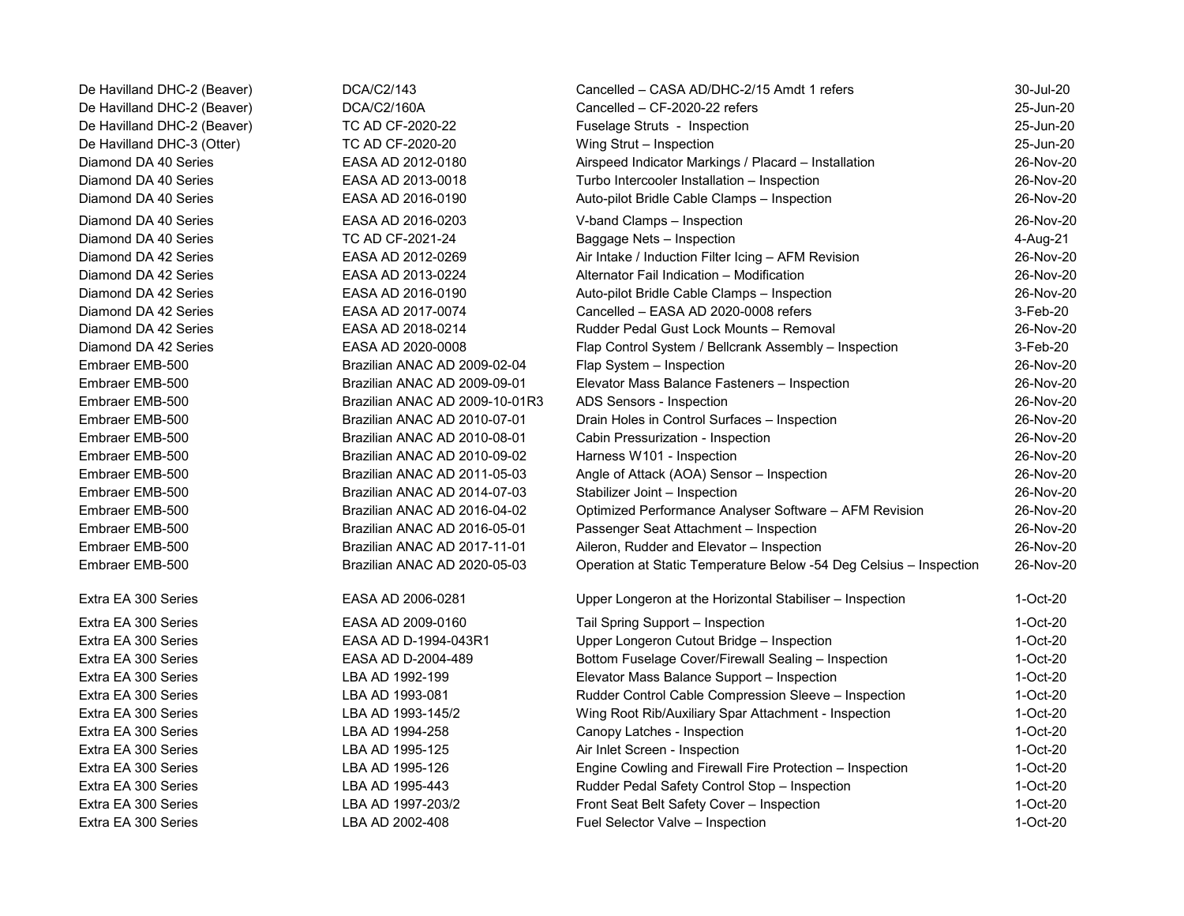De Havilland DHC-2 (Beaver) DCA/C2/143 Cancelled – CASA AD/DHC-2/15 Amdt 1 refers 30-Jul-20 De Havilland DHC-2 (Beaver) DCA/C2/160A Cancelled – CF-2020-22 refers 25-Jun-20 De Havilland DHC-2 (Beaver) TC AD CF-2020-22 Fuselage Struts - Inspection 25-Jun-20 De Havilland DHC-3 (Otter) TC AD CF-2020-20 Wing Strut – Inspection 25-Jun-20 Diamond DA 40 Series EASA AD 2012-0180 Airspeed Indicator Markings / Placard – Installation 26-Nov-20 Diamond DA 40 Series EASA AD 2013-0018 Turbo Intercooler Installation – Inspection 26-Nov-20 Diamond DA 40 Series EASA AD 2016-0190 Auto-pilot Bridle Cable Clamps – Inspection 26-Nov-20 Diamond DA 40 Series EASA AD 2016-0203 V-band Clamps – Inspection 26-Nov-20 Diamond DA 40 Series TC AD CF-2021-24 Baggage Nets – Inspection 4-Aug-21 Diamond DA 42 Series **EASA AD 2012-0269** Air Intake / Induction Filter Icing – AFM Revision 26-Nov-20 Diamond DA 42 Series EASA AD 2013-0224 Alternator Fail Indication – Modification 26-Nov-20 Diamond DA 42 Series EASA AD 2016-0190 Auto-pilot Bridle Cable Clamps – Inspection 26-Nov-20 Diamond DA 42 Series **EASA AD 2017-0074** Cancelled – EASA AD 2020-0008 refers 3-Feb-20 Diamond DA 42 Series **EASA AD 2018-0214** Rudder Pedal Gust Lock Mounts – Removal 26-Nov-20 Diamond DA 42 Series EASA AD 2020-0008 Flap Control System / Bellcrank Assembly – Inspection 3-Feb-20 Embraer EMB-500 Brazilian ANAC AD 2009-02-04 Flap System – Inspection 26-Nov-20 Embraer EMB-500 Brazilian ANAC AD 2009-09-01 Elevator Mass Balance Fasteners – Inspection 26-Nov-20 Embraer EMB-500 Brazilian ANAC AD 2009-10-01R3 ADS Sensors - Inspection 26-Nov-20 Embraer EMB-500 Brazilian ANAC AD 2010-07-01 Drain Holes in Control Surfaces – Inspection 26-Nov-20 Embraer EMB-500 Brazilian ANAC AD 2010-08-01 Cabin Pressurization - Inspection 26-Nov-20 Embraer EMB-500 Brazilian ANAC AD 2010-09-02 Harness W101 - Inspection 26-Nov-20 Embraer EMB-500 Brazilian ANAC AD 2011-05-03 Angle of Attack (AOA) Sensor – Inspection 26-Nov-20 Embraer EMB-500 Brazilian ANAC AD 2014-07-03 Stabilizer Joint – Inspection 26-Nov-20 Embraer EMB-500 Brazilian ANAC AD 2016-04-02 Optimized Performance Analyser Software – AFM Revision 26-Nov-20 Embraer EMB-500 Brazilian ANAC AD 2016-05-01 Passenger Seat Attachment – Inspection 26-Nov-20 Embraer EMB-500 Brazilian ANAC AD 2017-11-01 Aileron, Rudder and Elevator – Inspection 26-Nov-20 Embraer EMB-500 Brazilian ANAC AD 2020-05-03 Operation at Static Temperature Below -54 Deg Celsius – Inspection 26-Nov-20 Extra EA 300 Series EASA AD 2006-0281 Upper Longeron at the Horizontal Stabiliser – Inspection 1-Oct-20 Extra EA 300 Series EASA AD 2009-0160 Tail Spring Support – Inspection 1-Oct-20 Extra EA 300 Series EASA AD D-1994-043R1 Upper Longeron Cutout Bridge – Inspection 1-Oct-20 Extra EA 300 Series EASA AD D-2004-489 Bottom Fuselage Cover/Firewall Sealing – Inspection 1-Oct-20 Extra EA 300 Series LBA AD 1992-199 Elevator Mass Balance Support – Inspection 1-Oct-20 Extra EA 300 Series LBA AD 1993-081 Rudder Control Cable Compression Sleeve – Inspection 1-Oct-20 Extra EA 300 Series LBA AD 1993-145/2 Wing Root Rib/Auxiliary Spar Attachment - Inspection 1-Oct-20 Extra EA 300 Series LBA AD 1994-258 Canopy Latches - Inspection 1-Oct-20 Extra EA 300 Series **LBA AD 1995-125** Air Inlet Screen - Inspection **Air Screen - Inspection** 1-Oct-20 Extra EA 300 Series LBA AD 1995-126 Engine Cowling and Firewall Fire Protection – Inspection 1-Oct-20 Extra EA 300 Series LBA AD 1995-443 Rudder Pedal Safety Control Stop – Inspection 1-Oct-20 Extra EA 300 Series LBA AD 1997-203/2 Front Seat Belt Safety Cover – Inspection 1-Oct-20 Extra EA 300 Series LBA AD 2002-408 Fuel Selector Valve – Inspection 1-Oct-20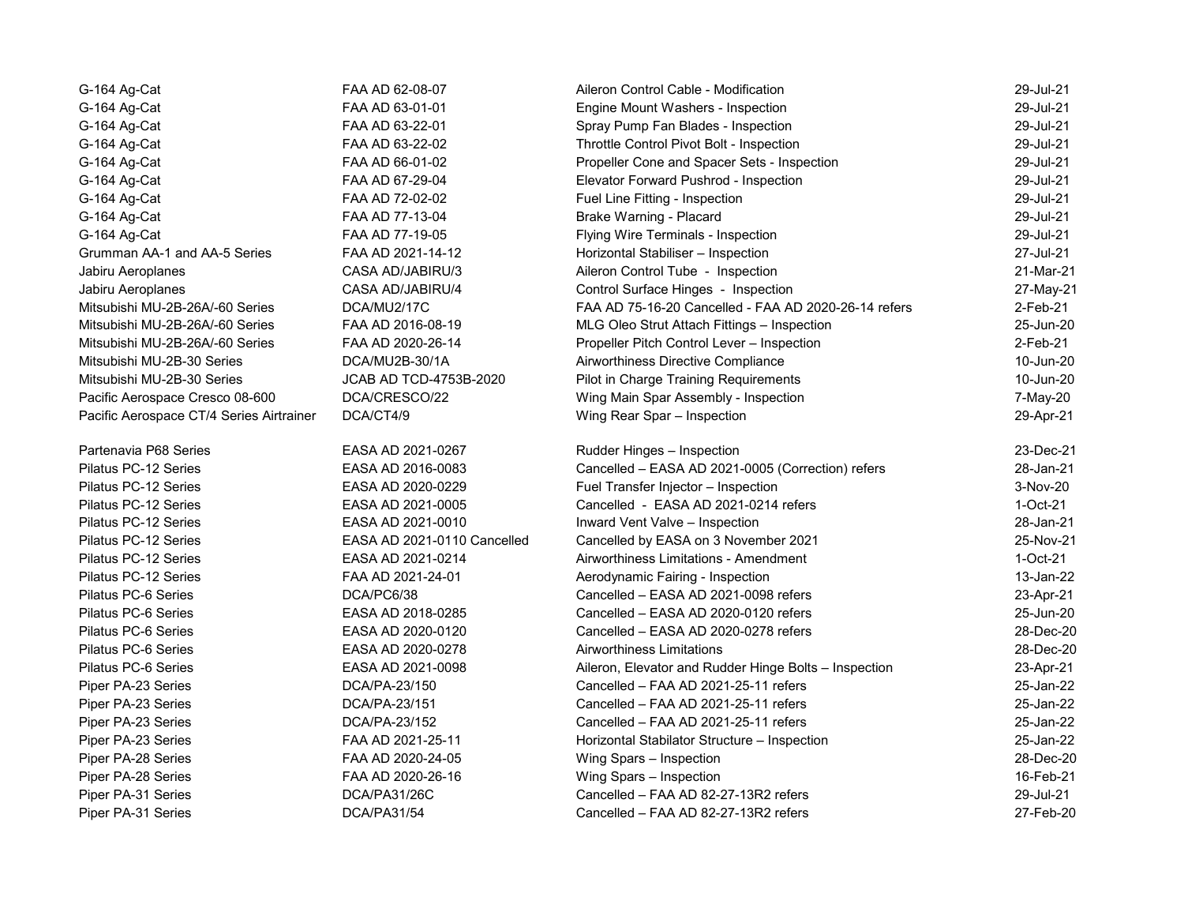| G-164 Ag-Cat                             | FAA AD 62-08-07             | Aileron Control Cable - Modification                  | 29-Jul-21   |
|------------------------------------------|-----------------------------|-------------------------------------------------------|-------------|
| G-164 Ag-Cat                             | FAA AD 63-01-01             | Engine Mount Washers - Inspection                     | 29-Jul-21   |
| G-164 Ag-Cat                             | FAA AD 63-22-01             | Spray Pump Fan Blades - Inspection                    | 29-Jul-21   |
| G-164 Ag-Cat                             | FAA AD 63-22-02             | Throttle Control Pivot Bolt - Inspection              | 29-Jul-21   |
| G-164 Ag-Cat                             | FAA AD 66-01-02             | Propeller Cone and Spacer Sets - Inspection           | 29-Jul-21   |
| G-164 Ag-Cat                             | FAA AD 67-29-04             | Elevator Forward Pushrod - Inspection                 | 29-Jul-21   |
| G-164 Ag-Cat                             | FAA AD 72-02-02             | Fuel Line Fitting - Inspection                        | 29-Jul-21   |
| G-164 Ag-Cat                             | FAA AD 77-13-04             | Brake Warning - Placard                               | 29-Jul-21   |
| G-164 Ag-Cat                             | FAA AD 77-19-05             | Flying Wire Terminals - Inspection                    | 29-Jul-21   |
| Grumman AA-1 and AA-5 Series             | FAA AD 2021-14-12           | Horizontal Stabiliser - Inspection                    | 27-Jul-21   |
| Jabiru Aeroplanes                        | CASA AD/JABIRU/3            | Aileron Control Tube - Inspection                     | 21-Mar-21   |
| Jabiru Aeroplanes                        | CASA AD/JABIRU/4            | Control Surface Hinges - Inspection                   | 27-May-21   |
| Mitsubishi MU-2B-26A/-60 Series          | DCA/MU2/17C                 | FAA AD 75-16-20 Cancelled - FAA AD 2020-26-14 refers  | 2-Feb-21    |
| Mitsubishi MU-2B-26A/-60 Series          | FAA AD 2016-08-19           | MLG Oleo Strut Attach Fittings - Inspection           | 25-Jun-20   |
| Mitsubishi MU-2B-26A/-60 Series          | FAA AD 2020-26-14           | Propeller Pitch Control Lever - Inspection            | $2$ -Feb-21 |
| Mitsubishi MU-2B-30 Series               | DCA/MU2B-30/1A              | Airworthiness Directive Compliance                    | 10-Jun-20   |
| Mitsubishi MU-2B-30 Series               | JCAB AD TCD-4753B-2020      | Pilot in Charge Training Requirements                 | 10-Jun-20   |
| Pacific Aerospace Cresco 08-600          | DCA/CRESCO/22               | Wing Main Spar Assembly - Inspection                  | 7-May-20    |
| Pacific Aerospace CT/4 Series Airtrainer | DCA/CT4/9                   | Wing Rear Spar - Inspection                           | 29-Apr-21   |
| Partenavia P68 Series                    | EASA AD 2021-0267           | Rudder Hinges - Inspection                            | 23-Dec-21   |
| Pilatus PC-12 Series                     | EASA AD 2016-0083           | Cancelled - EASA AD 2021-0005 (Correction) refers     | 28-Jan-21   |
| Pilatus PC-12 Series                     | EASA AD 2020-0229           | Fuel Transfer Injector - Inspection                   | 3-Nov-20    |
| Pilatus PC-12 Series                     | EASA AD 2021-0005           | Cancelled - EASA AD 2021-0214 refers                  | $1-Oct-21$  |
| Pilatus PC-12 Series                     | EASA AD 2021-0010           | Inward Vent Valve - Inspection                        | 28-Jan-21   |
| Pilatus PC-12 Series                     | EASA AD 2021-0110 Cancelled | Cancelled by EASA on 3 November 2021                  | 25-Nov-21   |
| Pilatus PC-12 Series                     | EASA AD 2021-0214           | Airworthiness Limitations - Amendment                 | $1-Oct-21$  |
| Pilatus PC-12 Series                     | FAA AD 2021-24-01           | Aerodynamic Fairing - Inspection                      | 13-Jan-22   |
| Pilatus PC-6 Series                      | DCA/PC6/38                  | Cancelled - EASA AD 2021-0098 refers                  | 23-Apr-21   |
| Pilatus PC-6 Series                      | EASA AD 2018-0285           | Cancelled - EASA AD 2020-0120 refers                  | 25-Jun-20   |
| Pilatus PC-6 Series                      | EASA AD 2020-0120           | Cancelled - EASA AD 2020-0278 refers                  | 28-Dec-20   |
| Pilatus PC-6 Series                      | EASA AD 2020-0278           | Airworthiness Limitations                             | 28-Dec-20   |
| Pilatus PC-6 Series                      | EASA AD 2021-0098           | Aileron, Elevator and Rudder Hinge Bolts - Inspection | 23-Apr-21   |
| Piper PA-23 Series                       | DCA/PA-23/150               | Cancelled - FAA AD 2021-25-11 refers                  | 25-Jan-22   |
| Piper PA-23 Series                       | DCA/PA-23/151               | Cancelled - FAA AD 2021-25-11 refers                  | 25-Jan-22   |
| Piper PA-23 Series                       | DCA/PA-23/152               | Cancelled - FAA AD 2021-25-11 refers                  | 25-Jan-22   |
| Piper PA-23 Series                       | FAA AD 2021-25-11           | Horizontal Stabilator Structure - Inspection          | 25-Jan-22   |
| Piper PA-28 Series                       | FAA AD 2020-24-05           | Wing Spars - Inspection                               | 28-Dec-20   |
| Piper PA-28 Series                       | FAA AD 2020-26-16           | Wing Spars - Inspection                               | 16-Feb-21   |
| Piper PA-31 Series                       | DCA/PA31/26C                | Cancelled - FAA AD 82-27-13R2 refers                  | 29-Jul-21   |
| Piper PA-31 Series                       | DCA/PA31/54                 | Cancelled - FAA AD 82-27-13R2 refers                  | 27-Feb-20   |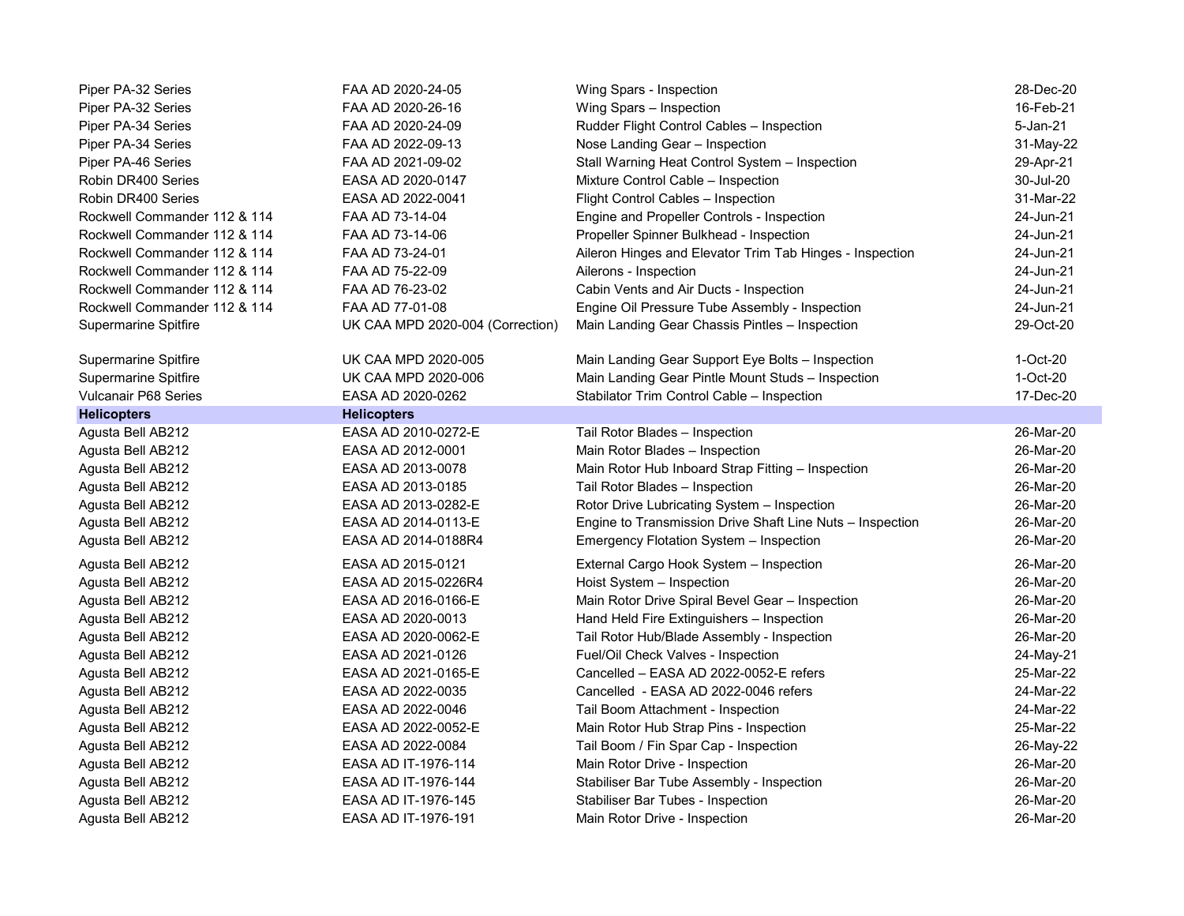| Piper PA-32 Series           | FAA AD 2020-24-05                | Wing Spars - Inspection                                   | 28-Dec-20 |
|------------------------------|----------------------------------|-----------------------------------------------------------|-----------|
| Piper PA-32 Series           | FAA AD 2020-26-16                | Wing Spars - Inspection                                   | 16-Feb-21 |
| Piper PA-34 Series           | FAA AD 2020-24-09                | Rudder Flight Control Cables - Inspection                 | 5-Jan-21  |
| Piper PA-34 Series           | FAA AD 2022-09-13                | Nose Landing Gear - Inspection                            | 31-May-22 |
| Piper PA-46 Series           | FAA AD 2021-09-02                | Stall Warning Heat Control System - Inspection            | 29-Apr-21 |
| Robin DR400 Series           | EASA AD 2020-0147                | Mixture Control Cable - Inspection                        | 30-Jul-20 |
| Robin DR400 Series           | EASA AD 2022-0041                | Flight Control Cables - Inspection                        | 31-Mar-22 |
| Rockwell Commander 112 & 114 | FAA AD 73-14-04                  | Engine and Propeller Controls - Inspection                | 24-Jun-21 |
| Rockwell Commander 112 & 114 | FAA AD 73-14-06                  | Propeller Spinner Bulkhead - Inspection                   | 24-Jun-21 |
| Rockwell Commander 112 & 114 | FAA AD 73-24-01                  | Aileron Hinges and Elevator Trim Tab Hinges - Inspection  | 24-Jun-21 |
| Rockwell Commander 112 & 114 | FAA AD 75-22-09                  | Ailerons - Inspection                                     | 24-Jun-21 |
| Rockwell Commander 112 & 114 | FAA AD 76-23-02                  | Cabin Vents and Air Ducts - Inspection                    | 24-Jun-21 |
| Rockwell Commander 112 & 114 | FAA AD 77-01-08                  | Engine Oil Pressure Tube Assembly - Inspection            | 24-Jun-21 |
| <b>Supermarine Spitfire</b>  | UK CAA MPD 2020-004 (Correction) | Main Landing Gear Chassis Pintles - Inspection            | 29-Oct-20 |
|                              |                                  |                                                           |           |
| Supermarine Spitfire         | <b>UK CAA MPD 2020-005</b>       | Main Landing Gear Support Eye Bolts - Inspection          | 1-Oct-20  |
| <b>Supermarine Spitfire</b>  | UK CAA MPD 2020-006              | Main Landing Gear Pintle Mount Studs - Inspection         | 1-Oct-20  |
| Vulcanair P68 Series         | EASA AD 2020-0262                | Stabilator Trim Control Cable - Inspection                | 17-Dec-20 |
| <b>Helicopters</b>           | <b>Helicopters</b>               |                                                           |           |
| Agusta Bell AB212            | EASA AD 2010-0272-E              | Tail Rotor Blades - Inspection                            | 26-Mar-20 |
| Agusta Bell AB212            | EASA AD 2012-0001                | Main Rotor Blades - Inspection                            | 26-Mar-20 |
| Agusta Bell AB212            | EASA AD 2013-0078                | Main Rotor Hub Inboard Strap Fitting - Inspection         | 26-Mar-20 |
| Agusta Bell AB212            | EASA AD 2013-0185                | Tail Rotor Blades - Inspection                            | 26-Mar-20 |
| Agusta Bell AB212            | EASA AD 2013-0282-E              | Rotor Drive Lubricating System - Inspection               | 26-Mar-20 |
| Agusta Bell AB212            | EASA AD 2014-0113-E              | Engine to Transmission Drive Shaft Line Nuts - Inspection | 26-Mar-20 |
| Agusta Bell AB212            | EASA AD 2014-0188R4              | Emergency Flotation System - Inspection                   | 26-Mar-20 |
| Agusta Bell AB212            | EASA AD 2015-0121                | External Cargo Hook System - Inspection                   | 26-Mar-20 |
| Agusta Bell AB212            | EASA AD 2015-0226R4              | Hoist System - Inspection                                 | 26-Mar-20 |
| Agusta Bell AB212            | EASA AD 2016-0166-E              | Main Rotor Drive Spiral Bevel Gear - Inspection           | 26-Mar-20 |
| Agusta Bell AB212            | EASA AD 2020-0013                | Hand Held Fire Extinguishers - Inspection                 | 26-Mar-20 |
| Agusta Bell AB212            | EASA AD 2020-0062-E              | Tail Rotor Hub/Blade Assembly - Inspection                | 26-Mar-20 |
| Agusta Bell AB212            | EASA AD 2021-0126                | Fuel/Oil Check Valves - Inspection                        | 24-May-21 |
| Agusta Bell AB212            | EASA AD 2021-0165-E              | Cancelled - EASA AD 2022-0052-E refers                    | 25-Mar-22 |
| Agusta Bell AB212            | EASA AD 2022-0035                | Cancelled - EASA AD 2022-0046 refers                      | 24-Mar-22 |
| Agusta Bell AB212            | EASA AD 2022-0046                | Tail Boom Attachment - Inspection                         | 24-Mar-22 |
| Agusta Bell AB212            | EASA AD 2022-0052-E              | Main Rotor Hub Strap Pins - Inspection                    | 25-Mar-22 |
| Agusta Bell AB212            | EASA AD 2022-0084                | Tail Boom / Fin Spar Cap - Inspection                     | 26-May-22 |
| Agusta Bell AB212            | EASA AD IT-1976-114              | Main Rotor Drive - Inspection                             | 26-Mar-20 |
| Agusta Bell AB212            | EASA AD IT-1976-144              | Stabiliser Bar Tube Assembly - Inspection                 | 26-Mar-20 |
| Agusta Bell AB212            | EASA AD IT-1976-145              | Stabiliser Bar Tubes - Inspection                         | 26-Mar-20 |
| Agusta Bell AB212            | EASA AD IT-1976-191              | Main Rotor Drive - Inspection                             | 26-Mar-20 |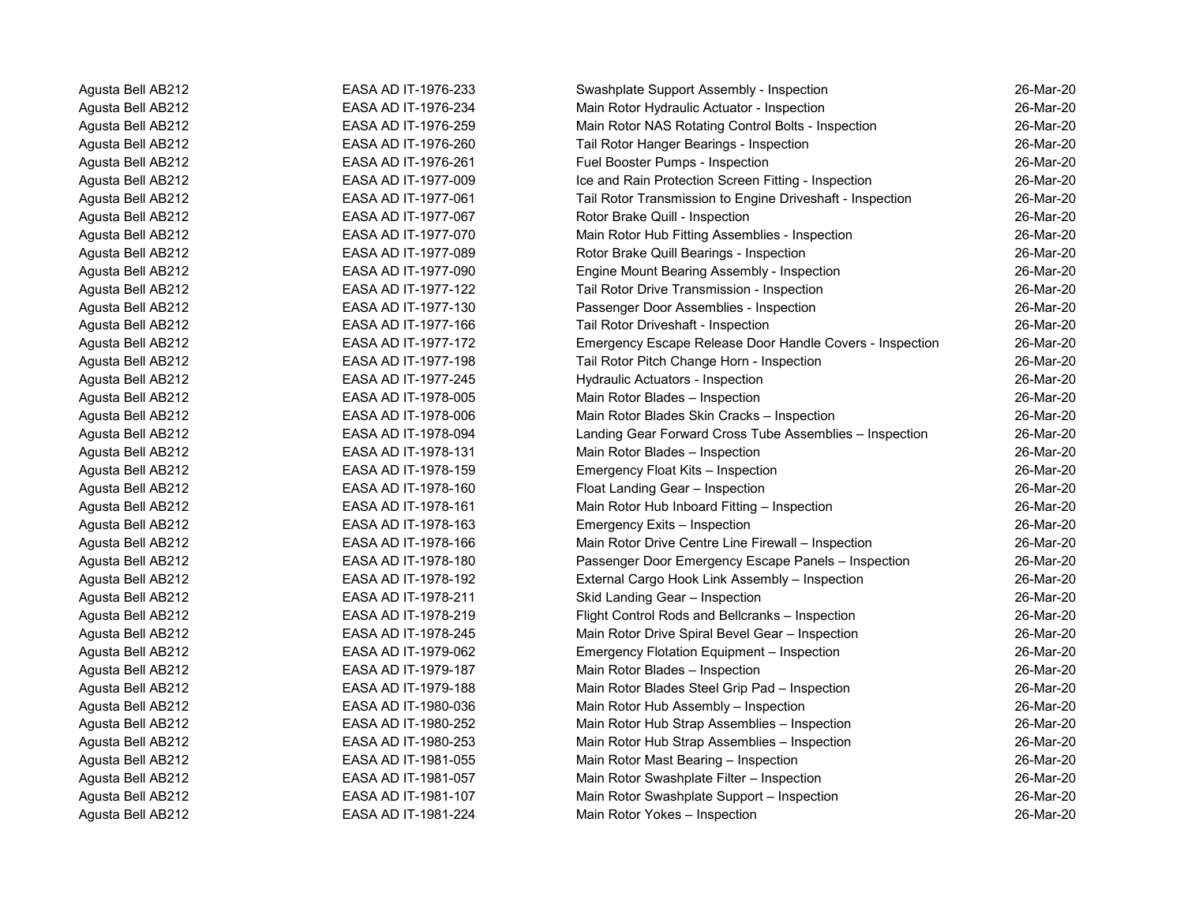| Agusta Bell AB212 | EASA AD IT-1976-233 | Swashplate Support Assembly - Inspection                  | 26-Mar-20 |
|-------------------|---------------------|-----------------------------------------------------------|-----------|
| Agusta Bell AB212 | EASA AD IT-1976-234 | Main Rotor Hydraulic Actuator - Inspection                | 26-Mar-20 |
| Agusta Bell AB212 | EASA AD IT-1976-259 | Main Rotor NAS Rotating Control Bolts - Inspection        | 26-Mar-20 |
| Agusta Bell AB212 | EASA AD IT-1976-260 | Tail Rotor Hanger Bearings - Inspection                   | 26-Mar-20 |
| Agusta Bell AB212 | EASA AD IT-1976-261 | Fuel Booster Pumps - Inspection                           | 26-Mar-20 |
| Agusta Bell AB212 | EASA AD IT-1977-009 | Ice and Rain Protection Screen Fitting - Inspection       | 26-Mar-20 |
| Agusta Bell AB212 | EASA AD IT-1977-061 | Tail Rotor Transmission to Engine Driveshaft - Inspection | 26-Mar-20 |
| Agusta Bell AB212 | EASA AD IT-1977-067 | Rotor Brake Quill - Inspection                            | 26-Mar-20 |
| Agusta Bell AB212 | EASA AD IT-1977-070 | Main Rotor Hub Fitting Assemblies - Inspection            | 26-Mar-20 |
| Agusta Bell AB212 | EASA AD IT-1977-089 | Rotor Brake Quill Bearings - Inspection                   | 26-Mar-20 |
| Agusta Bell AB212 | EASA AD IT-1977-090 | Engine Mount Bearing Assembly - Inspection                | 26-Mar-20 |
| Agusta Bell AB212 | EASA AD IT-1977-122 | Tail Rotor Drive Transmission - Inspection                | 26-Mar-20 |
| Agusta Bell AB212 | EASA AD IT-1977-130 | Passenger Door Assemblies - Inspection                    | 26-Mar-20 |
| Agusta Bell AB212 | EASA AD IT-1977-166 | Tail Rotor Driveshaft - Inspection                        | 26-Mar-20 |
| Agusta Bell AB212 | EASA AD IT-1977-172 | Emergency Escape Release Door Handle Covers - Inspection  | 26-Mar-20 |
| Agusta Bell AB212 | EASA AD IT-1977-198 | Tail Rotor Pitch Change Horn - Inspection                 | 26-Mar-20 |
| Agusta Bell AB212 | EASA AD IT-1977-245 | Hydraulic Actuators - Inspection                          | 26-Mar-20 |
| Agusta Bell AB212 | EASA AD IT-1978-005 | Main Rotor Blades - Inspection                            | 26-Mar-20 |
| Agusta Bell AB212 | EASA AD IT-1978-006 | Main Rotor Blades Skin Cracks - Inspection                | 26-Mar-20 |
| Agusta Bell AB212 | EASA AD IT-1978-094 | Landing Gear Forward Cross Tube Assemblies - Inspection   | 26-Mar-20 |
| Agusta Bell AB212 | EASA AD IT-1978-131 | Main Rotor Blades - Inspection                            | 26-Mar-20 |
| Agusta Bell AB212 | EASA AD IT-1978-159 | Emergency Float Kits - Inspection                         | 26-Mar-20 |
| Agusta Bell AB212 | EASA AD IT-1978-160 | Float Landing Gear - Inspection                           | 26-Mar-20 |
| Agusta Bell AB212 | EASA AD IT-1978-161 | Main Rotor Hub Inboard Fitting - Inspection               | 26-Mar-20 |
| Agusta Bell AB212 | EASA AD IT-1978-163 | Emergency Exits - Inspection                              | 26-Mar-20 |
| Agusta Bell AB212 | EASA AD IT-1978-166 | Main Rotor Drive Centre Line Firewall - Inspection        | 26-Mar-20 |
| Agusta Bell AB212 | EASA AD IT-1978-180 | Passenger Door Emergency Escape Panels - Inspection       | 26-Mar-20 |
| Agusta Bell AB212 | EASA AD IT-1978-192 | External Cargo Hook Link Assembly - Inspection            | 26-Mar-20 |
| Agusta Bell AB212 | EASA AD IT-1978-211 | Skid Landing Gear - Inspection                            | 26-Mar-20 |
| Agusta Bell AB212 | EASA AD IT-1978-219 | Flight Control Rods and Bellcranks - Inspection           | 26-Mar-20 |
| Agusta Bell AB212 | EASA AD IT-1978-245 | Main Rotor Drive Spiral Bevel Gear - Inspection           | 26-Mar-20 |
| Agusta Bell AB212 | EASA AD IT-1979-062 | Emergency Flotation Equipment - Inspection                | 26-Mar-20 |
| Agusta Bell AB212 | EASA AD IT-1979-187 | Main Rotor Blades - Inspection                            | 26-Mar-20 |
| Agusta Bell AB212 | EASA AD IT-1979-188 | Main Rotor Blades Steel Grip Pad - Inspection             | 26-Mar-20 |
| Agusta Bell AB212 | EASA AD IT-1980-036 | Main Rotor Hub Assembly - Inspection                      | 26-Mar-20 |
| Agusta Bell AB212 | EASA AD IT-1980-252 | Main Rotor Hub Strap Assemblies - Inspection              | 26-Mar-20 |
| Agusta Bell AB212 | EASA AD IT-1980-253 | Main Rotor Hub Strap Assemblies - Inspection              | 26-Mar-20 |
| Agusta Bell AB212 | EASA AD IT-1981-055 | Main Rotor Mast Bearing - Inspection                      | 26-Mar-20 |
| Agusta Bell AB212 | EASA AD IT-1981-057 | Main Rotor Swashplate Filter - Inspection                 | 26-Mar-20 |
| Agusta Bell AB212 | EASA AD IT-1981-107 | Main Rotor Swashplate Support - Inspection                | 26-Mar-20 |
| Agusta Bell AB212 | EASA AD IT-1981-224 | Main Rotor Yokes - Inspection                             | 26-Mar-20 |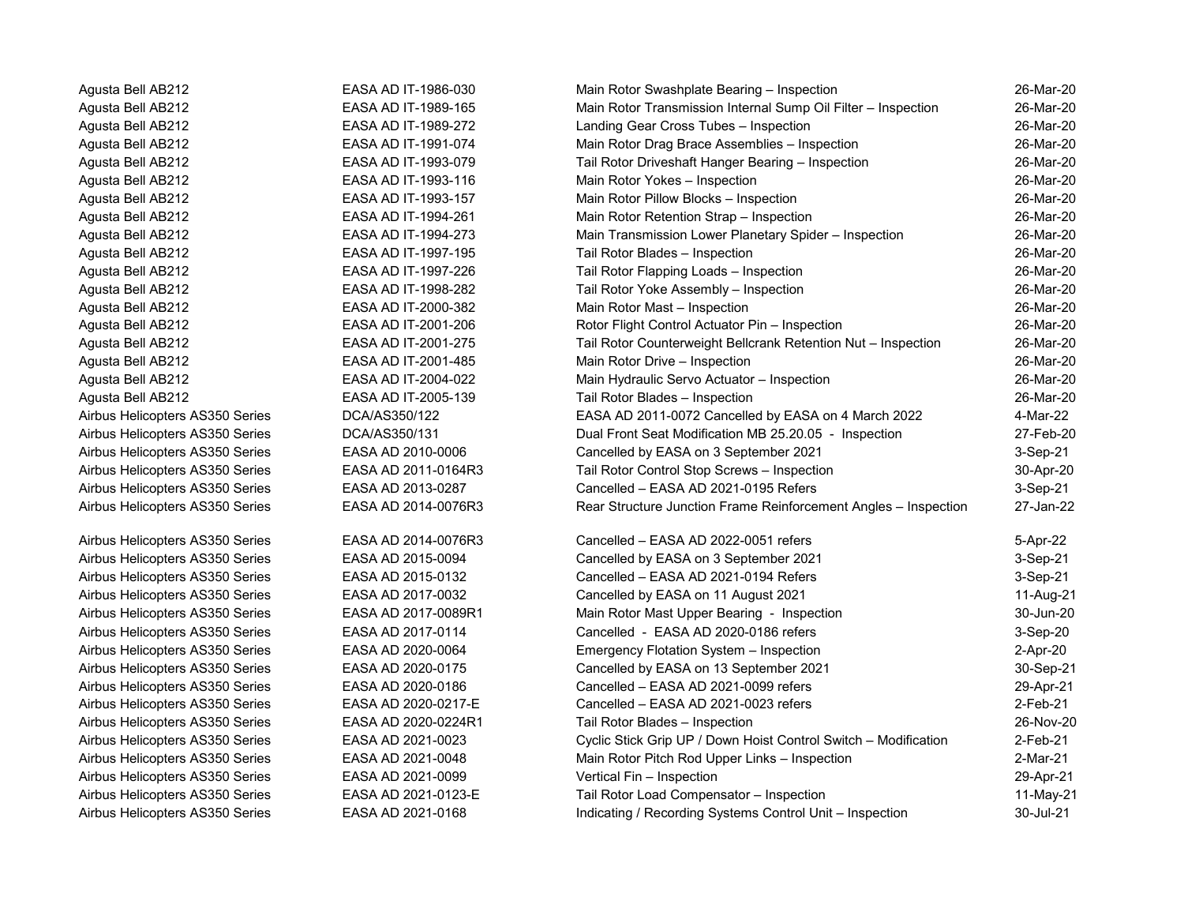Agusta Bell AB212 EASA AD IT-1986-030 Main Rotor Swashplate Bearing – Inspection 26-Mar-20

Agusta Bell AB212 **EASA AD IT-1989-165** Main Rotor Transmission Internal Sump Oil Filter – Inspection 26-Mar-20 Agusta Bell AB212 EASA AD IT-1989-272 Landing Gear Cross Tubes – Inspection 26-Mar-20 Agusta Bell AB212 EASA AD IT-1991-074 Main Rotor Drag Brace Assemblies – Inspection 26-Mar-20 Agusta Bell AB212 EASA AD IT-1993-079 Tail Rotor Driveshaft Hanger Bearing – Inspection 26-Mar-20 Agusta Bell AB212 EASA AD IT-1993-116 Main Rotor Yokes – Inspection 26-Mar-20 Agusta Bell AB212 EASA AD IT-1993-157 Main Rotor Pillow Blocks – Inspection 26-Mar-20 Agusta Bell AB212 EASA AD IT-1994-261 Main Rotor Retention Strap – Inspection 26-Mar-20 Agusta Bell AB212 EASA AD IT-1994-273 Main Transmission Lower Planetary Spider – Inspection 26-Mar-20 Agusta Bell AB212 EASA AD IT-1997-195 Tail Rotor Blades – Inspection 26-Mar-20 Agusta Bell AB212 EASA AD IT-1997-226 Tail Rotor Flapping Loads – Inspection 26-Mar-20 Agusta Bell AB212 EASA AD IT-1998-282 Tail Rotor Yoke Assembly – Inspection 26-Mar-20 Agusta Bell AB212 EASA AD IT-2000-382 Main Rotor Mast – Inspection 26-Mar-20 Agusta Bell AB212 **EASA AD IT-2001-206** Rotor Flight Control Actuator Pin – Inspection 26-Mar-20 Agusta Bell AB212 EASA AD IT-2001-275 Tail Rotor Counterweight Bellcrank Retention Nut – Inspection 26-Mar-20 Agusta Bell AB212 EASA AD IT-2001-485 Main Rotor Drive – Inspection 26-Mar-20 Agusta Bell AB212 EASA AD IT-2004-022 Main Hydraulic Servo Actuator – Inspection 26-Mar-20 Agusta Bell AB212 EASA AD IT-2005-139 Tail Rotor Blades – Inspection 26-Mar-20 Airbus Helicopters AS350 Series DCA/AS350/122 EASA AD 2011-0072 Cancelled by EASA on 4 March 2022 4-Mar-22 Airbus Helicopters AS350 Series DCA/AS350/131 Dual Front Seat Modification MB 25.20.05 - Inspection 27-Feb-20 Airbus Helicopters AS350 Series EASA AD 2010-0006 Cancelled by EASA on 3 September 2021 3-Sep-21 Airbus Helicopters AS350 Series EASA AD 2011-0164R3 Tail Rotor Control Stop Screws – Inspection 30-Apr-20 Airbus Helicopters AS350 Series **EASA AD 2013-0287** Cancelled – EASA AD 2021-0195 Refers 3-Sep-21 Airbus Helicopters AS350 Series EASA AD 2014-0076R3 Rear Structure Junction Frame Reinforcement Angles – Inspection 27-Jan-22 Airbus Helicopters AS350 Series EASA AD 2014-0076R3 Cancelled – EASA AD 2022-0051 refers 5-Apr-22 Airbus Helicopters AS350 Series EASA AD 2015-0094 Cancelled by EASA on 3 September 2021 3-Sep-21 Airbus Helicopters AS350 Series **EASA AD 2015-0132** Cancelled – EASA AD 2021-0194 Refers 3-Sep-21 Airbus Helicopters AS350 Series **EASA AD 2017-0032** Cancelled by EASA on 11 August 2021 11-Aug-21 Airbus Helicopters AS350 Series EASA AD 2017-0089R1 Main Rotor Mast Upper Bearing - Inspection 30-Jun-20 Airbus Helicopters AS350 Series **EASA AD 2017-0114** Cancelled - EASA AD 2020-0186 refers 3-Sep-20 Airbus Helicopters AS350 Series EASA AD 2020-0064 Emergency Flotation System – Inspection 2-Apr-20 Airbus Helicopters AS350 Series EASA AD 2020-0175 Cancelled by EASA on 13 September 2021 30-Sep-21 Airbus Helicopters AS350 Series EASA AD 2020-0186 Cancelled – EASA AD 2021-0099 refers 29-Apr-21 Airbus Helicopters AS350 Series EASA AD 2020-0217-E Cancelled – EASA AD 2021-0023 refers 2-Feb-21 Airbus Helicopters AS350 Series EASA AD 2020-0224R1 Tail Rotor Blades – Inspection 26-Nov-20 Airbus Helicopters AS350 Series EASA AD 2021-0023 Cyclic Stick Grip UP / Down Hoist Control Switch – Modification 2-Feb-21 Airbus Helicopters AS350 Series EASA AD 2021-0048 Main Rotor Pitch Rod Upper Links – Inspection 2-Mar-21 Airbus Helicopters AS350 Series EASA AD 2021-0099 Vertical Fin – Inspection 29-Apr-21 Airbus Helicopters AS350 Series EASA AD 2021-0123-E Tail Rotor Load Compensator – Inspection 11-May-21 Airbus Helicopters AS350 Series EASA AD 2021-0168 Indicating / Recording Systems Control Unit – Inspection 30-Jul-21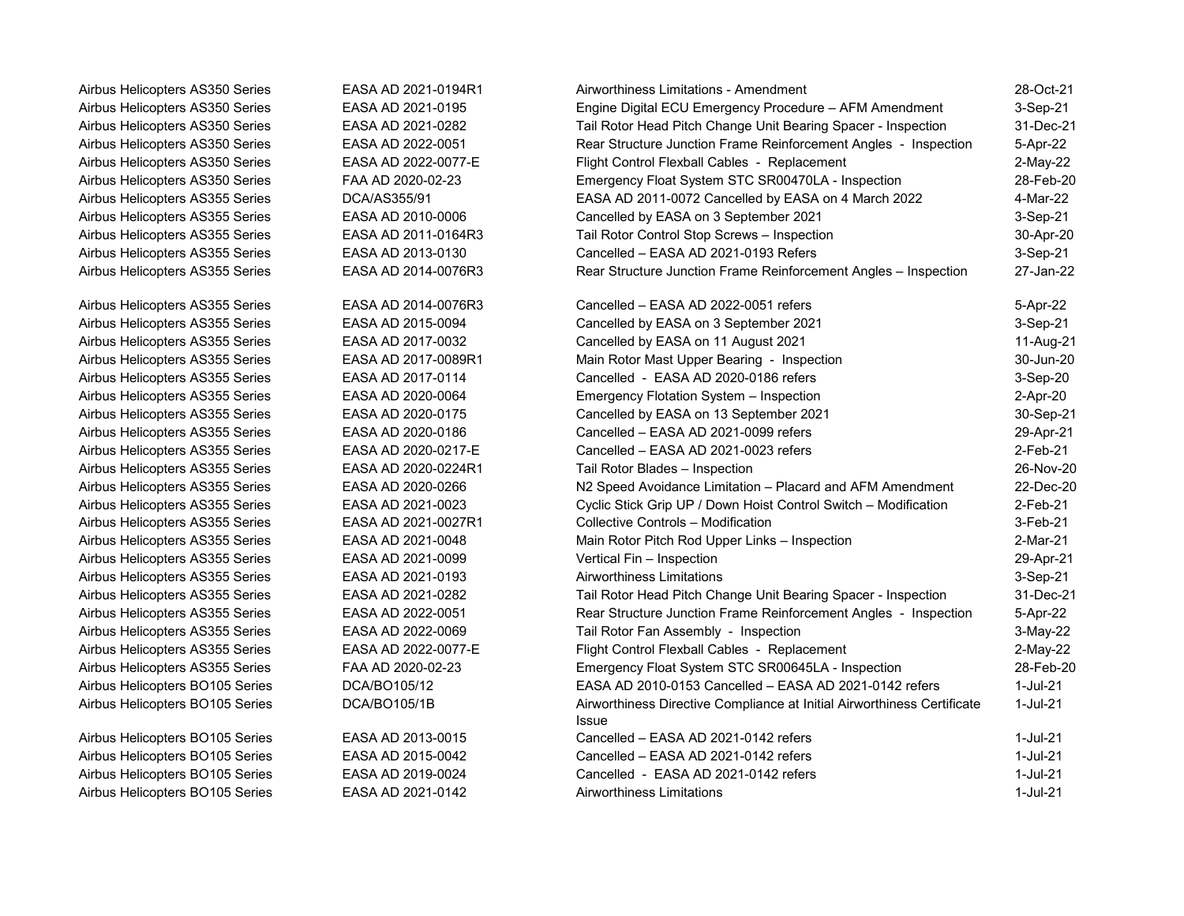Airbus Helicopters BO105 Series EASA AD 2013-0015 Airbus Helicopters BO105 Series EASA AD 2015-0042 Airbus Helicopters BO105 Series EASA AD 2019-0024 Airbus Helicopters BO105 Series EASA AD 2021-0142

| Airbus Helicopters AS350 Series | EASA AD 2021-0194R1 | Airworthiness Limitations - Amendment                                                   | 28-Oct-21   |
|---------------------------------|---------------------|-----------------------------------------------------------------------------------------|-------------|
| Airbus Helicopters AS350 Series | EASA AD 2021-0195   | Engine Digital ECU Emergency Procedure - AFM Amendment                                  | 3-Sep-21    |
| Airbus Helicopters AS350 Series | EASA AD 2021-0282   | Tail Rotor Head Pitch Change Unit Bearing Spacer - Inspection                           | 31-Dec-21   |
| Airbus Helicopters AS350 Series | EASA AD 2022-0051   | Rear Structure Junction Frame Reinforcement Angles - Inspection                         | 5-Apr-22    |
| Airbus Helicopters AS350 Series | EASA AD 2022-0077-E | Flight Control Flexball Cables - Replacement                                            | $2-May-22$  |
| Airbus Helicopters AS350 Series | FAA AD 2020-02-23   | Emergency Float System STC SR00470LA - Inspection                                       | 28-Feb-20   |
| Airbus Helicopters AS355 Series | DCA/AS355/91        | EASA AD 2011-0072 Cancelled by EASA on 4 March 2022                                     | 4-Mar-22    |
| Airbus Helicopters AS355 Series | EASA AD 2010-0006   | Cancelled by EASA on 3 September 2021                                                   | $3-Sep-21$  |
| Airbus Helicopters AS355 Series | EASA AD 2011-0164R3 | Tail Rotor Control Stop Screws - Inspection                                             | 30-Apr-20   |
| Airbus Helicopters AS355 Series | EASA AD 2013-0130   | Cancelled - EASA AD 2021-0193 Refers                                                    | $3-Sep-21$  |
| Airbus Helicopters AS355 Series | EASA AD 2014-0076R3 | Rear Structure Junction Frame Reinforcement Angles - Inspection                         | 27-Jan-22   |
| Airbus Helicopters AS355 Series | EASA AD 2014-0076R3 | Cancelled - EASA AD 2022-0051 refers                                                    | 5-Apr-22    |
| Airbus Helicopters AS355 Series | EASA AD 2015-0094   | Cancelled by EASA on 3 September 2021                                                   | 3-Sep-21    |
| Airbus Helicopters AS355 Series | EASA AD 2017-0032   | Cancelled by EASA on 11 August 2021                                                     | 11-Aug-21   |
| Airbus Helicopters AS355 Series | EASA AD 2017-0089R1 | Main Rotor Mast Upper Bearing - Inspection                                              | 30-Jun-20   |
| Airbus Helicopters AS355 Series | EASA AD 2017-0114   | Cancelled - EASA AD 2020-0186 refers                                                    | 3-Sep-20    |
| Airbus Helicopters AS355 Series | EASA AD 2020-0064   | Emergency Flotation System - Inspection                                                 | 2-Apr-20    |
| Airbus Helicopters AS355 Series | EASA AD 2020-0175   | Cancelled by EASA on 13 September 2021                                                  | 30-Sep-21   |
| Airbus Helicopters AS355 Series | EASA AD 2020-0186   | Cancelled - EASA AD 2021-0099 refers                                                    | 29-Apr-21   |
| Airbus Helicopters AS355 Series | EASA AD 2020-0217-E | Cancelled - EASA AD 2021-0023 refers                                                    | $2$ -Feb-21 |
| Airbus Helicopters AS355 Series | EASA AD 2020-0224R1 | Tail Rotor Blades - Inspection                                                          | 26-Nov-20   |
| Airbus Helicopters AS355 Series | EASA AD 2020-0266   | N2 Speed Avoidance Limitation - Placard and AFM Amendment                               | 22-Dec-20   |
| Airbus Helicopters AS355 Series | EASA AD 2021-0023   | Cyclic Stick Grip UP / Down Hoist Control Switch - Modification                         | $2$ -Feb-21 |
| Airbus Helicopters AS355 Series | EASA AD 2021-0027R1 | Collective Controls - Modification                                                      | $3-Feb-21$  |
| Airbus Helicopters AS355 Series | EASA AD 2021-0048   | Main Rotor Pitch Rod Upper Links - Inspection                                           | 2-Mar-21    |
| Airbus Helicopters AS355 Series | EASA AD 2021-0099   | Vertical Fin - Inspection                                                               | 29-Apr-21   |
| Airbus Helicopters AS355 Series | EASA AD 2021-0193   | Airworthiness Limitations                                                               | 3-Sep-21    |
| Airbus Helicopters AS355 Series | EASA AD 2021-0282   | Tail Rotor Head Pitch Change Unit Bearing Spacer - Inspection                           | 31-Dec-21   |
| Airbus Helicopters AS355 Series | EASA AD 2022-0051   | Rear Structure Junction Frame Reinforcement Angles - Inspection                         | 5-Apr-22    |
| Airbus Helicopters AS355 Series | EASA AD 2022-0069   | Tail Rotor Fan Assembly - Inspection                                                    | 3-May-22    |
| Airbus Helicopters AS355 Series | EASA AD 2022-0077-E | Flight Control Flexball Cables - Replacement                                            | 2-May-22    |
| Airbus Helicopters AS355 Series | FAA AD 2020-02-23   | Emergency Float System STC SR00645LA - Inspection                                       | 28-Feb-20   |
| Airbus Helicopters BO105 Series | DCA/BO105/12        | EASA AD 2010-0153 Cancelled - EASA AD 2021-0142 refers                                  | 1-Jul-21    |
| Airbus Helicopters BO105 Series | DCA/BO105/1B        | Airworthiness Directive Compliance at Initial Airworthiness Certificate<br><b>Issue</b> | $1$ -Jul-21 |
| Airbus Helicopters BO105 Series | EASA AD 2013-0015   | Cancelled - EASA AD 2021-0142 refers                                                    | 1-Jul-21    |
| Airbus Helicopters BO105 Series | EASA AD 2015-0042   | Cancelled - EASA AD 2021-0142 refers                                                    | 1-Jul-21    |
| Airbus Helicopters BO105 Series | EASA AD 2019-0024   | Cancelled - EASA AD 2021-0142 refers                                                    | $1$ -Jul-21 |
| Airbus Helicopters BO105 Series | EASA AD 2021-0142   | Airworthiness Limitations                                                               | 1-Jul-21    |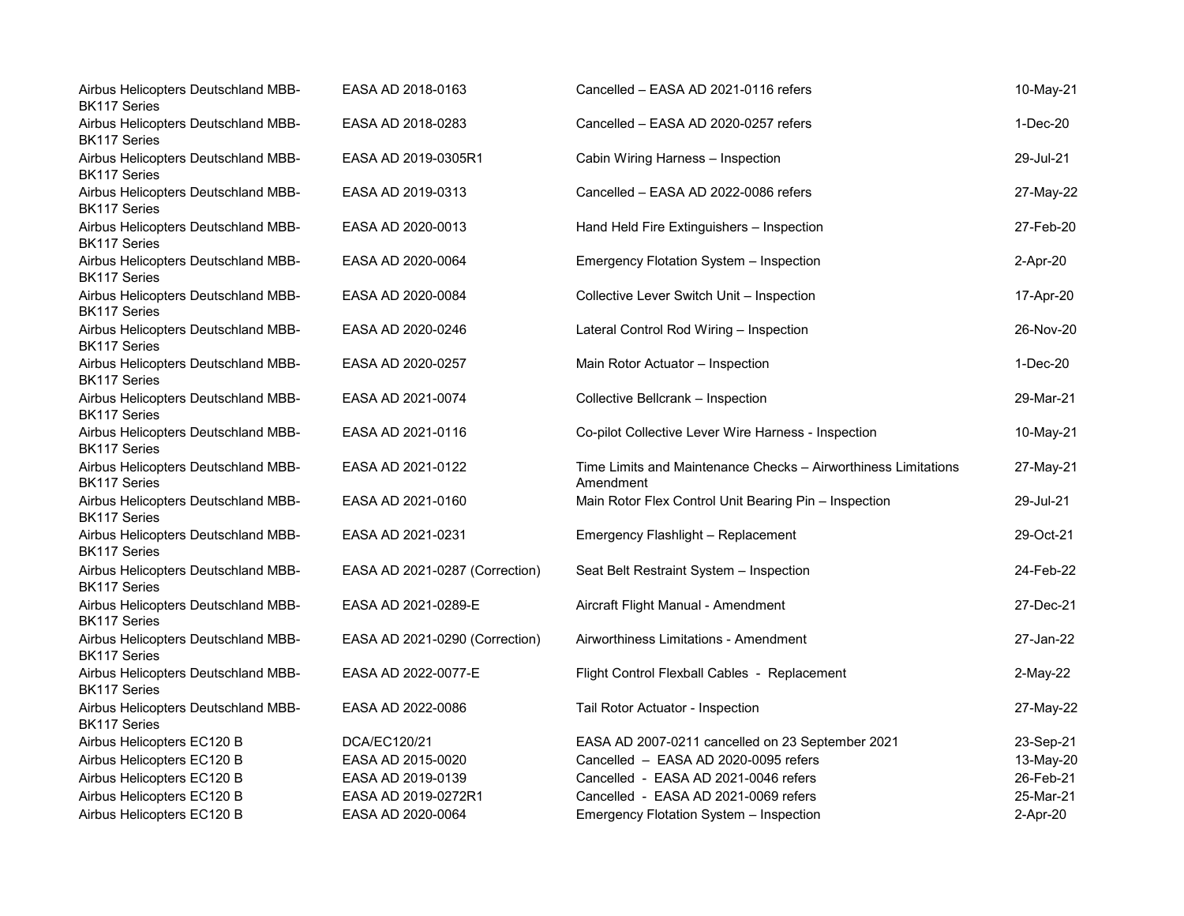| Airbus Helicopters Deutschland MBB-<br><b>BK117 Series</b> | EASA AD 2018-0163              | Cancelled - EASA AD 2021-0116 refers                                        | 10-May-21  |
|------------------------------------------------------------|--------------------------------|-----------------------------------------------------------------------------|------------|
| Airbus Helicopters Deutschland MBB-<br><b>BK117 Series</b> | EASA AD 2018-0283              | Cancelled - EASA AD 2020-0257 refers                                        | $1-Dec-20$ |
| Airbus Helicopters Deutschland MBB-<br><b>BK117 Series</b> | EASA AD 2019-0305R1            | Cabin Wiring Harness - Inspection                                           | 29-Jul-21  |
| Airbus Helicopters Deutschland MBB-<br><b>BK117 Series</b> | EASA AD 2019-0313              | Cancelled - EASA AD 2022-0086 refers                                        | 27-May-22  |
| Airbus Helicopters Deutschland MBB-<br><b>BK117 Series</b> | EASA AD 2020-0013              | Hand Held Fire Extinguishers - Inspection                                   | 27-Feb-20  |
| Airbus Helicopters Deutschland MBB-<br>BK117 Series        | EASA AD 2020-0064              | Emergency Flotation System - Inspection                                     | 2-Apr-20   |
| Airbus Helicopters Deutschland MBB-<br><b>BK117 Series</b> | EASA AD 2020-0084              | Collective Lever Switch Unit - Inspection                                   | 17-Apr-20  |
| Airbus Helicopters Deutschland MBB-<br><b>BK117 Series</b> | EASA AD 2020-0246              | Lateral Control Rod Wiring - Inspection                                     | 26-Nov-20  |
| Airbus Helicopters Deutschland MBB-<br><b>BK117 Series</b> | EASA AD 2020-0257              | Main Rotor Actuator - Inspection                                            | $1-Dec-20$ |
| Airbus Helicopters Deutschland MBB-<br><b>BK117 Series</b> | EASA AD 2021-0074              | Collective Bellcrank - Inspection                                           | 29-Mar-21  |
| Airbus Helicopters Deutschland MBB-<br><b>BK117 Series</b> | EASA AD 2021-0116              | Co-pilot Collective Lever Wire Harness - Inspection                         | 10-May-21  |
| Airbus Helicopters Deutschland MBB-<br><b>BK117 Series</b> | EASA AD 2021-0122              | Time Limits and Maintenance Checks - Airworthiness Limitations<br>Amendment | 27-May-21  |
| Airbus Helicopters Deutschland MBB-<br><b>BK117 Series</b> | EASA AD 2021-0160              | Main Rotor Flex Control Unit Bearing Pin - Inspection                       | 29-Jul-21  |
| Airbus Helicopters Deutschland MBB-<br><b>BK117 Series</b> | EASA AD 2021-0231              | Emergency Flashlight - Replacement                                          | 29-Oct-21  |
| Airbus Helicopters Deutschland MBB-<br><b>BK117 Series</b> | EASA AD 2021-0287 (Correction) | Seat Belt Restraint System - Inspection                                     | 24-Feb-22  |
| Airbus Helicopters Deutschland MBB-<br><b>BK117 Series</b> | EASA AD 2021-0289-E            | Aircraft Flight Manual - Amendment                                          | 27-Dec-21  |
| Airbus Helicopters Deutschland MBB-<br><b>BK117 Series</b> | EASA AD 2021-0290 (Correction) | Airworthiness Limitations - Amendment                                       | 27-Jan-22  |
| Airbus Helicopters Deutschland MBB-<br><b>BK117 Series</b> | EASA AD 2022-0077-E            | Flight Control Flexball Cables - Replacement                                | 2-May-22   |
| Airbus Helicopters Deutschland MBB-<br><b>BK117 Series</b> | EASA AD 2022-0086              | Tail Rotor Actuator - Inspection                                            | 27-May-22  |
| Airbus Helicopters EC120 B                                 | DCA/EC120/21                   | EASA AD 2007-0211 cancelled on 23 September 2021                            | 23-Sep-21  |
| Airbus Helicopters EC120 B                                 | EASA AD 2015-0020              | Cancelled - EASA AD 2020-0095 refers                                        | 13-May-20  |
| Airbus Helicopters EC120 B                                 | EASA AD 2019-0139              | Cancelled - EASA AD 2021-0046 refers                                        | 26-Feb-21  |
| Airbus Helicopters EC120 B                                 | EASA AD 2019-0272R1            | Cancelled - EASA AD 2021-0069 refers                                        | 25-Mar-21  |
| Airbus Helicopters EC120 B                                 | EASA AD 2020-0064              | Emergency Flotation System - Inspection                                     | 2-Apr-20   |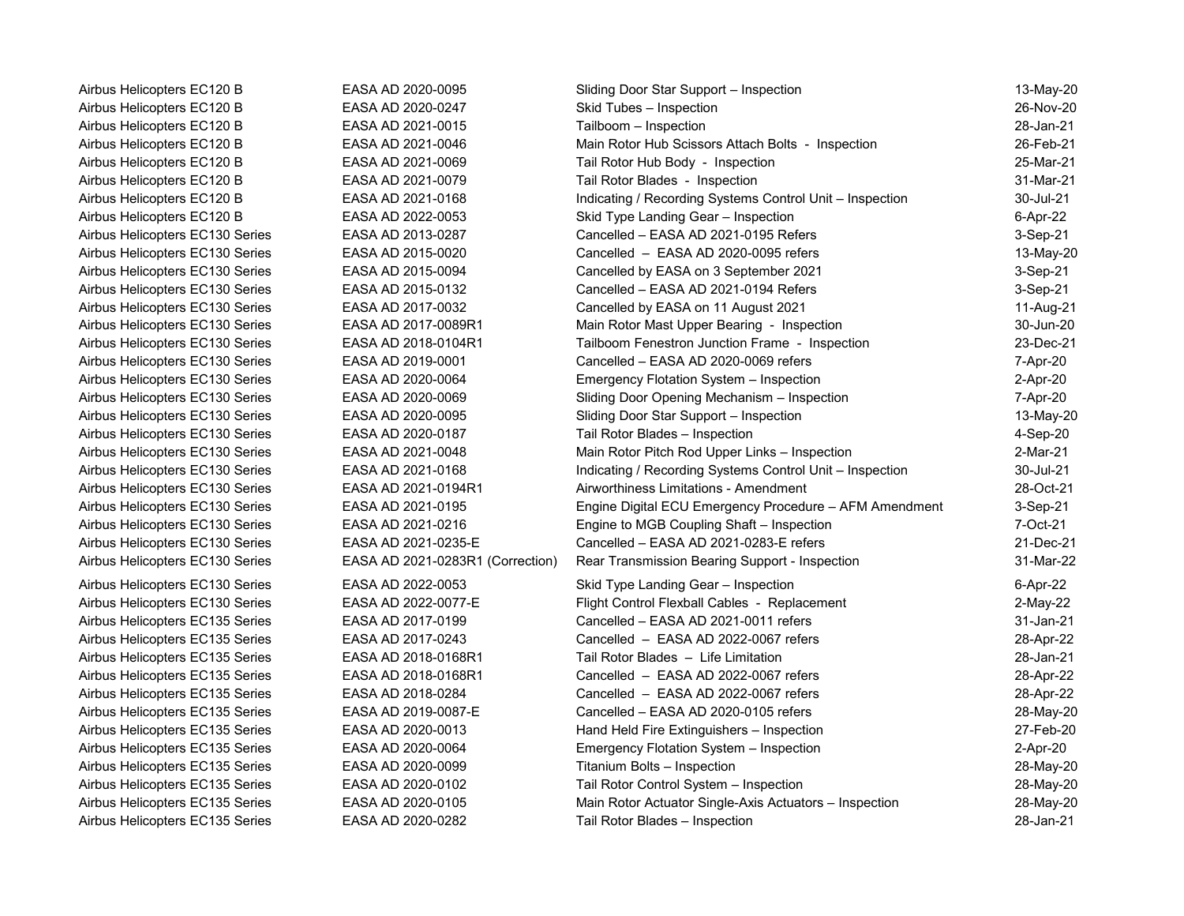| Airbus Helicopters EC120 B      | EASA AD 2020-0095                | Sliding Door Star Support - Inspection                   | 13-May-20   |
|---------------------------------|----------------------------------|----------------------------------------------------------|-------------|
| Airbus Helicopters EC120 B      | EASA AD 2020-0247                | Skid Tubes - Inspection                                  | 26-Nov-20   |
| Airbus Helicopters EC120 B      | EASA AD 2021-0015                | Tailboom - Inspection                                    | 28-Jan-21   |
| Airbus Helicopters EC120 B      | EASA AD 2021-0046                | Main Rotor Hub Scissors Attach Bolts - Inspection        | 26-Feb-21   |
| Airbus Helicopters EC120 B      | EASA AD 2021-0069                | Tail Rotor Hub Body - Inspection                         | 25-Mar-21   |
| Airbus Helicopters EC120 B      | EASA AD 2021-0079                | Tail Rotor Blades - Inspection                           | 31-Mar-21   |
| Airbus Helicopters EC120 B      | EASA AD 2021-0168                | Indicating / Recording Systems Control Unit - Inspection | 30-Jul-21   |
| Airbus Helicopters EC120 B      | EASA AD 2022-0053                | Skid Type Landing Gear - Inspection                      | 6-Apr-22    |
| Airbus Helicopters EC130 Series | EASA AD 2013-0287                | Cancelled - EASA AD 2021-0195 Refers                     | 3-Sep-21    |
| Airbus Helicopters EC130 Series | EASA AD 2015-0020                | Cancelled - EASA AD 2020-0095 refers                     | 13-May-20   |
| Airbus Helicopters EC130 Series | EASA AD 2015-0094                | Cancelled by EASA on 3 September 2021                    | 3-Sep-21    |
| Airbus Helicopters EC130 Series | EASA AD 2015-0132                | Cancelled - EASA AD 2021-0194 Refers                     | 3-Sep-21    |
| Airbus Helicopters EC130 Series | EASA AD 2017-0032                | Cancelled by EASA on 11 August 2021                      | 11-Aug-21   |
| Airbus Helicopters EC130 Series | EASA AD 2017-0089R1              | Main Rotor Mast Upper Bearing - Inspection               | 30-Jun-20   |
| Airbus Helicopters EC130 Series | EASA AD 2018-0104R1              | Tailboom Fenestron Junction Frame - Inspection           | 23-Dec-21   |
| Airbus Helicopters EC130 Series | EASA AD 2019-0001                | Cancelled - EASA AD 2020-0069 refers                     | 7-Apr-20    |
| Airbus Helicopters EC130 Series | EASA AD 2020-0064                | Emergency Flotation System - Inspection                  | 2-Apr-20    |
| Airbus Helicopters EC130 Series | EASA AD 2020-0069                | Sliding Door Opening Mechanism - Inspection              | 7-Apr-20    |
| Airbus Helicopters EC130 Series | EASA AD 2020-0095                | Sliding Door Star Support - Inspection                   | 13-May-20   |
| Airbus Helicopters EC130 Series | EASA AD 2020-0187                | Tail Rotor Blades - Inspection                           | 4-Sep-20    |
| Airbus Helicopters EC130 Series | EASA AD 2021-0048                | Main Rotor Pitch Rod Upper Links - Inspection            | 2-Mar-21    |
| Airbus Helicopters EC130 Series | EASA AD 2021-0168                | Indicating / Recording Systems Control Unit - Inspection | 30-Jul-21   |
| Airbus Helicopters EC130 Series | EASA AD 2021-0194R1              | Airworthiness Limitations - Amendment                    | 28-Oct-21   |
| Airbus Helicopters EC130 Series | EASA AD 2021-0195                | Engine Digital ECU Emergency Procedure - AFM Amendment   | 3-Sep-21    |
| Airbus Helicopters EC130 Series | EASA AD 2021-0216                | Engine to MGB Coupling Shaft - Inspection                | 7-Oct-21    |
| Airbus Helicopters EC130 Series | EASA AD 2021-0235-E              | Cancelled - EASA AD 2021-0283-E refers                   | 21-Dec-21   |
| Airbus Helicopters EC130 Series | EASA AD 2021-0283R1 (Correction) | Rear Transmission Bearing Support - Inspection           | 31-Mar-22   |
| Airbus Helicopters EC130 Series | EASA AD 2022-0053                | Skid Type Landing Gear - Inspection                      | 6-Apr-22    |
| Airbus Helicopters EC130 Series | EASA AD 2022-0077-E              | Flight Control Flexball Cables - Replacement             | $2$ -May-22 |
| Airbus Helicopters EC135 Series | EASA AD 2017-0199                | Cancelled - EASA AD 2021-0011 refers                     | 31-Jan-21   |
| Airbus Helicopters EC135 Series | EASA AD 2017-0243                | Cancelled - EASA AD 2022-0067 refers                     | 28-Apr-22   |
| Airbus Helicopters EC135 Series | EASA AD 2018-0168R1              | Tail Rotor Blades - Life Limitation                      | 28-Jan-21   |
| Airbus Helicopters EC135 Series | EASA AD 2018-0168R1              | Cancelled - EASA AD 2022-0067 refers                     | 28-Apr-22   |
| Airbus Helicopters EC135 Series | EASA AD 2018-0284                | Cancelled - EASA AD 2022-0067 refers                     | 28-Apr-22   |
| Airbus Helicopters EC135 Series | EASA AD 2019-0087-E              | Cancelled - EASA AD 2020-0105 refers                     | 28-May-20   |
| Airbus Helicopters EC135 Series | EASA AD 2020-0013                | Hand Held Fire Extinguishers - Inspection                | 27-Feb-20   |
| Airbus Helicopters EC135 Series | EASA AD 2020-0064                | Emergency Flotation System - Inspection                  | 2-Apr-20    |
| Airbus Helicopters EC135 Series | EASA AD 2020-0099                | Titanium Bolts - Inspection                              | 28-May-20   |
| Airbus Helicopters EC135 Series | EASA AD 2020-0102                | Tail Rotor Control System - Inspection                   | 28-May-20   |
| Airbus Helicopters EC135 Series | EASA AD 2020-0105                | Main Rotor Actuator Single-Axis Actuators - Inspection   | 28-May-20   |
| Airbus Helicopters EC135 Series | EASA AD 2020-0282                | Tail Rotor Blades - Inspection                           | 28-Jan-21   |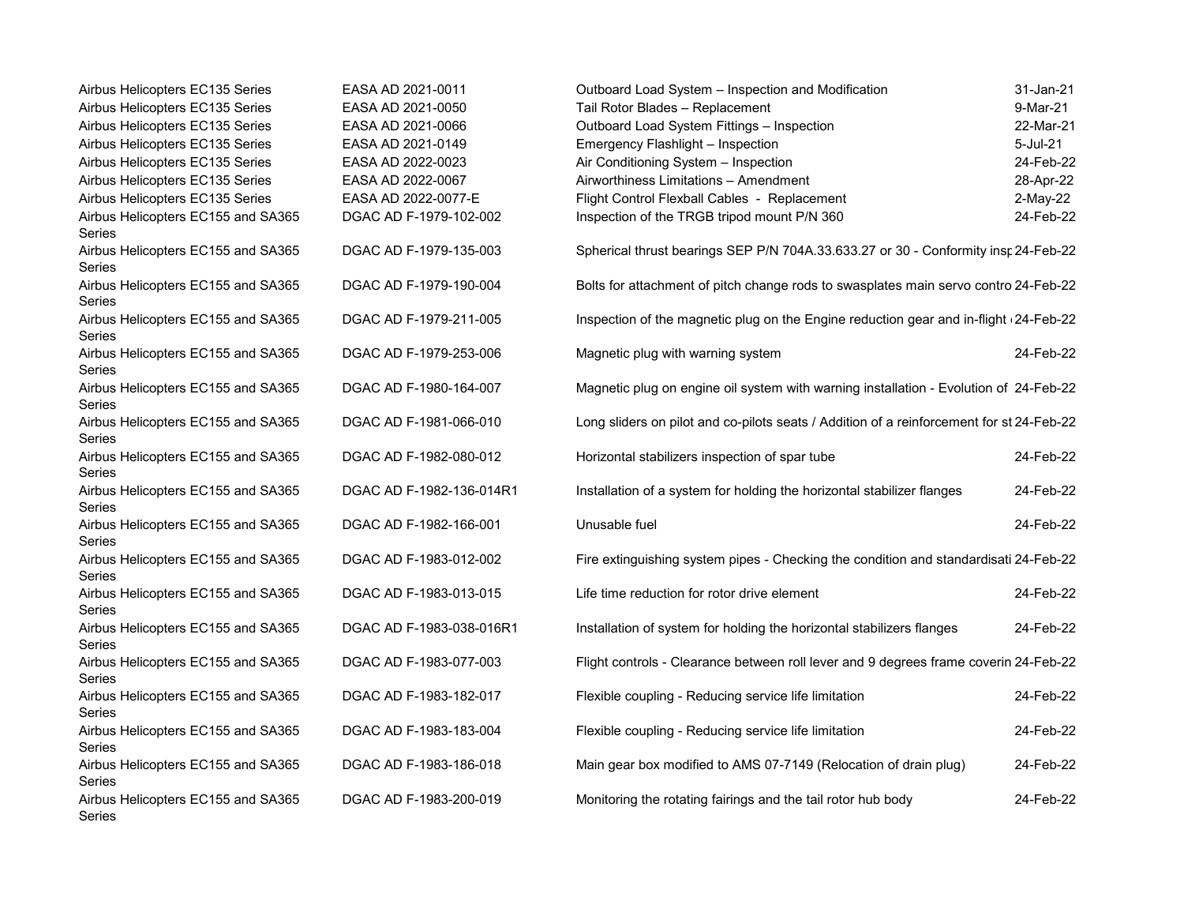| Airbus Helicopters EC135 Series                     | EASA AD 2021-0011        | Outboard Load System - Inspection and Modification                                       | 31-Jan-21 |
|-----------------------------------------------------|--------------------------|------------------------------------------------------------------------------------------|-----------|
| Airbus Helicopters EC135 Series                     | EASA AD 2021-0050        | Tail Rotor Blades - Replacement                                                          | 9-Mar-21  |
| Airbus Helicopters EC135 Series                     | EASA AD 2021-0066        | Outboard Load System Fittings - Inspection                                               | 22-Mar-21 |
| Airbus Helicopters EC135 Series                     | EASA AD 2021-0149        | Emergency Flashlight - Inspection                                                        | 5-Jul-21  |
| Airbus Helicopters EC135 Series                     | EASA AD 2022-0023        | Air Conditioning System - Inspection                                                     | 24-Feb-22 |
| Airbus Helicopters EC135 Series                     | EASA AD 2022-0067        | Airworthiness Limitations - Amendment                                                    | 28-Apr-22 |
| Airbus Helicopters EC135 Series                     | EASA AD 2022-0077-E      | Flight Control Flexball Cables - Replacement                                             | 2-May-22  |
| Airbus Helicopters EC155 and SA365<br><b>Series</b> | DGAC AD F-1979-102-002   | Inspection of the TRGB tripod mount P/N 360                                              | 24-Feb-22 |
| Airbus Helicopters EC155 and SA365<br>Series        | DGAC AD F-1979-135-003   | Spherical thrust bearings SEP P/N 704A.33.633.27 or 30 - Conformity insr 24-Feb-22       |           |
| Airbus Helicopters EC155 and SA365<br>Series        | DGAC AD F-1979-190-004   | Bolts for attachment of pitch change rods to swasplates main servo contro 24-Feb-22      |           |
| Airbus Helicopters EC155 and SA365<br>Series        | DGAC AD F-1979-211-005   | Inspection of the magnetic plug on the Engine reduction gear and in-flight (24-Feb-22)   |           |
| Airbus Helicopters EC155 and SA365<br>Series        | DGAC AD F-1979-253-006   | Magnetic plug with warning system                                                        | 24-Feb-22 |
| Airbus Helicopters EC155 and SA365<br>Series        | DGAC AD F-1980-164-007   | Magnetic plug on engine oil system with warning installation - Evolution of 24-Feb-22    |           |
| Airbus Helicopters EC155 and SA365<br>Series        | DGAC AD F-1981-066-010   | Long sliders on pilot and co-pilots seats / Addition of a reinforcement for st 24-Feb-22 |           |
| Airbus Helicopters EC155 and SA365<br><b>Series</b> | DGAC AD F-1982-080-012   | Horizontal stabilizers inspection of spar tube                                           | 24-Feb-22 |
| Airbus Helicopters EC155 and SA365<br>Series        | DGAC AD F-1982-136-014R1 | Installation of a system for holding the horizontal stabilizer flanges                   | 24-Feb-22 |
| Airbus Helicopters EC155 and SA365<br>Series        | DGAC AD F-1982-166-001   | Unusable fuel                                                                            | 24-Feb-22 |
| Airbus Helicopters EC155 and SA365<br>Series        | DGAC AD F-1983-012-002   | Fire extinguishing system pipes - Checking the condition and standardisati 24-Feb-22     |           |
| Airbus Helicopters EC155 and SA365<br>Series        | DGAC AD F-1983-013-015   | Life time reduction for rotor drive element                                              | 24-Feb-22 |
| Airbus Helicopters EC155 and SA365<br>Series        | DGAC AD F-1983-038-016R1 | Installation of system for holding the horizontal stabilizers flanges                    | 24-Feb-22 |
| Airbus Helicopters EC155 and SA365<br>Series        | DGAC AD F-1983-077-003   | Flight controls - Clearance between roll lever and 9 degrees frame coverin 24-Feb-22     |           |
| Airbus Helicopters EC155 and SA365<br>Series        | DGAC AD F-1983-182-017   | Flexible coupling - Reducing service life limitation                                     | 24-Feb-22 |
| Airbus Helicopters EC155 and SA365<br>Series        | DGAC AD F-1983-183-004   | Flexible coupling - Reducing service life limitation                                     | 24-Feb-22 |
| Airbus Helicopters EC155 and SA365<br>Series        | DGAC AD F-1983-186-018   | Main gear box modified to AMS 07-7149 (Relocation of drain plug)                         | 24-Feb-22 |
| Airbus Helicopters EC155 and SA365<br>Series        | DGAC AD F-1983-200-019   | Monitoring the rotating fairings and the tail rotor hub body                             | 24-Feb-22 |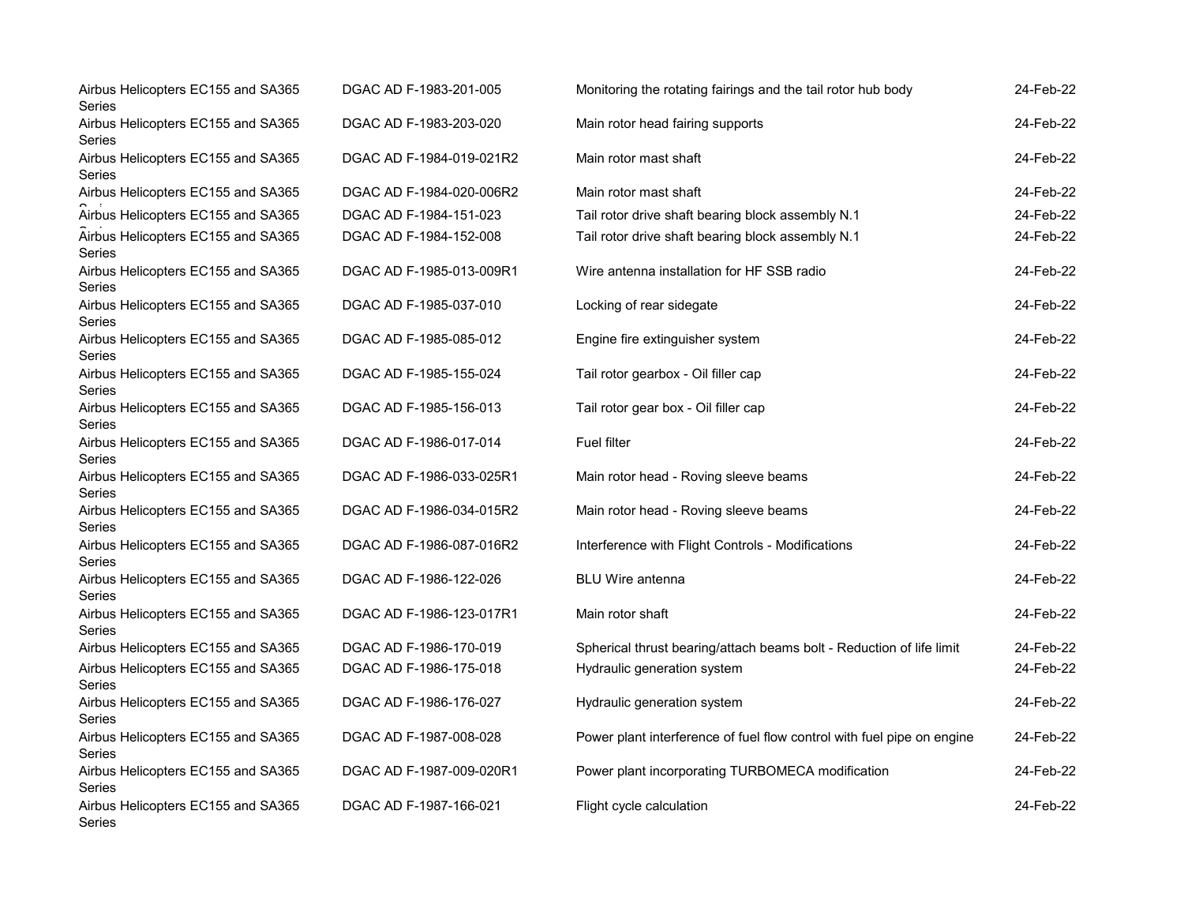| Airbus Helicopters EC155 and SA365<br>Series | DGAC AD F-1983-201-005   | Monitoring the rotating fairings and the tail rotor hub body           | 24-Feb-22 |
|----------------------------------------------|--------------------------|------------------------------------------------------------------------|-----------|
| Airbus Helicopters EC155 and SA365<br>Series | DGAC AD F-1983-203-020   | Main rotor head fairing supports                                       | 24-Feb-22 |
| Airbus Helicopters EC155 and SA365<br>Series | DGAC AD F-1984-019-021R2 | Main rotor mast shaft                                                  | 24-Feb-22 |
| Airbus Helicopters EC155 and SA365           | DGAC AD F-1984-020-006R2 | Main rotor mast shaft                                                  | 24-Feb-22 |
| Airbus Helicopters EC155 and SA365           | DGAC AD F-1984-151-023   | Tail rotor drive shaft bearing block assembly N.1                      | 24-Feb-22 |
| Airbus Helicopters EC155 and SA365<br>Series | DGAC AD F-1984-152-008   | Tail rotor drive shaft bearing block assembly N.1                      | 24-Feb-22 |
| Airbus Helicopters EC155 and SA365<br>Series | DGAC AD F-1985-013-009R1 | Wire antenna installation for HF SSB radio                             | 24-Feb-22 |
| Airbus Helicopters EC155 and SA365<br>Series | DGAC AD F-1985-037-010   | Locking of rear sidegate                                               | 24-Feb-22 |
| Airbus Helicopters EC155 and SA365<br>Series | DGAC AD F-1985-085-012   | Engine fire extinguisher system                                        | 24-Feb-22 |
| Airbus Helicopters EC155 and SA365<br>Series | DGAC AD F-1985-155-024   | Tail rotor gearbox - Oil filler cap                                    | 24-Feb-22 |
| Airbus Helicopters EC155 and SA365<br>Series | DGAC AD F-1985-156-013   | Tail rotor gear box - Oil filler cap                                   | 24-Feb-22 |
| Airbus Helicopters EC155 and SA365<br>Series | DGAC AD F-1986-017-014   | <b>Fuel filter</b>                                                     | 24-Feb-22 |
| Airbus Helicopters EC155 and SA365<br>Series | DGAC AD F-1986-033-025R1 | Main rotor head - Roving sleeve beams                                  | 24-Feb-22 |
| Airbus Helicopters EC155 and SA365<br>Series | DGAC AD F-1986-034-015R2 | Main rotor head - Roving sleeve beams                                  | 24-Feb-22 |
| Airbus Helicopters EC155 and SA365<br>Series | DGAC AD F-1986-087-016R2 | Interference with Flight Controls - Modifications                      | 24-Feb-22 |
| Airbus Helicopters EC155 and SA365<br>Series | DGAC AD F-1986-122-026   | <b>BLU Wire antenna</b>                                                | 24-Feb-22 |
| Airbus Helicopters EC155 and SA365<br>Series | DGAC AD F-1986-123-017R1 | Main rotor shaft                                                       | 24-Feb-22 |
| Airbus Helicopters EC155 and SA365           | DGAC AD F-1986-170-019   | Spherical thrust bearing/attach beams bolt - Reduction of life limit   | 24-Feb-22 |
| Airbus Helicopters EC155 and SA365<br>Series | DGAC AD F-1986-175-018   | Hydraulic generation system                                            | 24-Feb-22 |
| Airbus Helicopters EC155 and SA365<br>Series | DGAC AD F-1986-176-027   | Hydraulic generation system                                            | 24-Feb-22 |
| Airbus Helicopters EC155 and SA365<br>Series | DGAC AD F-1987-008-028   | Power plant interference of fuel flow control with fuel pipe on engine | 24-Feb-22 |
| Airbus Helicopters EC155 and SA365<br>Series | DGAC AD F-1987-009-020R1 | Power plant incorporating TURBOMECA modification                       | 24-Feb-22 |
| Airbus Helicopters EC155 and SA365<br>Series | DGAC AD F-1987-166-021   | Flight cycle calculation                                               | 24-Feb-22 |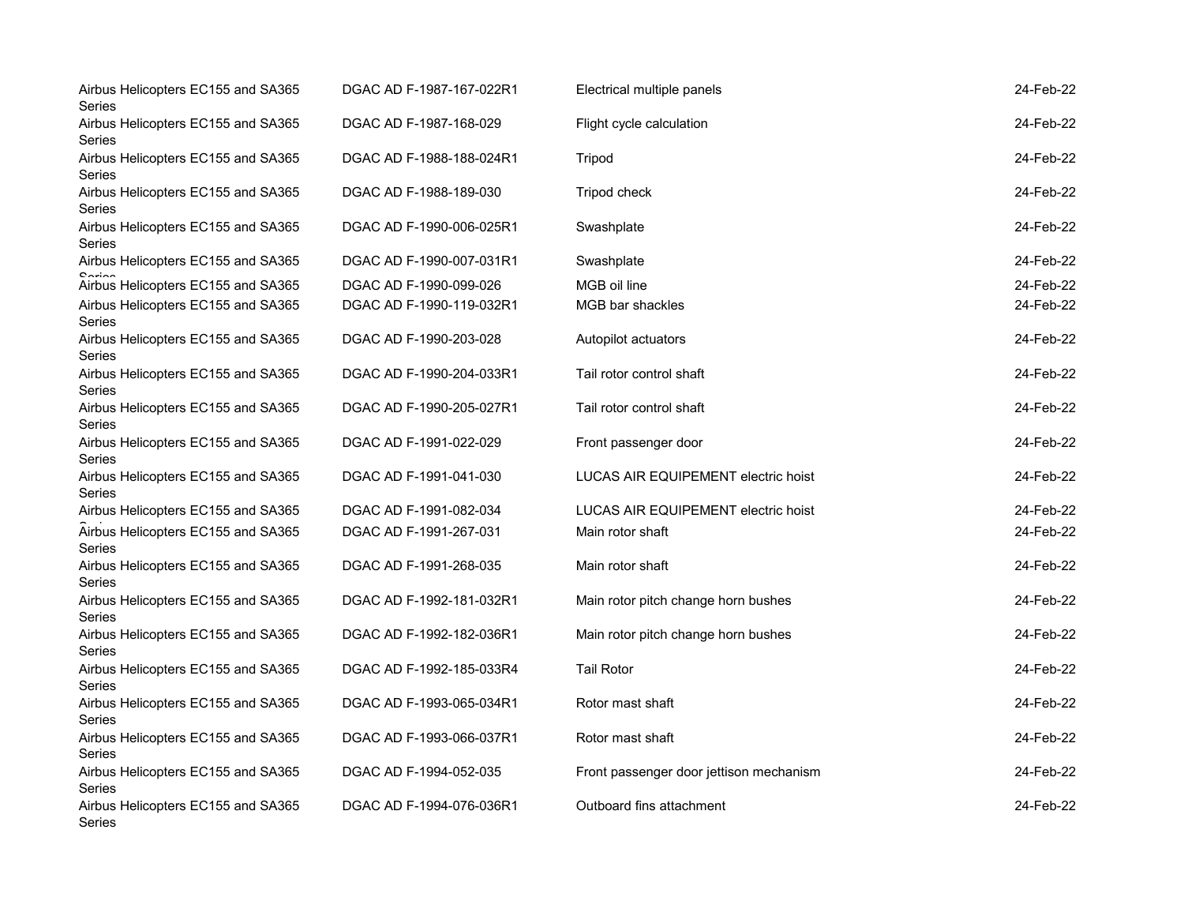| Airbus Helicopters EC155 and SA365<br>Series | DGAC AD F-1987-167-022R1 | Electrical multiple panels              | 24-Feb-22 |
|----------------------------------------------|--------------------------|-----------------------------------------|-----------|
| Airbus Helicopters EC155 and SA365<br>Series | DGAC AD F-1987-168-029   | Flight cycle calculation                | 24-Feb-22 |
| Airbus Helicopters EC155 and SA365<br>Series | DGAC AD F-1988-188-024R1 | Tripod                                  | 24-Feb-22 |
| Airbus Helicopters EC155 and SA365<br>Series | DGAC AD F-1988-189-030   | Tripod check                            | 24-Feb-22 |
| Airbus Helicopters EC155 and SA365<br>Series | DGAC AD F-1990-006-025R1 | Swashplate                              | 24-Feb-22 |
| Airbus Helicopters EC155 and SA365           | DGAC AD F-1990-007-031R1 | Swashplate                              | 24-Feb-22 |
| Airbus Helicopters EC155 and SA365           | DGAC AD F-1990-099-026   | MGB oil line                            | 24-Feb-22 |
| Airbus Helicopters EC155 and SA365<br>Series | DGAC AD F-1990-119-032R1 | MGB bar shackles                        | 24-Feb-22 |
| Airbus Helicopters EC155 and SA365<br>Series | DGAC AD F-1990-203-028   | Autopilot actuators                     | 24-Feb-22 |
| Airbus Helicopters EC155 and SA365<br>Series | DGAC AD F-1990-204-033R1 | Tail rotor control shaft                | 24-Feb-22 |
| Airbus Helicopters EC155 and SA365<br>Series | DGAC AD F-1990-205-027R1 | Tail rotor control shaft                | 24-Feb-22 |
| Airbus Helicopters EC155 and SA365<br>Series | DGAC AD F-1991-022-029   | Front passenger door                    | 24-Feb-22 |
| Airbus Helicopters EC155 and SA365<br>Series | DGAC AD F-1991-041-030   | LUCAS AIR EQUIPEMENT electric hoist     | 24-Feb-22 |
| Airbus Helicopters EC155 and SA365           | DGAC AD F-1991-082-034   | LUCAS AIR EQUIPEMENT electric hoist     | 24-Feb-22 |
| Airbus Helicopters EC155 and SA365<br>Series | DGAC AD F-1991-267-031   | Main rotor shaft                        | 24-Feb-22 |
| Airbus Helicopters EC155 and SA365<br>Series | DGAC AD F-1991-268-035   | Main rotor shaft                        | 24-Feb-22 |
| Airbus Helicopters EC155 and SA365<br>Series | DGAC AD F-1992-181-032R1 | Main rotor pitch change horn bushes     | 24-Feb-22 |
| Airbus Helicopters EC155 and SA365<br>Series | DGAC AD F-1992-182-036R1 | Main rotor pitch change horn bushes     | 24-Feb-22 |
| Airbus Helicopters EC155 and SA365<br>Series | DGAC AD F-1992-185-033R4 | <b>Tail Rotor</b>                       | 24-Feb-22 |
| Airbus Helicopters EC155 and SA365<br>Series | DGAC AD F-1993-065-034R1 | Rotor mast shaft                        | 24-Feb-22 |
| Airbus Helicopters EC155 and SA365<br>Series | DGAC AD F-1993-066-037R1 | Rotor mast shaft                        | 24-Feb-22 |
| Airbus Helicopters EC155 and SA365<br>Series | DGAC AD F-1994-052-035   | Front passenger door jettison mechanism | 24-Feb-22 |
| Airbus Helicopters EC155 and SA365<br>Series | DGAC AD F-1994-076-036R1 | Outboard fins attachment                | 24-Feb-22 |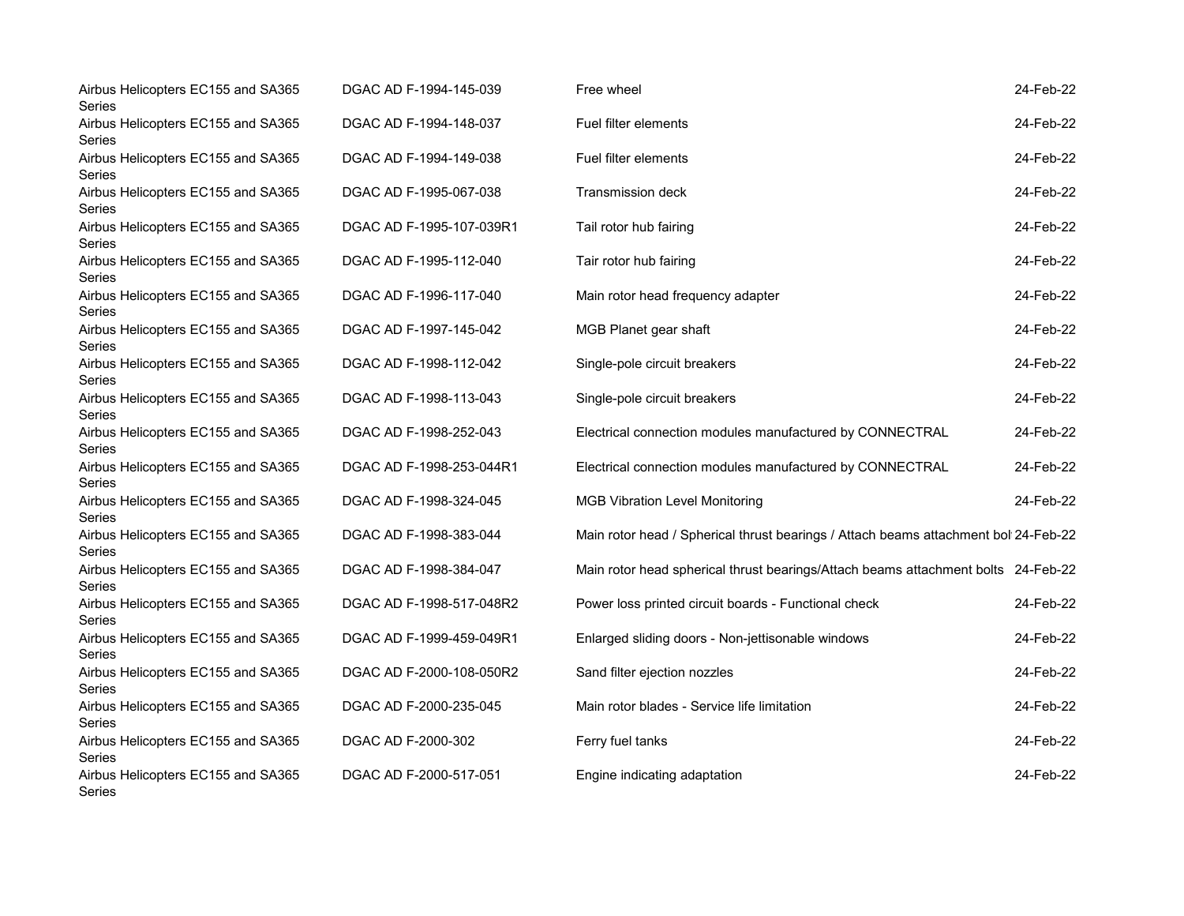| Airbus Helicopters EC155 and SA365<br>Series        | DGAC AD F-1994-145-039   | Free wheel                                                                          | 24-Feb-22 |
|-----------------------------------------------------|--------------------------|-------------------------------------------------------------------------------------|-----------|
| Airbus Helicopters EC155 and SA365<br>Series        | DGAC AD F-1994-148-037   | Fuel filter elements                                                                | 24-Feb-22 |
| Airbus Helicopters EC155 and SA365<br>Series        | DGAC AD F-1994-149-038   | Fuel filter elements                                                                | 24-Feb-22 |
| Airbus Helicopters EC155 and SA365<br>Series        | DGAC AD F-1995-067-038   | <b>Transmission deck</b>                                                            | 24-Feb-22 |
| Airbus Helicopters EC155 and SA365<br>Series        | DGAC AD F-1995-107-039R1 | Tail rotor hub fairing                                                              | 24-Feb-22 |
| Airbus Helicopters EC155 and SA365<br>Series        | DGAC AD F-1995-112-040   | Tair rotor hub fairing                                                              | 24-Feb-22 |
| Airbus Helicopters EC155 and SA365<br>Series        | DGAC AD F-1996-117-040   | Main rotor head frequency adapter                                                   | 24-Feb-22 |
| Airbus Helicopters EC155 and SA365<br>Series        | DGAC AD F-1997-145-042   | MGB Planet gear shaft                                                               | 24-Feb-22 |
| Airbus Helicopters EC155 and SA365<br>Series        | DGAC AD F-1998-112-042   | Single-pole circuit breakers                                                        | 24-Feb-22 |
| Airbus Helicopters EC155 and SA365<br>Series        | DGAC AD F-1998-113-043   | Single-pole circuit breakers                                                        | 24-Feb-22 |
| Airbus Helicopters EC155 and SA365<br>Series        | DGAC AD F-1998-252-043   | Electrical connection modules manufactured by CONNECTRAL                            | 24-Feb-22 |
| Airbus Helicopters EC155 and SA365<br>Series        | DGAC AD F-1998-253-044R1 | Electrical connection modules manufactured by CONNECTRAL                            | 24-Feb-22 |
| Airbus Helicopters EC155 and SA365<br>Series        | DGAC AD F-1998-324-045   | <b>MGB Vibration Level Monitoring</b>                                               | 24-Feb-22 |
| Airbus Helicopters EC155 and SA365<br>Series        | DGAC AD F-1998-383-044   | Main rotor head / Spherical thrust bearings / Attach beams attachment bol 24-Feb-22 |           |
| Airbus Helicopters EC155 and SA365<br>Series        | DGAC AD F-1998-384-047   | Main rotor head spherical thrust bearings/Attach beams attachment bolts 24-Feb-22   |           |
| Airbus Helicopters EC155 and SA365<br>Series        | DGAC AD F-1998-517-048R2 | Power loss printed circuit boards - Functional check                                | 24-Feb-22 |
| Airbus Helicopters EC155 and SA365<br>Series        | DGAC AD F-1999-459-049R1 | Enlarged sliding doors - Non-jettisonable windows                                   | 24-Feb-22 |
| Airbus Helicopters EC155 and SA365<br>Series        | DGAC AD F-2000-108-050R2 | Sand filter ejection nozzles                                                        | 24-Feb-22 |
| Airbus Helicopters EC155 and SA365<br>Series        | DGAC AD F-2000-235-045   | Main rotor blades - Service life limitation                                         | 24-Feb-22 |
| Airbus Helicopters EC155 and SA365<br>Series        | DGAC AD F-2000-302       | Ferry fuel tanks                                                                    | 24-Feb-22 |
| Airbus Helicopters EC155 and SA365<br><b>Series</b> | DGAC AD F-2000-517-051   | Engine indicating adaptation                                                        | 24-Feb-22 |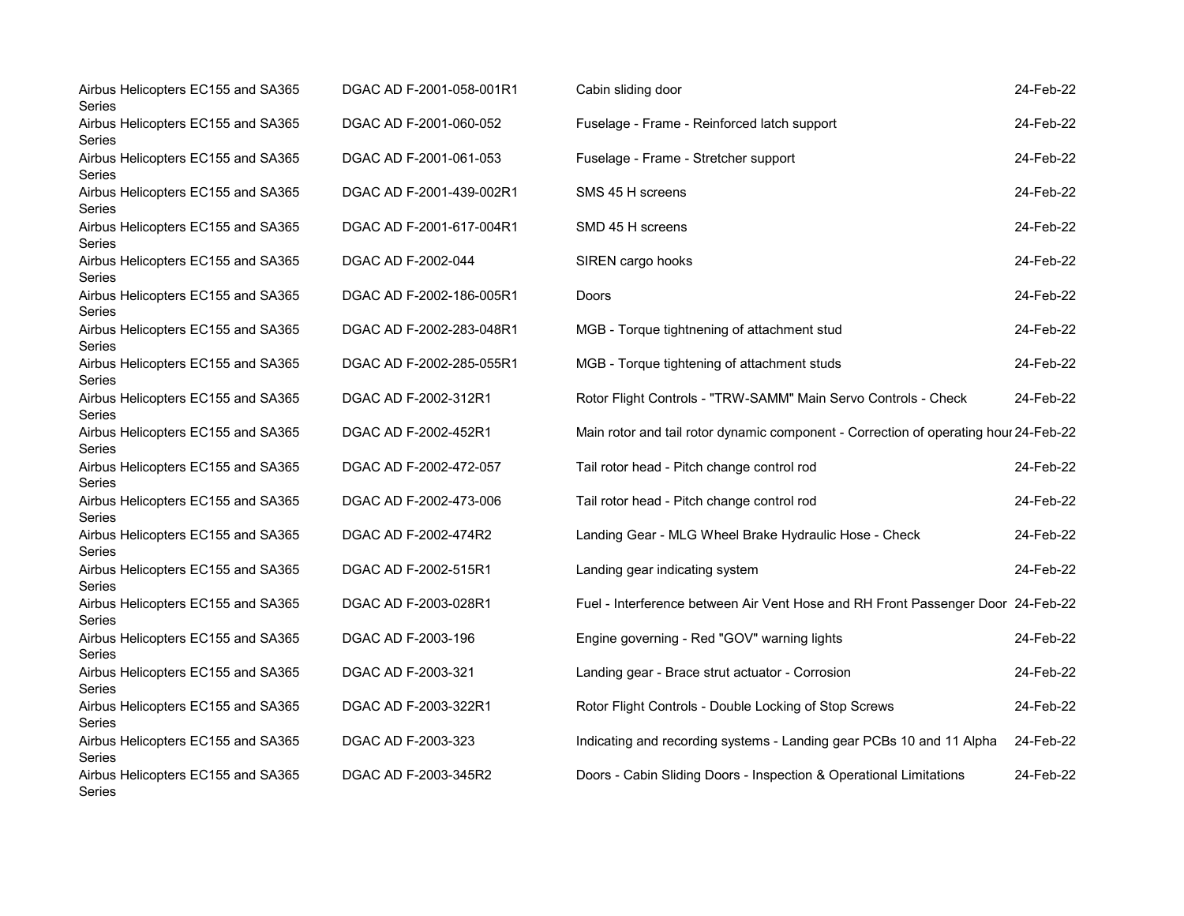| Airbus Helicopters EC155 and SA365<br>Series        | DGAC AD F-2001-058-001R1 | Cabin sliding door                                                                   | 24-Feb-22 |
|-----------------------------------------------------|--------------------------|--------------------------------------------------------------------------------------|-----------|
| Airbus Helicopters EC155 and SA365<br><b>Series</b> | DGAC AD F-2001-060-052   | Fuselage - Frame - Reinforced latch support                                          | 24-Feb-22 |
| Airbus Helicopters EC155 and SA365<br>Series        | DGAC AD F-2001-061-053   | Fuselage - Frame - Stretcher support                                                 | 24-Feb-22 |
| Airbus Helicopters EC155 and SA365<br>Series        | DGAC AD F-2001-439-002R1 | SMS 45 H screens                                                                     | 24-Feb-22 |
| Airbus Helicopters EC155 and SA365<br>Series        | DGAC AD F-2001-617-004R1 | SMD 45 H screens                                                                     | 24-Feb-22 |
| Airbus Helicopters EC155 and SA365<br><b>Series</b> | DGAC AD F-2002-044       | SIREN cargo hooks                                                                    | 24-Feb-22 |
| Airbus Helicopters EC155 and SA365<br><b>Series</b> | DGAC AD F-2002-186-005R1 | Doors                                                                                | 24-Feb-22 |
| Airbus Helicopters EC155 and SA365<br>Series        | DGAC AD F-2002-283-048R1 | MGB - Torque tightnening of attachment stud                                          | 24-Feb-22 |
| Airbus Helicopters EC155 and SA365<br>Series        | DGAC AD F-2002-285-055R1 | MGB - Torque tightening of attachment studs                                          | 24-Feb-22 |
| Airbus Helicopters EC155 and SA365<br><b>Series</b> | DGAC AD F-2002-312R1     | Rotor Flight Controls - "TRW-SAMM" Main Servo Controls - Check                       | 24-Feb-22 |
| Airbus Helicopters EC155 and SA365<br>Series        | DGAC AD F-2002-452R1     | Main rotor and tail rotor dynamic component - Correction of operating hour 24-Feb-22 |           |
| Airbus Helicopters EC155 and SA365<br>Series        | DGAC AD F-2002-472-057   | Tail rotor head - Pitch change control rod                                           | 24-Feb-22 |
| Airbus Helicopters EC155 and SA365<br>Series        | DGAC AD F-2002-473-006   | Tail rotor head - Pitch change control rod                                           | 24-Feb-22 |
| Airbus Helicopters EC155 and SA365<br>Series        | DGAC AD F-2002-474R2     | Landing Gear - MLG Wheel Brake Hydraulic Hose - Check                                | 24-Feb-22 |
| Airbus Helicopters EC155 and SA365<br>Series        | DGAC AD F-2002-515R1     | Landing gear indicating system                                                       | 24-Feb-22 |
| Airbus Helicopters EC155 and SA365<br>Series        | DGAC AD F-2003-028R1     | Fuel - Interference between Air Vent Hose and RH Front Passenger Door 24-Feb-22      |           |
| Airbus Helicopters EC155 and SA365<br>Series        | DGAC AD F-2003-196       | Engine governing - Red "GOV" warning lights                                          | 24-Feb-22 |
| Airbus Helicopters EC155 and SA365<br>Series        | DGAC AD F-2003-321       | Landing gear - Brace strut actuator - Corrosion                                      | 24-Feb-22 |
| Airbus Helicopters EC155 and SA365<br>Series        | DGAC AD F-2003-322R1     | Rotor Flight Controls - Double Locking of Stop Screws                                | 24-Feb-22 |
| Airbus Helicopters EC155 and SA365<br>Series        | DGAC AD F-2003-323       | Indicating and recording systems - Landing gear PCBs 10 and 11 Alpha                 | 24-Feb-22 |
| Airbus Helicopters EC155 and SA365<br>Series        | DGAC AD F-2003-345R2     | Doors - Cabin Sliding Doors - Inspection & Operational Limitations                   | 24-Feb-22 |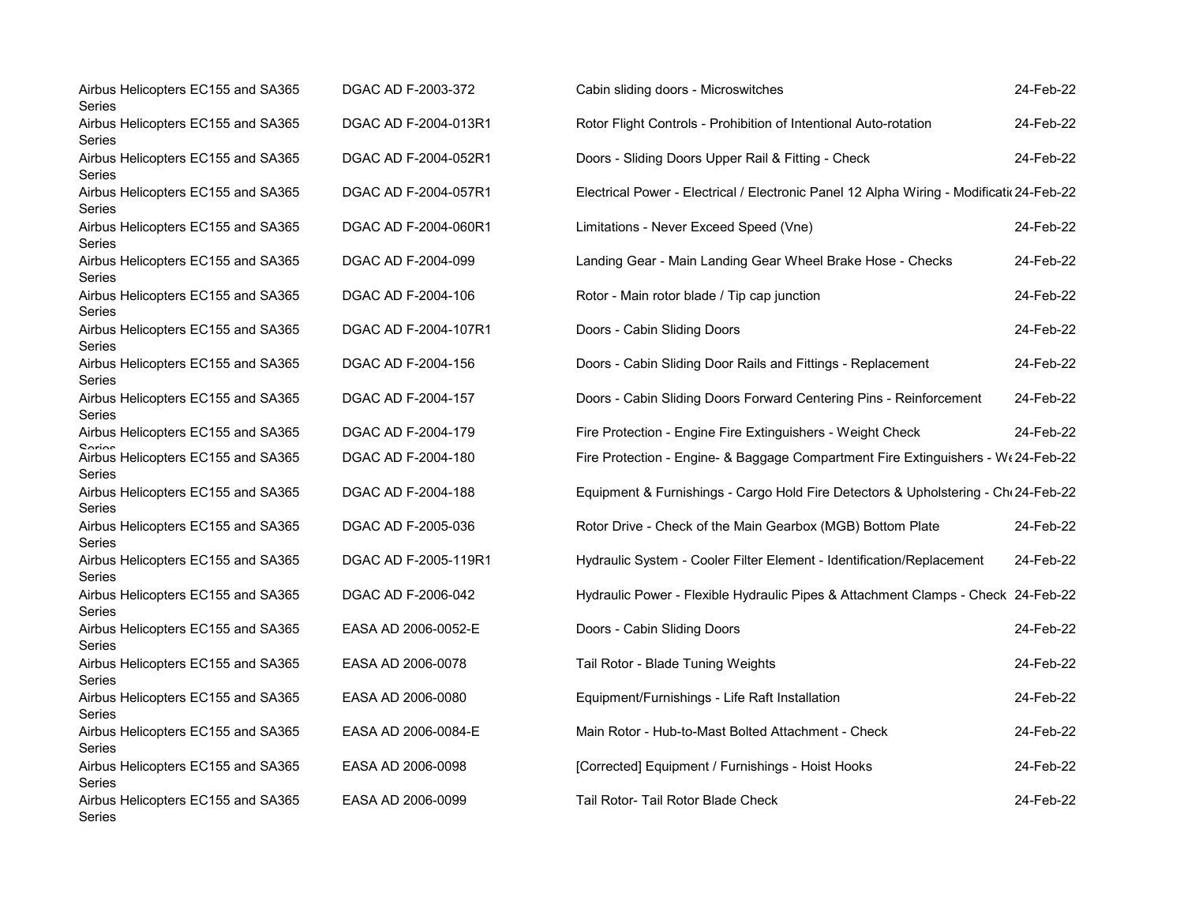| Airbus Helicopters EC155 and SA365<br>Series           | DGAC AD F-2003-372   | Cabin sliding doors - Microswitches                                                      | 24-Feb-22 |
|--------------------------------------------------------|----------------------|------------------------------------------------------------------------------------------|-----------|
| Airbus Helicopters EC155 and SA365<br>Series           | DGAC AD F-2004-013R1 | Rotor Flight Controls - Prohibition of Intentional Auto-rotation                         | 24-Feb-22 |
| Airbus Helicopters EC155 and SA365<br>Series           | DGAC AD F-2004-052R1 | Doors - Sliding Doors Upper Rail & Fitting - Check                                       | 24-Feb-22 |
| Airbus Helicopters EC155 and SA365<br>Series           | DGAC AD F-2004-057R1 | Electrical Power - Electrical / Electronic Panel 12 Alpha Wiring - Modificatio 24-Feb-22 |           |
| Airbus Helicopters EC155 and SA365<br>Series           | DGAC AD F-2004-060R1 | Limitations - Never Exceed Speed (Vne)                                                   | 24-Feb-22 |
| Airbus Helicopters EC155 and SA365<br>Series           | DGAC AD F-2004-099   | Landing Gear - Main Landing Gear Wheel Brake Hose - Checks                               | 24-Feb-22 |
| Airbus Helicopters EC155 and SA365<br>Series           | DGAC AD F-2004-106   | Rotor - Main rotor blade / Tip cap junction                                              | 24-Feb-22 |
| Airbus Helicopters EC155 and SA365<br>Series           | DGAC AD F-2004-107R1 | Doors - Cabin Sliding Doors                                                              | 24-Feb-22 |
| Airbus Helicopters EC155 and SA365<br>Series           | DGAC AD F-2004-156   | Doors - Cabin Sliding Door Rails and Fittings - Replacement                              | 24-Feb-22 |
| Airbus Helicopters EC155 and SA365<br>Series           | DGAC AD F-2004-157   | Doors - Cabin Sliding Doors Forward Centering Pins - Reinforcement                       | 24-Feb-22 |
| Airbus Helicopters EC155 and SA365                     | DGAC AD F-2004-179   | Fire Protection - Engine Fire Extinguishers - Weight Check                               | 24-Feb-22 |
| Carion<br>Airbus Helicopters EC155 and SA365<br>Series | DGAC AD F-2004-180   | Fire Protection - Engine- & Baggage Compartment Fire Extinguishers - W(24-Feb-22         |           |
| Airbus Helicopters EC155 and SA365<br>Series           | DGAC AD F-2004-188   | Equipment & Furnishings - Cargo Hold Fire Detectors & Upholstering - Ch 24-Feb-22        |           |
| Airbus Helicopters EC155 and SA365<br>Series           | DGAC AD F-2005-036   | Rotor Drive - Check of the Main Gearbox (MGB) Bottom Plate                               | 24-Feb-22 |
| Airbus Helicopters EC155 and SA365<br>Series           | DGAC AD F-2005-119R1 | Hydraulic System - Cooler Filter Element - Identification/Replacement                    | 24-Feb-22 |
| Airbus Helicopters EC155 and SA365<br>Series           | DGAC AD F-2006-042   | Hydraulic Power - Flexible Hydraulic Pipes & Attachment Clamps - Check 24-Feb-22         |           |
| Airbus Helicopters EC155 and SA365<br>Series           | EASA AD 2006-0052-E  | Doors - Cabin Sliding Doors                                                              | 24-Feb-22 |
| Airbus Helicopters EC155 and SA365<br>Series           | EASA AD 2006-0078    | Tail Rotor - Blade Tuning Weights                                                        | 24-Feb-22 |
| Airbus Helicopters EC155 and SA365<br>Series           | EASA AD 2006-0080    | Equipment/Furnishings - Life Raft Installation                                           | 24-Feb-22 |
| Airbus Helicopters EC155 and SA365<br>Series           | EASA AD 2006-0084-E  | Main Rotor - Hub-to-Mast Bolted Attachment - Check                                       | 24-Feb-22 |
| Airbus Helicopters EC155 and SA365<br>Series           | EASA AD 2006-0098    | [Corrected] Equipment / Furnishings - Hoist Hooks                                        | 24-Feb-22 |
| Airbus Helicopters EC155 and SA365<br>Series           | EASA AD 2006-0099    | Tail Rotor- Tail Rotor Blade Check                                                       | 24-Feb-22 |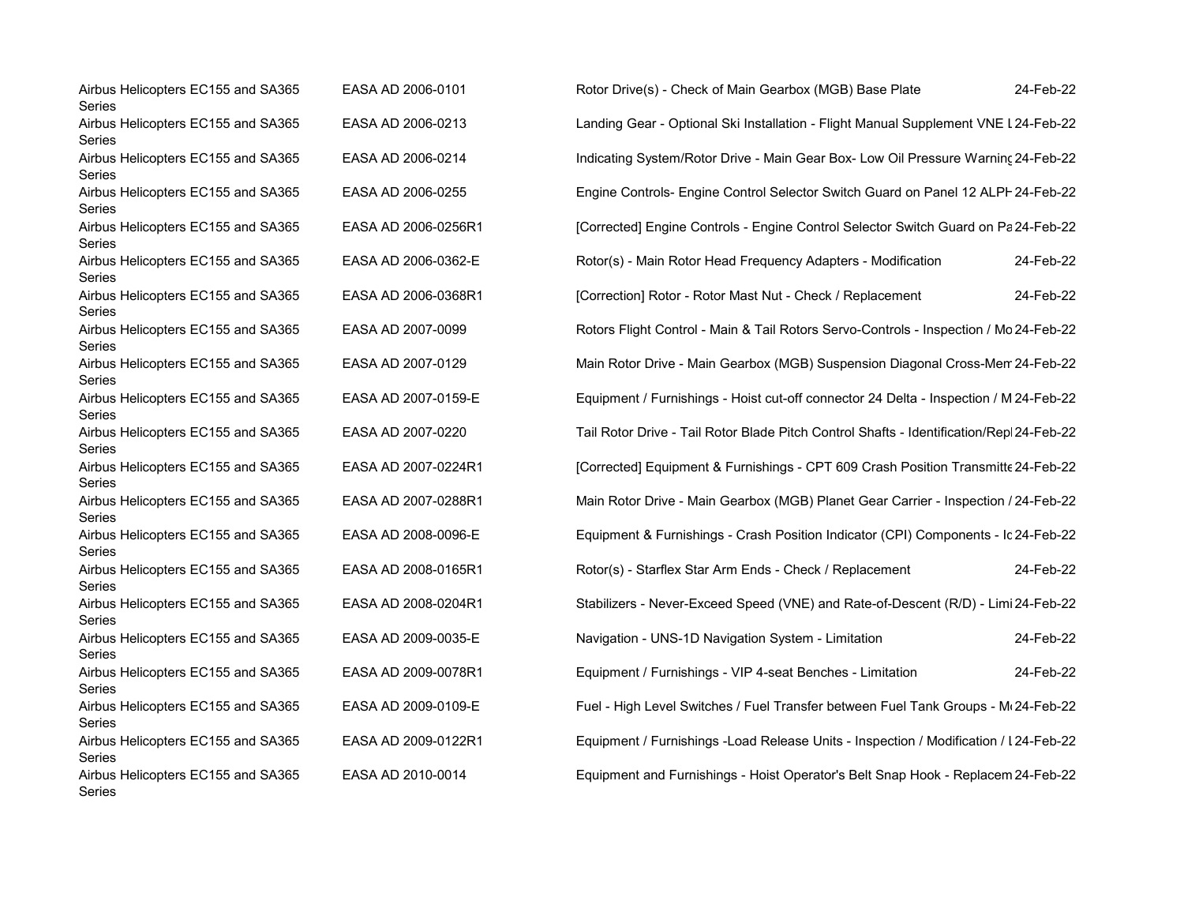| Airbus Helicopters EC155 and SA365<br>Series | EASA AD 2006-0101   | Rotor Drive(s) - Check of Main Gearbox (MGB) Base Plate                                 | 24-Feb-22 |
|----------------------------------------------|---------------------|-----------------------------------------------------------------------------------------|-----------|
| Airbus Helicopters EC155 and SA365<br>Series | EASA AD 2006-0213   | Landing Gear - Optional Ski Installation - Flight Manual Supplement VNE L24-Feb-22      |           |
| Airbus Helicopters EC155 and SA365<br>Series | EASA AD 2006-0214   | Indicating System/Rotor Drive - Main Gear Box- Low Oil Pressure Warning 24-Feb-22       |           |
| Airbus Helicopters EC155 and SA365<br>Series | EASA AD 2006-0255   | Engine Controls- Engine Control Selector Switch Guard on Panel 12 ALPF 24-Feb-22        |           |
| Airbus Helicopters EC155 and SA365<br>Series | EASA AD 2006-0256R1 | [Corrected] Engine Controls - Engine Control Selector Switch Guard on Pa24-Feb-22       |           |
| Airbus Helicopters EC155 and SA365<br>Series | EASA AD 2006-0362-E | Rotor(s) - Main Rotor Head Frequency Adapters - Modification                            | 24-Feb-22 |
| Airbus Helicopters EC155 and SA365<br>Series | EASA AD 2006-0368R1 | [Correction] Rotor - Rotor Mast Nut - Check / Replacement                               | 24-Feb-22 |
| Airbus Helicopters EC155 and SA365<br>Series | EASA AD 2007-0099   | Rotors Flight Control - Main & Tail Rotors Servo-Controls - Inspection / Mo 24-Feb-22   |           |
| Airbus Helicopters EC155 and SA365<br>Series | EASA AD 2007-0129   | Main Rotor Drive - Main Gearbox (MGB) Suspension Diagonal Cross-Merr 24-Feb-22          |           |
| Airbus Helicopters EC155 and SA365<br>Series | EASA AD 2007-0159-E | Equipment / Furnishings - Hoist cut-off connector 24 Delta - Inspection / M 24-Feb-22   |           |
| Airbus Helicopters EC155 and SA365<br>Series | EASA AD 2007-0220   | Tail Rotor Drive - Tail Rotor Blade Pitch Control Shafts - Identification/Repl24-Feb-22 |           |
| Airbus Helicopters EC155 and SA365<br>Series | EASA AD 2007-0224R1 | [Corrected] Equipment & Furnishings - CPT 609 Crash Position Transmitte 24-Feb-22       |           |
| Airbus Helicopters EC155 and SA365<br>Series | EASA AD 2007-0288R1 | Main Rotor Drive - Main Gearbox (MGB) Planet Gear Carrier - Inspection / 24-Feb-22      |           |
| Airbus Helicopters EC155 and SA365<br>Series | EASA AD 2008-0096-E | Equipment & Furnishings - Crash Position Indicator (CPI) Components - Ic 24-Feb-22      |           |
| Airbus Helicopters EC155 and SA365<br>Series | EASA AD 2008-0165R1 | Rotor(s) - Starflex Star Arm Ends - Check / Replacement                                 | 24-Feb-22 |
| Airbus Helicopters EC155 and SA365<br>Series | EASA AD 2008-0204R1 | Stabilizers - Never-Exceed Speed (VNE) and Rate-of-Descent (R/D) - Limi 24-Feb-22       |           |
| Airbus Helicopters EC155 and SA365<br>Series | EASA AD 2009-0035-E | Navigation - UNS-1D Navigation System - Limitation                                      | 24-Feb-22 |
| Airbus Helicopters EC155 and SA365<br>Series | EASA AD 2009-0078R1 | Equipment / Furnishings - VIP 4-seat Benches - Limitation                               | 24-Feb-22 |
| Airbus Helicopters EC155 and SA365<br>Series | EASA AD 2009-0109-E | Fuel - High Level Switches / Fuel Transfer between Fuel Tank Groups - M(24-Feb-22       |           |
| Airbus Helicopters EC155 and SA365<br>Series | EASA AD 2009-0122R1 | Equipment / Furnishings -Load Release Units - Inspection / Modification / I 24-Feb-22   |           |
| Airbus Helicopters EC155 and SA365<br>Series | EASA AD 2010-0014   | Equipment and Furnishings - Hoist Operator's Belt Snap Hook - Replacem 24-Feb-22        |           |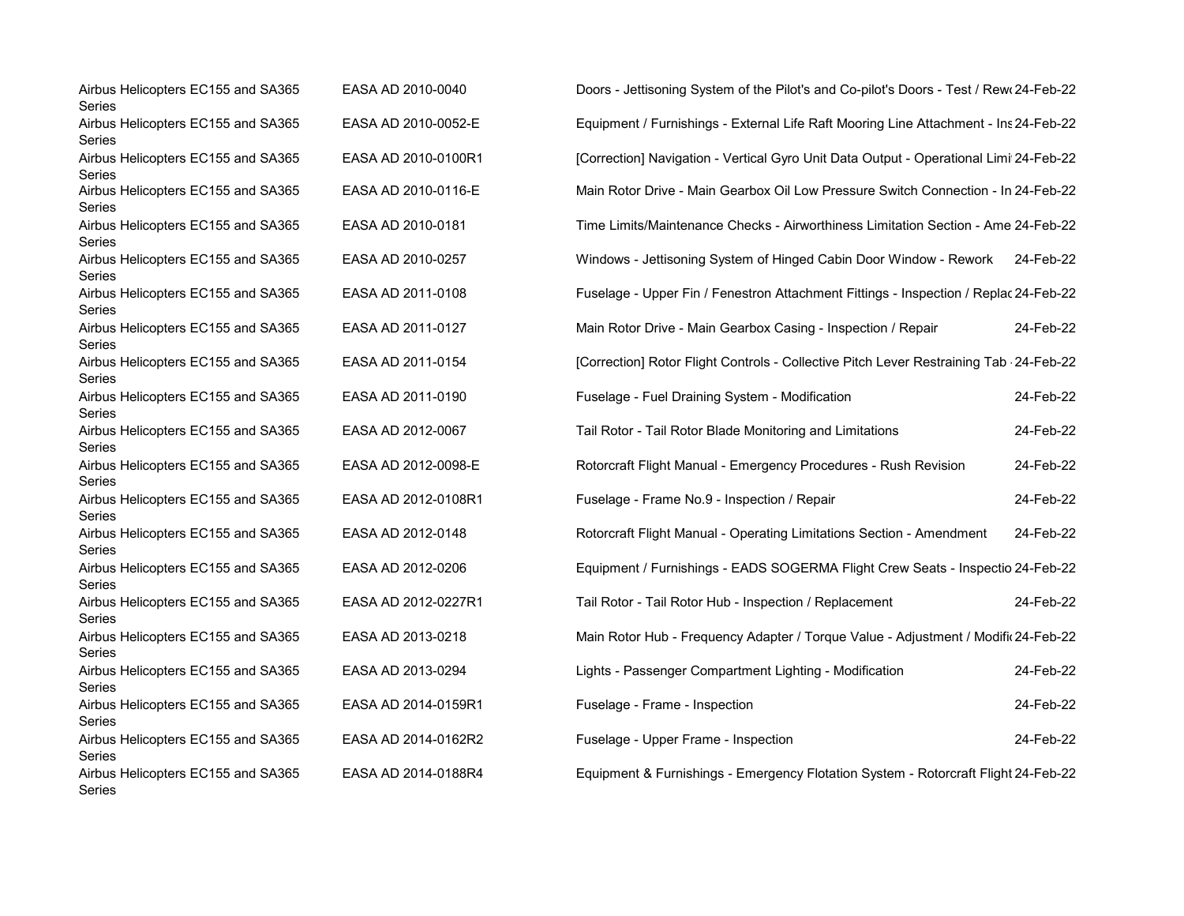| Airbus Helicopters EC155 and SA365<br>Series | EASA AD 2010-0040   | Doors - Jettisoning System of the Pilot's and Co-pilot's Doors - Test / Rew 24-Feb-22   |           |
|----------------------------------------------|---------------------|-----------------------------------------------------------------------------------------|-----------|
| Airbus Helicopters EC155 and SA365<br>Series | EASA AD 2010-0052-E | Equipment / Furnishings - External Life Raft Mooring Line Attachment - Ins 24-Feb-22    |           |
| Airbus Helicopters EC155 and SA365<br>Series | EASA AD 2010-0100R1 | [Correction] Navigation - Vertical Gyro Unit Data Output - Operational Limi 24-Feb-22   |           |
| Airbus Helicopters EC155 and SA365<br>Series | EASA AD 2010-0116-E | Main Rotor Drive - Main Gearbox Oil Low Pressure Switch Connection - In 24-Feb-22       |           |
| Airbus Helicopters EC155 and SA365<br>Series | EASA AD 2010-0181   | Time Limits/Maintenance Checks - Airworthiness Limitation Section - Ame 24-Feb-22       |           |
| Airbus Helicopters EC155 and SA365<br>Series | EASA AD 2010-0257   | Windows - Jettisoning System of Hinged Cabin Door Window - Rework                       | 24-Feb-22 |
| Airbus Helicopters EC155 and SA365<br>Series | EASA AD 2011-0108   | Fuselage - Upper Fin / Fenestron Attachment Fittings - Inspection / Replac 24-Feb-22    |           |
| Airbus Helicopters EC155 and SA365<br>Series | EASA AD 2011-0127   | Main Rotor Drive - Main Gearbox Casing - Inspection / Repair                            | 24-Feb-22 |
| Airbus Helicopters EC155 and SA365<br>Series | EASA AD 2011-0154   | [Correction] Rotor Flight Controls - Collective Pitch Lever Restraining Tab - 24-Feb-22 |           |
| Airbus Helicopters EC155 and SA365<br>Series | EASA AD 2011-0190   | Fuselage - Fuel Draining System - Modification                                          | 24-Feb-22 |
| Airbus Helicopters EC155 and SA365<br>Series | EASA AD 2012-0067   | Tail Rotor - Tail Rotor Blade Monitoring and Limitations                                | 24-Feb-22 |
| Airbus Helicopters EC155 and SA365<br>Series | EASA AD 2012-0098-E | Rotorcraft Flight Manual - Emergency Procedures - Rush Revision                         | 24-Feb-22 |
| Airbus Helicopters EC155 and SA365<br>Series | EASA AD 2012-0108R1 | Fuselage - Frame No.9 - Inspection / Repair                                             | 24-Feb-22 |
| Airbus Helicopters EC155 and SA365<br>Series | EASA AD 2012-0148   | Rotorcraft Flight Manual - Operating Limitations Section - Amendment                    | 24-Feb-22 |
| Airbus Helicopters EC155 and SA365<br>Series | EASA AD 2012-0206   | Equipment / Furnishings - EADS SOGERMA Flight Crew Seats - Inspectio 24-Feb-22          |           |
| Airbus Helicopters EC155 and SA365<br>Series | EASA AD 2012-0227R1 | Tail Rotor - Tail Rotor Hub - Inspection / Replacement                                  | 24-Feb-22 |
| Airbus Helicopters EC155 and SA365<br>Series | EASA AD 2013-0218   | Main Rotor Hub - Frequency Adapter / Torque Value - Adjustment / Modific 24-Feb-22      |           |
| Airbus Helicopters EC155 and SA365<br>Series | EASA AD 2013-0294   | Lights - Passenger Compartment Lighting - Modification                                  | 24-Feb-22 |
| Airbus Helicopters EC155 and SA365<br>Series | EASA AD 2014-0159R1 | Fuselage - Frame - Inspection                                                           | 24-Feb-22 |
| Airbus Helicopters EC155 and SA365<br>Series | EASA AD 2014-0162R2 | Fuselage - Upper Frame - Inspection                                                     | 24-Feb-22 |
| Airbus Helicopters EC155 and SA365<br>Series | EASA AD 2014-0188R4 | Equipment & Furnishings - Emergency Flotation System - Rotorcraft Flight 24-Feb-22      |           |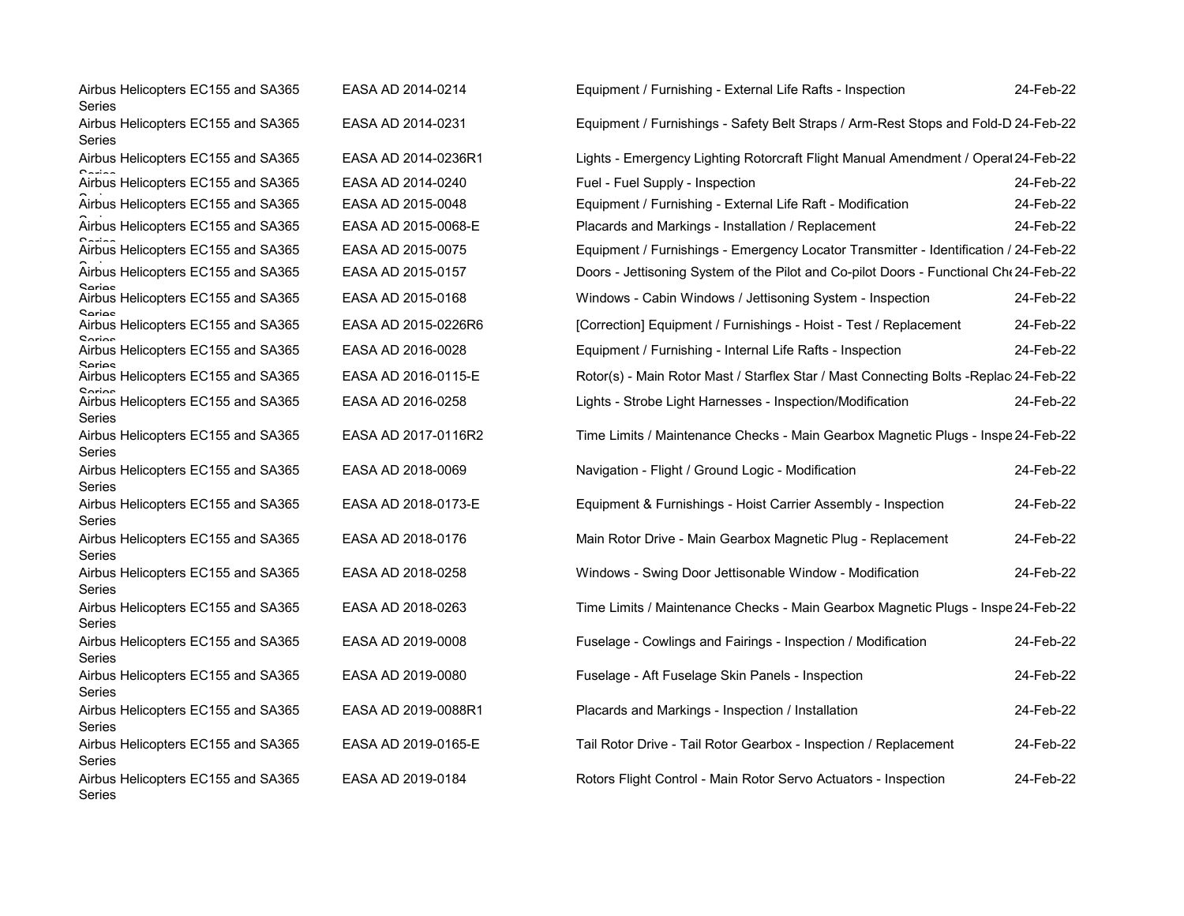| Airbus Helicopters EC155 and SA365<br>Series           | EASA AD 2014-0214   | Equipment / Furnishing - External Life Rafts - Inspection                             | 24-Feb-22 |
|--------------------------------------------------------|---------------------|---------------------------------------------------------------------------------------|-----------|
| Airbus Helicopters EC155 and SA365<br>Series           | EASA AD 2014-0231   | Equipment / Furnishings - Safety Belt Straps / Arm-Rest Stops and Fold-D 24-Feb-22    |           |
| Airbus Helicopters EC155 and SA365                     | EASA AD 2014-0236R1 | Lights - Emergency Lighting Rotorcraft Flight Manual Amendment / Operal 24-Feb-22     |           |
| Airbus Helicopters EC155 and SA365                     | EASA AD 2014-0240   | Fuel - Fuel Supply - Inspection                                                       | 24-Feb-22 |
| Airbus Helicopters EC155 and SA365                     | EASA AD 2015-0048   | Equipment / Furnishing - External Life Raft - Modification                            | 24-Feb-22 |
| Airbus Helicopters EC155 and SA365                     | EASA AD 2015-0068-E | Placards and Markings - Installation / Replacement                                    | 24-Feb-22 |
| Airbus Helicopters EC155 and SA365                     | EASA AD 2015-0075   | Equipment / Furnishings - Emergency Locator Transmitter - Identification / 24-Feb-22  |           |
| Airbus Helicopters EC155 and SA365                     | EASA AD 2015-0157   | Doors - Jettisoning System of the Pilot and Co-pilot Doors - Functional Che 24-Feb-22 |           |
| Corion<br>Airbus Helicopters EC155 and SA365           | EASA AD 2015-0168   | Windows - Cabin Windows / Jettisoning System - Inspection                             | 24-Feb-22 |
| ممoriae<br>Airbus Helicopters EC155 and SA365          | EASA AD 2015-0226R6 | [Correction] Equipment / Furnishings - Hoist - Test / Replacement                     | 24-Feb-22 |
| Airbus Helicopters EC155 and SA365                     | EASA AD 2016-0028   | Equipment / Furnishing - Internal Life Rafts - Inspection                             | 24-Feb-22 |
| <b>Sariac</b><br>Airbus Helicopters EC155 and SA365    | EASA AD 2016-0115-E | Rotor(s) - Main Rotor Mast / Starflex Star / Mast Connecting Bolts -Replac 24-Feb-22  |           |
| Corion<br>Airbus Helicopters EC155 and SA365<br>Series | EASA AD 2016-0258   | Lights - Strobe Light Harnesses - Inspection/Modification                             | 24-Feb-22 |
| Airbus Helicopters EC155 and SA365<br>Series           | EASA AD 2017-0116R2 | Time Limits / Maintenance Checks - Main Gearbox Magnetic Plugs - Inspe 24-Feb-22      |           |
| Airbus Helicopters EC155 and SA365<br>Series           | EASA AD 2018-0069   | Navigation - Flight / Ground Logic - Modification                                     | 24-Feb-22 |
| Airbus Helicopters EC155 and SA365<br>Series           | EASA AD 2018-0173-E | Equipment & Furnishings - Hoist Carrier Assembly - Inspection                         | 24-Feb-22 |
| Airbus Helicopters EC155 and SA365<br>Series           | EASA AD 2018-0176   | Main Rotor Drive - Main Gearbox Magnetic Plug - Replacement                           | 24-Feb-22 |
| Airbus Helicopters EC155 and SA365<br>Series           | EASA AD 2018-0258   | Windows - Swing Door Jettisonable Window - Modification                               | 24-Feb-22 |
| Airbus Helicopters EC155 and SA365<br>Series           | EASA AD 2018-0263   | Time Limits / Maintenance Checks - Main Gearbox Magnetic Plugs - Inspe 24-Feb-22      |           |
| Airbus Helicopters EC155 and SA365<br>Series           | EASA AD 2019-0008   | Fuselage - Cowlings and Fairings - Inspection / Modification                          | 24-Feb-22 |
| Airbus Helicopters EC155 and SA365<br>Series           | EASA AD 2019-0080   | Fuselage - Aft Fuselage Skin Panels - Inspection                                      | 24-Feb-22 |
| Airbus Helicopters EC155 and SA365<br>Series           | EASA AD 2019-0088R1 | Placards and Markings - Inspection / Installation                                     | 24-Feb-22 |
| Airbus Helicopters EC155 and SA365<br>Series           | EASA AD 2019-0165-E | Tail Rotor Drive - Tail Rotor Gearbox - Inspection / Replacement                      | 24-Feb-22 |
| Airbus Helicopters EC155 and SA365<br>Series           | EASA AD 2019-0184   | Rotors Flight Control - Main Rotor Servo Actuators - Inspection                       | 24-Feb-22 |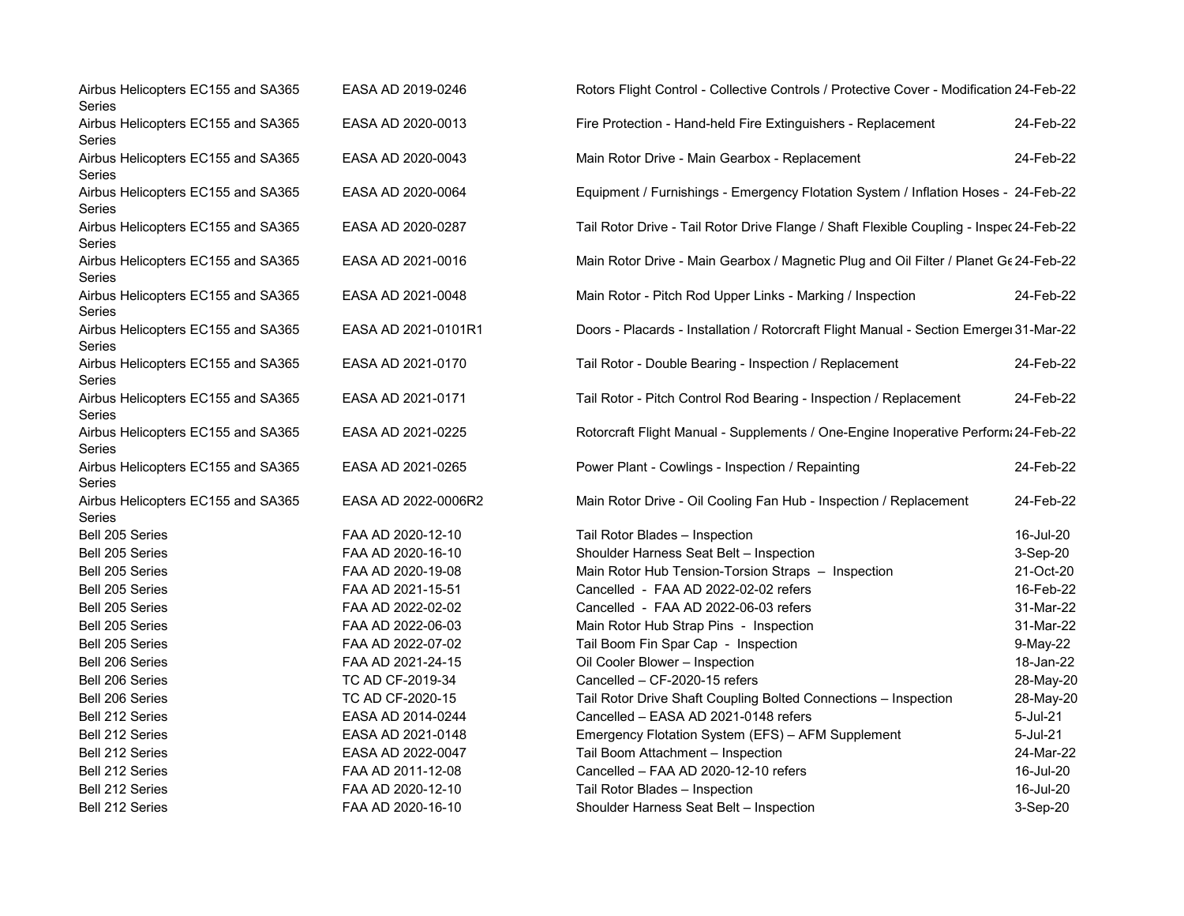| Airbus Helicopters EC155 and SA365<br>Series        | EASA AD 2019-0246   | Rotors Flight Control - Collective Controls / Protective Cover - Modification 24-Feb-22 |           |
|-----------------------------------------------------|---------------------|-----------------------------------------------------------------------------------------|-----------|
| Airbus Helicopters EC155 and SA365<br>Series        | EASA AD 2020-0013   | Fire Protection - Hand-held Fire Extinguishers - Replacement                            | 24-Feb-22 |
| Airbus Helicopters EC155 and SA365<br>Series        | EASA AD 2020-0043   | Main Rotor Drive - Main Gearbox - Replacement                                           | 24-Feb-22 |
| Airbus Helicopters EC155 and SA365<br>Series        | EASA AD 2020-0064   | Equipment / Furnishings - Emergency Flotation System / Inflation Hoses - 24-Feb-22      |           |
| Airbus Helicopters EC155 and SA365<br>Series        | EASA AD 2020-0287   | Tail Rotor Drive - Tail Rotor Drive Flange / Shaft Flexible Coupling - Inspec 24-Feb-22 |           |
| Airbus Helicopters EC155 and SA365<br>Series        | EASA AD 2021-0016   | Main Rotor Drive - Main Gearbox / Magnetic Plug and Oil Filter / Planet Ge 24-Feb-22    |           |
| Airbus Helicopters EC155 and SA365<br>Series        | EASA AD 2021-0048   | Main Rotor - Pitch Rod Upper Links - Marking / Inspection                               | 24-Feb-22 |
| Airbus Helicopters EC155 and SA365<br>Series        | EASA AD 2021-0101R1 | Doors - Placards - Installation / Rotorcraft Flight Manual - Section Emerger 31-Mar-22  |           |
| Airbus Helicopters EC155 and SA365<br>Series        | EASA AD 2021-0170   | Tail Rotor - Double Bearing - Inspection / Replacement                                  | 24-Feb-22 |
| Airbus Helicopters EC155 and SA365<br>Series        | EASA AD 2021-0171   | Tail Rotor - Pitch Control Rod Bearing - Inspection / Replacement                       | 24-Feb-22 |
| Airbus Helicopters EC155 and SA365<br>Series        | EASA AD 2021-0225   | Rotorcraft Flight Manual - Supplements / One-Engine Inoperative Perform: 24-Feb-22      |           |
| Airbus Helicopters EC155 and SA365<br>Series        | EASA AD 2021-0265   | Power Plant - Cowlings - Inspection / Repainting                                        | 24-Feb-22 |
| Airbus Helicopters EC155 and SA365<br><b>Series</b> | EASA AD 2022-0006R2 | Main Rotor Drive - Oil Cooling Fan Hub - Inspection / Replacement                       | 24-Feb-22 |
| Bell 205 Series                                     | FAA AD 2020-12-10   | Tail Rotor Blades - Inspection                                                          | 16-Jul-20 |
| Bell 205 Series                                     | FAA AD 2020-16-10   | Shoulder Harness Seat Belt - Inspection                                                 | 3-Sep-20  |
| Bell 205 Series                                     | FAA AD 2020-19-08   | Main Rotor Hub Tension-Torsion Straps - Inspection                                      | 21-Oct-20 |
| Bell 205 Series                                     | FAA AD 2021-15-51   | Cancelled - FAA AD 2022-02-02 refers                                                    | 16-Feb-22 |
| Bell 205 Series                                     | FAA AD 2022-02-02   | Cancelled - FAA AD 2022-06-03 refers                                                    | 31-Mar-22 |
| Bell 205 Series                                     | FAA AD 2022-06-03   | Main Rotor Hub Strap Pins - Inspection                                                  | 31-Mar-22 |
| Bell 205 Series                                     | FAA AD 2022-07-02   | Tail Boom Fin Spar Cap - Inspection                                                     | 9-May-22  |
| Bell 206 Series                                     | FAA AD 2021-24-15   | Oil Cooler Blower - Inspection                                                          | 18-Jan-22 |
| Bell 206 Series                                     | TC AD CF-2019-34    | Cancelled - CF-2020-15 refers                                                           | 28-May-20 |
| Bell 206 Series                                     | TC AD CF-2020-15    | Tail Rotor Drive Shaft Coupling Bolted Connections - Inspection                         | 28-May-20 |
| Bell 212 Series                                     | EASA AD 2014-0244   | Cancelled - EASA AD 2021-0148 refers                                                    | 5-Jul-21  |
| Bell 212 Series                                     | EASA AD 2021-0148   | Emergency Flotation System (EFS) - AFM Supplement                                       | 5-Jul-21  |
| Bell 212 Series                                     | EASA AD 2022-0047   | Tail Boom Attachment - Inspection                                                       | 24-Mar-22 |
| Bell 212 Series                                     | FAA AD 2011-12-08   | Cancelled - FAA AD 2020-12-10 refers                                                    | 16-Jul-20 |
| Bell 212 Series                                     | FAA AD 2020-12-10   | Tail Rotor Blades - Inspection                                                          | 16-Jul-20 |
| Bell 212 Series                                     | FAA AD 2020-16-10   | Shoulder Harness Seat Belt - Inspection                                                 | 3-Sep-20  |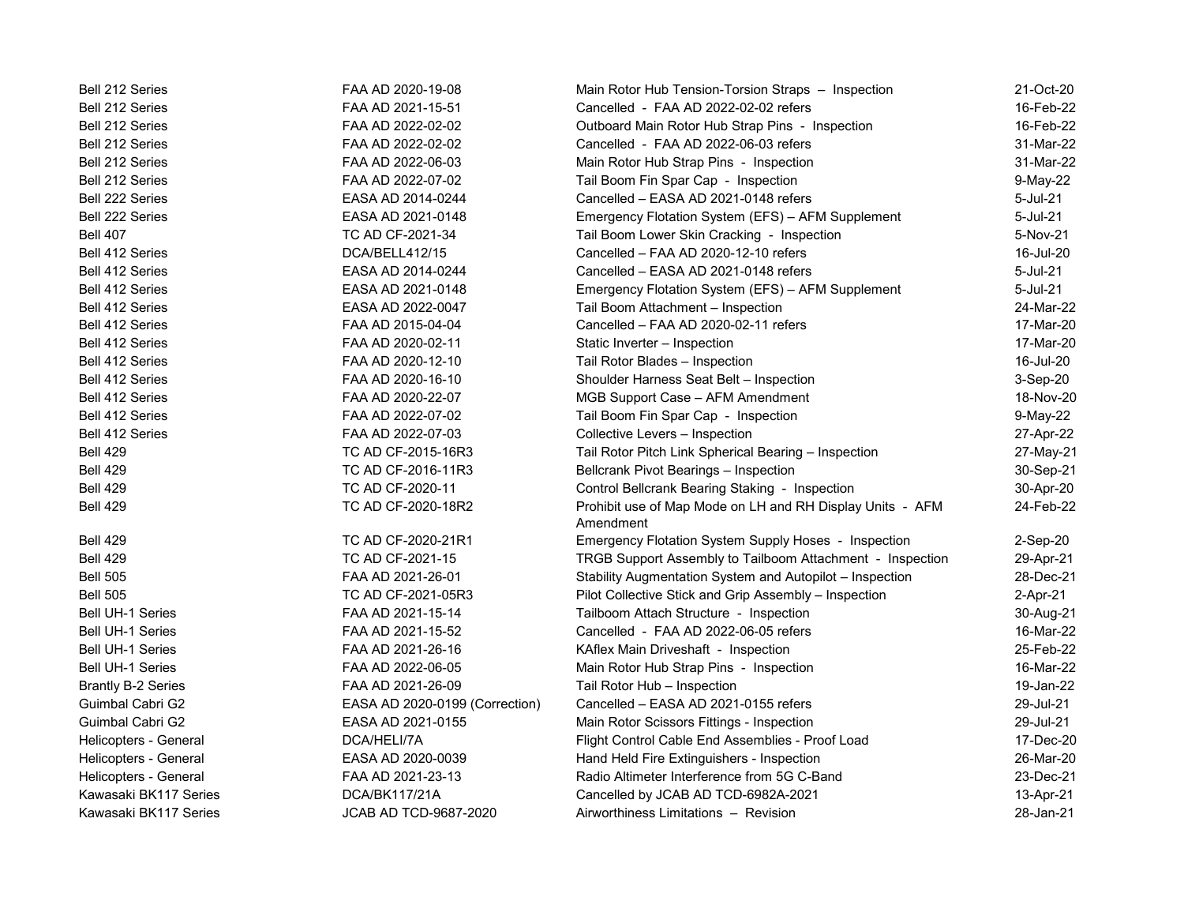| Bell 212 Series           | FAA AD 2020-19-08              | Main Rotor Hub Tension-Torsion Straps - Inspection                     | 21-Oct-20 |
|---------------------------|--------------------------------|------------------------------------------------------------------------|-----------|
| Bell 212 Series           | FAA AD 2021-15-51              | Cancelled - FAA AD 2022-02-02 refers                                   | 16-Feb-22 |
| <b>Bell 212 Series</b>    | FAA AD 2022-02-02              | Outboard Main Rotor Hub Strap Pins - Inspection                        | 16-Feb-22 |
| Bell 212 Series           | FAA AD 2022-02-02              | Cancelled - FAA AD 2022-06-03 refers                                   | 31-Mar-22 |
| <b>Bell 212 Series</b>    | FAA AD 2022-06-03              | Main Rotor Hub Strap Pins - Inspection                                 | 31-Mar-22 |
| Bell 212 Series           | FAA AD 2022-07-02              | Tail Boom Fin Spar Cap - Inspection                                    | 9-May-22  |
| Bell 222 Series           | EASA AD 2014-0244              | Cancelled - EASA AD 2021-0148 refers                                   | 5-Jul-21  |
| Bell 222 Series           | EASA AD 2021-0148              | Emergency Flotation System (EFS) - AFM Supplement                      | 5-Jul-21  |
| <b>Bell 407</b>           | TC AD CF-2021-34               | Tail Boom Lower Skin Cracking - Inspection                             | 5-Nov-21  |
| Bell 412 Series           | DCA/BELL412/15                 | Cancelled - FAA AD 2020-12-10 refers                                   | 16-Jul-20 |
| Bell 412 Series           | EASA AD 2014-0244              | Cancelled - EASA AD 2021-0148 refers                                   | 5-Jul-21  |
| Bell 412 Series           | EASA AD 2021-0148              | Emergency Flotation System (EFS) - AFM Supplement                      | 5-Jul-21  |
| Bell 412 Series           | EASA AD 2022-0047              | Tail Boom Attachment - Inspection                                      | 24-Mar-22 |
| Bell 412 Series           | FAA AD 2015-04-04              | Cancelled - FAA AD 2020-02-11 refers                                   | 17-Mar-20 |
| <b>Bell 412 Series</b>    | FAA AD 2020-02-11              | Static Inverter - Inspection                                           | 17-Mar-20 |
| Bell 412 Series           | FAA AD 2020-12-10              | Tail Rotor Blades - Inspection                                         | 16-Jul-20 |
| Bell 412 Series           | FAA AD 2020-16-10              | Shoulder Harness Seat Belt - Inspection                                | 3-Sep-20  |
| Bell 412 Series           | FAA AD 2020-22-07              | MGB Support Case - AFM Amendment                                       | 18-Nov-20 |
| Bell 412 Series           | FAA AD 2022-07-02              | Tail Boom Fin Spar Cap - Inspection                                    | 9-May-22  |
| Bell 412 Series           | FAA AD 2022-07-03              | Collective Levers - Inspection                                         | 27-Apr-22 |
| <b>Bell 429</b>           | TC AD CF-2015-16R3             | Tail Rotor Pitch Link Spherical Bearing - Inspection                   | 27-May-21 |
| <b>Bell 429</b>           | TC AD CF-2016-11R3             | Bellcrank Pivot Bearings - Inspection                                  | 30-Sep-21 |
| <b>Bell 429</b>           | TC AD CF-2020-11               | Control Bellcrank Bearing Staking - Inspection                         | 30-Apr-20 |
| <b>Bell 429</b>           | TC AD CF-2020-18R2             | Prohibit use of Map Mode on LH and RH Display Units - AFM<br>Amendment | 24-Feb-22 |
| <b>Bell 429</b>           | TC AD CF-2020-21R1             | Emergency Flotation System Supply Hoses - Inspection                   | 2-Sep-20  |
| <b>Bell 429</b>           | TC AD CF-2021-15               | TRGB Support Assembly to Tailboom Attachment - Inspection              | 29-Apr-21 |
| <b>Bell 505</b>           | FAA AD 2021-26-01              | Stability Augmentation System and Autopilot - Inspection               | 28-Dec-21 |
| <b>Bell 505</b>           | TC AD CF-2021-05R3             | Pilot Collective Stick and Grip Assembly - Inspection                  | 2-Apr-21  |
| <b>Bell UH-1 Series</b>   | FAA AD 2021-15-14              | Tailboom Attach Structure - Inspection                                 | 30-Aug-21 |
| <b>Bell UH-1 Series</b>   | FAA AD 2021-15-52              | Cancelled - FAA AD 2022-06-05 refers                                   | 16-Mar-22 |
| <b>Bell UH-1 Series</b>   | FAA AD 2021-26-16              | KAflex Main Driveshaft - Inspection                                    | 25-Feb-22 |
| <b>Bell UH-1 Series</b>   | FAA AD 2022-06-05              | Main Rotor Hub Strap Pins - Inspection                                 | 16-Mar-22 |
| <b>Brantly B-2 Series</b> | FAA AD 2021-26-09              | Tail Rotor Hub - Inspection                                            | 19-Jan-22 |
| Guimbal Cabri G2          | EASA AD 2020-0199 (Correction) | Cancelled - EASA AD 2021-0155 refers                                   | 29-Jul-21 |
| Guimbal Cabri G2          | EASA AD 2021-0155              | Main Rotor Scissors Fittings - Inspection                              | 29-Jul-21 |
| Helicopters - General     | DCA/HELI/7A                    | Flight Control Cable End Assemblies - Proof Load                       | 17-Dec-20 |
| Helicopters - General     | EASA AD 2020-0039              | Hand Held Fire Extinguishers - Inspection                              | 26-Mar-20 |
| Helicopters - General     | FAA AD 2021-23-13              | Radio Altimeter Interference from 5G C-Band                            | 23-Dec-21 |
| Kawasaki BK117 Series     | DCA/BK117/21A                  | Cancelled by JCAB AD TCD-6982A-2021                                    | 13-Apr-21 |
| Kawasaki BK117 Series     | JCAB AD TCD-9687-2020          | Airworthiness Limitations - Revision                                   | 28-Jan-21 |
|                           |                                |                                                                        |           |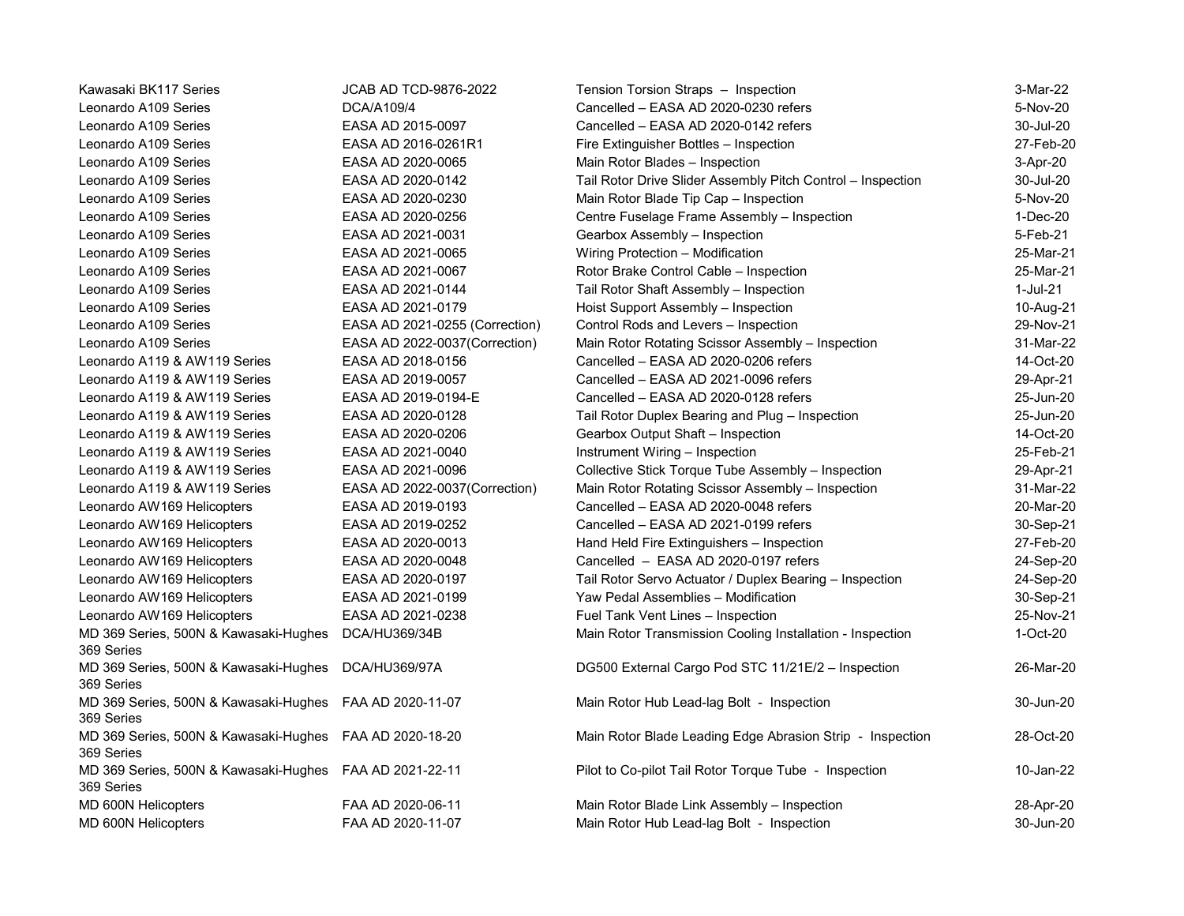| Kawasaki BK117 Series                                                 | <b>JCAB AD TCD-9876-2022</b>   | Tension Torsion Straps - Inspection                         | 3-Mar-22  |
|-----------------------------------------------------------------------|--------------------------------|-------------------------------------------------------------|-----------|
| Leonardo A109 Series                                                  | DCA/A109/4                     | Cancelled - EASA AD 2020-0230 refers                        | 5-Nov-20  |
| Leonardo A109 Series                                                  | EASA AD 2015-0097              | Cancelled - EASA AD 2020-0142 refers                        | 30-Jul-20 |
| Leonardo A109 Series                                                  | EASA AD 2016-0261R1            | Fire Extinguisher Bottles - Inspection                      | 27-Feb-20 |
| Leonardo A109 Series                                                  | EASA AD 2020-0065              | Main Rotor Blades - Inspection                              | 3-Apr-20  |
| Leonardo A109 Series                                                  | EASA AD 2020-0142              | Tail Rotor Drive Slider Assembly Pitch Control - Inspection | 30-Jul-20 |
| Leonardo A109 Series                                                  | EASA AD 2020-0230              | Main Rotor Blade Tip Cap - Inspection                       | 5-Nov-20  |
| Leonardo A109 Series                                                  | EASA AD 2020-0256              | Centre Fuselage Frame Assembly - Inspection                 | 1-Dec-20  |
| Leonardo A109 Series                                                  | EASA AD 2021-0031              | Gearbox Assembly - Inspection                               | 5-Feb-21  |
| Leonardo A109 Series                                                  | EASA AD 2021-0065              | Wiring Protection - Modification                            | 25-Mar-21 |
| Leonardo A109 Series                                                  | EASA AD 2021-0067              | Rotor Brake Control Cable - Inspection                      | 25-Mar-21 |
| Leonardo A109 Series                                                  | EASA AD 2021-0144              | Tail Rotor Shaft Assembly - Inspection                      | 1-Jul-21  |
| Leonardo A109 Series                                                  | EASA AD 2021-0179              | Hoist Support Assembly - Inspection                         | 10-Aug-21 |
| Leonardo A109 Series                                                  | EASA AD 2021-0255 (Correction) | Control Rods and Levers - Inspection                        | 29-Nov-21 |
| Leonardo A109 Series                                                  | EASA AD 2022-0037(Correction)  | Main Rotor Rotating Scissor Assembly - Inspection           | 31-Mar-22 |
| Leonardo A119 & AW119 Series                                          | EASA AD 2018-0156              | Cancelled - EASA AD 2020-0206 refers                        | 14-Oct-20 |
| Leonardo A119 & AW119 Series                                          | EASA AD 2019-0057              | Cancelled - EASA AD 2021-0096 refers                        | 29-Apr-21 |
| Leonardo A119 & AW119 Series                                          | EASA AD 2019-0194-E            | Cancelled - EASA AD 2020-0128 refers                        | 25-Jun-20 |
| Leonardo A119 & AW119 Series                                          | EASA AD 2020-0128              | Tail Rotor Duplex Bearing and Plug - Inspection             | 25-Jun-20 |
| Leonardo A119 & AW119 Series                                          | EASA AD 2020-0206              | Gearbox Output Shaft - Inspection                           | 14-Oct-20 |
| Leonardo A119 & AW119 Series                                          | EASA AD 2021-0040              | Instrument Wiring - Inspection                              | 25-Feb-21 |
| Leonardo A119 & AW119 Series                                          | EASA AD 2021-0096              | Collective Stick Torque Tube Assembly - Inspection          | 29-Apr-21 |
| Leonardo A119 & AW119 Series                                          | EASA AD 2022-0037 (Correction) | Main Rotor Rotating Scissor Assembly - Inspection           | 31-Mar-22 |
| Leonardo AW169 Helicopters                                            | EASA AD 2019-0193              | Cancelled - EASA AD 2020-0048 refers                        | 20-Mar-20 |
| Leonardo AW169 Helicopters                                            | EASA AD 2019-0252              | Cancelled - EASA AD 2021-0199 refers                        | 30-Sep-21 |
| Leonardo AW169 Helicopters                                            | EASA AD 2020-0013              | Hand Held Fire Extinguishers - Inspection                   | 27-Feb-20 |
| Leonardo AW169 Helicopters                                            | EASA AD 2020-0048              | Cancelled - EASA AD 2020-0197 refers                        | 24-Sep-20 |
| Leonardo AW169 Helicopters                                            | EASA AD 2020-0197              | Tail Rotor Servo Actuator / Duplex Bearing - Inspection     | 24-Sep-20 |
| Leonardo AW169 Helicopters                                            | EASA AD 2021-0199              | Yaw Pedal Assemblies - Modification                         | 30-Sep-21 |
| Leonardo AW169 Helicopters                                            | EASA AD 2021-0238              | Fuel Tank Vent Lines - Inspection                           | 25-Nov-21 |
| MD 369 Series, 500N & Kawasaki-Hughes<br>369 Series                   | DCA/HU369/34B                  | Main Rotor Transmission Cooling Installation - Inspection   | 1-Oct-20  |
| MD 369 Series, 500N & Kawasaki-Hughes DCA/HU369/97A<br>369 Series     |                                | DG500 External Cargo Pod STC 11/21E/2 - Inspection          | 26-Mar-20 |
| MD 369 Series, 500N & Kawasaki-Hughes FAA AD 2020-11-07<br>369 Series |                                | Main Rotor Hub Lead-lag Bolt - Inspection                   | 30-Jun-20 |
| MD 369 Series, 500N & Kawasaki-Hughes FAA AD 2020-18-20<br>369 Series |                                | Main Rotor Blade Leading Edge Abrasion Strip - Inspection   | 28-Oct-20 |
| MD 369 Series, 500N & Kawasaki-Hughes FAA AD 2021-22-11<br>369 Series |                                | Pilot to Co-pilot Tail Rotor Torque Tube - Inspection       | 10-Jan-22 |
| MD 600N Helicopters                                                   | FAA AD 2020-06-11              | Main Rotor Blade Link Assembly - Inspection                 | 28-Apr-20 |
| MD 600N Helicopters                                                   | FAA AD 2020-11-07              | Main Rotor Hub Lead-lag Bolt - Inspection                   | 30-Jun-20 |
|                                                                       |                                |                                                             |           |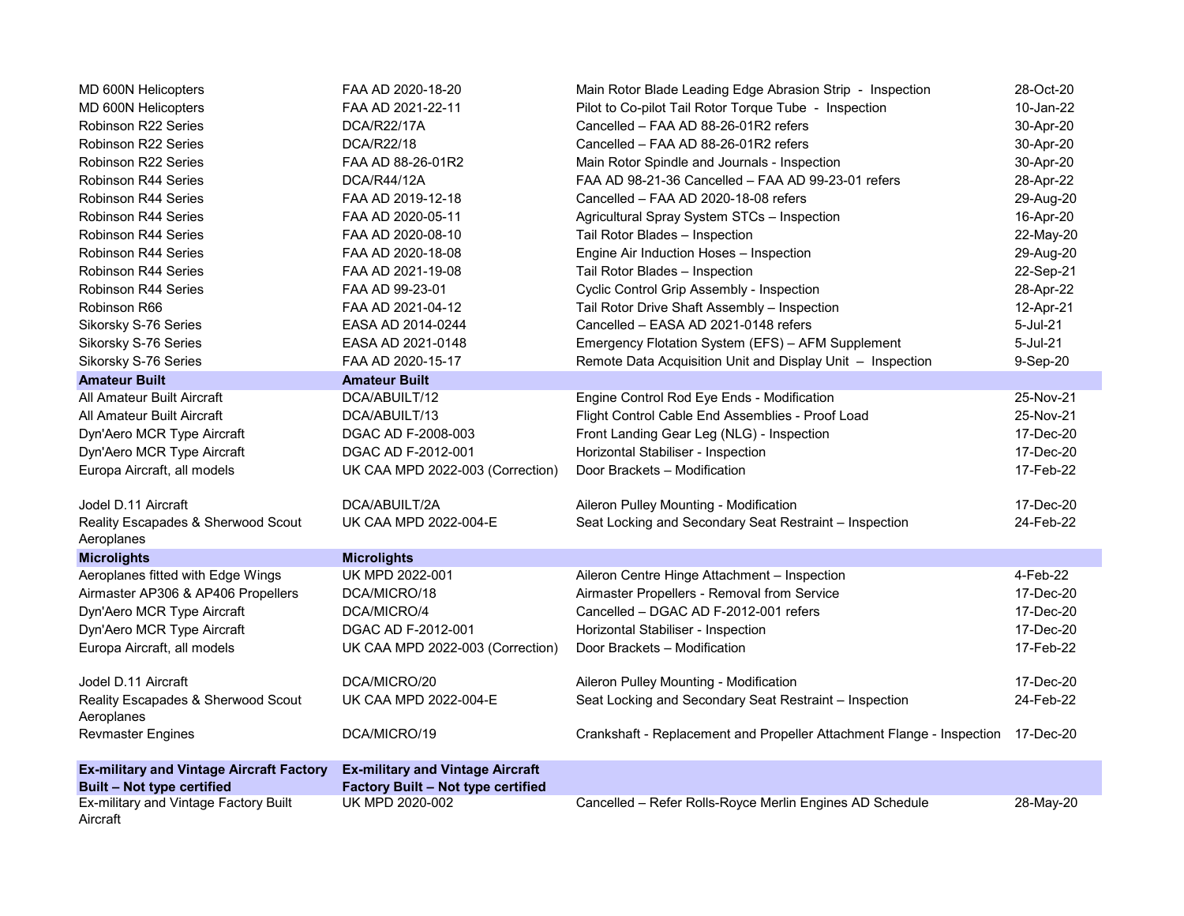| MD 600N Helicopters                              | FAA AD 2020-18-20                       | Main Rotor Blade Leading Edge Abrasion Strip - Inspection                       | 28-Oct-20 |
|--------------------------------------------------|-----------------------------------------|---------------------------------------------------------------------------------|-----------|
| MD 600N Helicopters                              | FAA AD 2021-22-11                       | Pilot to Co-pilot Tail Rotor Torque Tube - Inspection                           | 10-Jan-22 |
| Robinson R22 Series                              | <b>DCA/R22/17A</b>                      | Cancelled - FAA AD 88-26-01R2 refers                                            | 30-Apr-20 |
| Robinson R22 Series                              | DCA/R22/18                              | Cancelled - FAA AD 88-26-01R2 refers                                            | 30-Apr-20 |
| Robinson R22 Series                              | FAA AD 88-26-01R2                       | Main Rotor Spindle and Journals - Inspection                                    | 30-Apr-20 |
| Robinson R44 Series                              | <b>DCA/R44/12A</b>                      | FAA AD 98-21-36 Cancelled - FAA AD 99-23-01 refers                              | 28-Apr-22 |
| Robinson R44 Series                              | FAA AD 2019-12-18                       | Cancelled - FAA AD 2020-18-08 refers                                            | 29-Aug-20 |
| Robinson R44 Series                              | FAA AD 2020-05-11                       | Agricultural Spray System STCs - Inspection                                     | 16-Apr-20 |
| Robinson R44 Series                              | FAA AD 2020-08-10                       | Tail Rotor Blades - Inspection                                                  | 22-May-20 |
| Robinson R44 Series                              | FAA AD 2020-18-08                       | Engine Air Induction Hoses - Inspection                                         | 29-Aug-20 |
| Robinson R44 Series                              | FAA AD 2021-19-08                       | Tail Rotor Blades - Inspection                                                  | 22-Sep-21 |
| <b>Robinson R44 Series</b>                       | FAA AD 99-23-01                         | Cyclic Control Grip Assembly - Inspection                                       | 28-Apr-22 |
| Robinson R66                                     | FAA AD 2021-04-12                       | Tail Rotor Drive Shaft Assembly - Inspection                                    | 12-Apr-21 |
| Sikorsky S-76 Series                             | EASA AD 2014-0244                       | Cancelled - EASA AD 2021-0148 refers                                            | 5-Jul-21  |
| Sikorsky S-76 Series                             | EASA AD 2021-0148                       | Emergency Flotation System (EFS) - AFM Supplement                               | 5-Jul-21  |
| Sikorsky S-76 Series                             | FAA AD 2020-15-17                       | Remote Data Acquisition Unit and Display Unit - Inspection                      | 9-Sep-20  |
| <b>Amateur Built</b>                             | <b>Amateur Built</b>                    |                                                                                 |           |
| All Amateur Built Aircraft                       | DCA/ABUILT/12                           | Engine Control Rod Eye Ends - Modification                                      | 25-Nov-21 |
| All Amateur Built Aircraft                       | DCA/ABUILT/13                           | Flight Control Cable End Assemblies - Proof Load                                | 25-Nov-21 |
| Dyn'Aero MCR Type Aircraft                       | DGAC AD F-2008-003                      | Front Landing Gear Leg (NLG) - Inspection                                       | 17-Dec-20 |
| Dyn'Aero MCR Type Aircraft                       | DGAC AD F-2012-001                      | Horizontal Stabiliser - Inspection                                              | 17-Dec-20 |
| Europa Aircraft, all models                      | UK CAA MPD 2022-003 (Correction)        | Door Brackets - Modification                                                    | 17-Feb-22 |
| Jodel D.11 Aircraft                              | DCA/ABUILT/2A                           | Aileron Pulley Mounting - Modification                                          | 17-Dec-20 |
| Reality Escapades & Sherwood Scout<br>Aeroplanes | UK CAA MPD 2022-004-E                   | Seat Locking and Secondary Seat Restraint - Inspection                          | 24-Feb-22 |
| <b>Microlights</b>                               | <b>Microlights</b>                      |                                                                                 |           |
| Aeroplanes fitted with Edge Wings                | UK MPD 2022-001                         | Aileron Centre Hinge Attachment - Inspection                                    | 4-Feb-22  |
| Airmaster AP306 & AP406 Propellers               | DCA/MICRO/18                            | Airmaster Propellers - Removal from Service                                     | 17-Dec-20 |
| Dyn'Aero MCR Type Aircraft                       | DCA/MICRO/4                             | Cancelled - DGAC AD F-2012-001 refers                                           | 17-Dec-20 |
| Dyn'Aero MCR Type Aircraft                       | DGAC AD F-2012-001                      | Horizontal Stabiliser - Inspection                                              | 17-Dec-20 |
| Europa Aircraft, all models                      | UK CAA MPD 2022-003 (Correction)        | Door Brackets - Modification                                                    | 17-Feb-22 |
| Jodel D.11 Aircraft                              | DCA/MICRO/20                            | Aileron Pulley Mounting - Modification                                          | 17-Dec-20 |
| Reality Escapades & Sherwood Scout               | UK CAA MPD 2022-004-E                   | Seat Locking and Secondary Seat Restraint - Inspection                          | 24-Feb-22 |
| Aeroplanes<br><b>Revmaster Engines</b>           | DCA/MICRO/19                            | Crankshaft - Replacement and Propeller Attachment Flange - Inspection 17-Dec-20 |           |
| <b>Ex-military and Vintage Aircraft Factory</b>  | <b>Ex-military and Vintage Aircraft</b> |                                                                                 |           |
| Built - Not type certified                       | Factory Built - Not type certified      |                                                                                 |           |
| Ex-military and Vintage Factory Built            | UK MPD 2020-002                         | Cancelled - Refer Rolls-Royce Merlin Engines AD Schedule                        | 28-May-20 |
| Aircraft                                         |                                         |                                                                                 |           |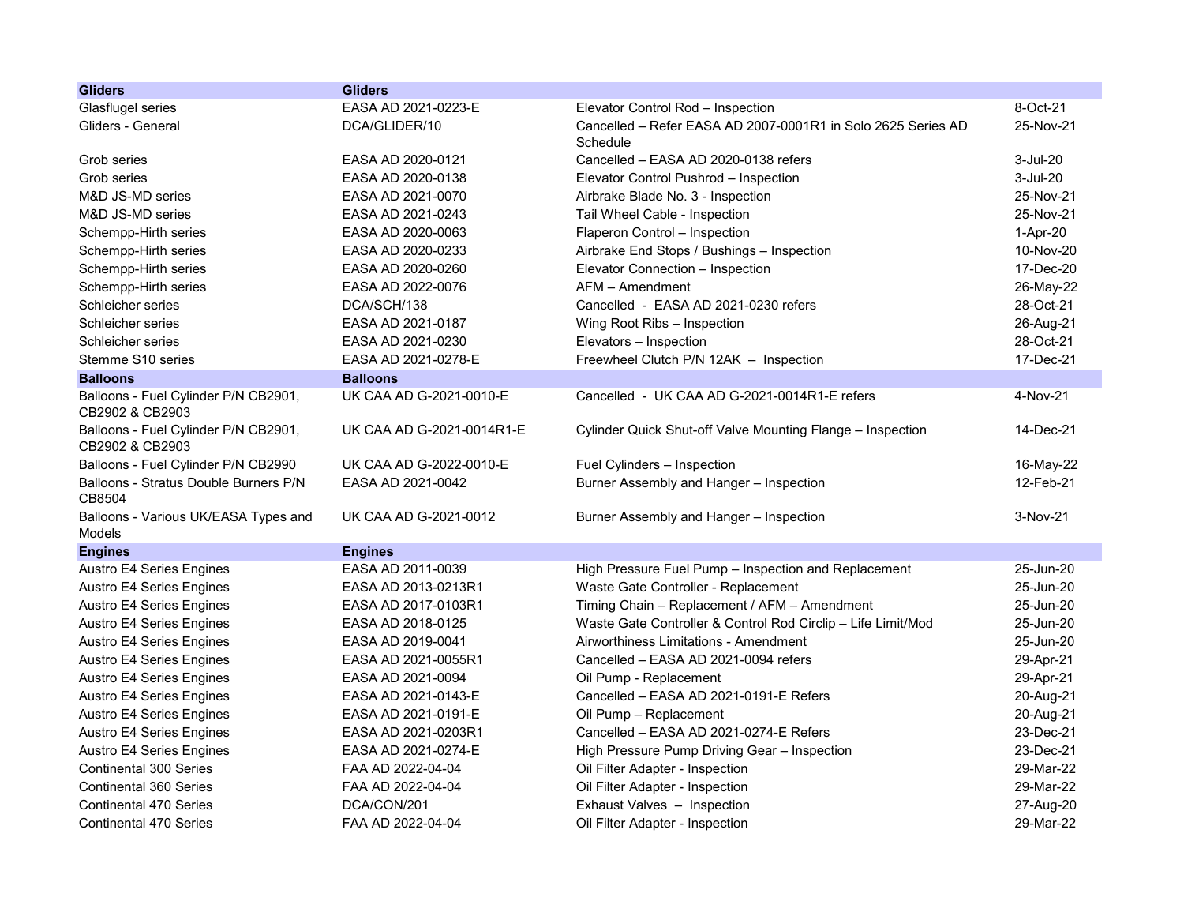| <b>Gliders</b>                                          | <b>Gliders</b>            |                                                                          |           |
|---------------------------------------------------------|---------------------------|--------------------------------------------------------------------------|-----------|
| Glasflugel series                                       | EASA AD 2021-0223-E       | Elevator Control Rod - Inspection                                        | 8-Oct-21  |
| Gliders - General                                       | DCA/GLIDER/10             | Cancelled - Refer EASA AD 2007-0001R1 in Solo 2625 Series AD<br>Schedule | 25-Nov-21 |
| Grob series                                             | EASA AD 2020-0121         | Cancelled - EASA AD 2020-0138 refers                                     | 3-Jul-20  |
| Grob series                                             | EASA AD 2020-0138         | Elevator Control Pushrod - Inspection                                    | 3-Jul-20  |
| M&D JS-MD series                                        | EASA AD 2021-0070         | Airbrake Blade No. 3 - Inspection                                        | 25-Nov-21 |
| M&D JS-MD series                                        | EASA AD 2021-0243         | Tail Wheel Cable - Inspection                                            | 25-Nov-21 |
| Schempp-Hirth series                                    | EASA AD 2020-0063         | Flaperon Control - Inspection                                            | 1-Apr-20  |
| Schempp-Hirth series                                    | EASA AD 2020-0233         | Airbrake End Stops / Bushings - Inspection                               | 10-Nov-20 |
| Schempp-Hirth series                                    | EASA AD 2020-0260         | Elevator Connection - Inspection                                         | 17-Dec-20 |
| Schempp-Hirth series                                    | EASA AD 2022-0076         | AFM - Amendment                                                          | 26-May-22 |
| Schleicher series                                       | DCA/SCH/138               | Cancelled - EASA AD 2021-0230 refers                                     | 28-Oct-21 |
| Schleicher series                                       | EASA AD 2021-0187         | Wing Root Ribs - Inspection                                              | 26-Aug-21 |
| Schleicher series                                       | EASA AD 2021-0230         | Elevators - Inspection                                                   | 28-Oct-21 |
| Stemme S10 series                                       | EASA AD 2021-0278-E       | Freewheel Clutch P/N 12AK - Inspection                                   | 17-Dec-21 |
| <b>Balloons</b>                                         | <b>Balloons</b>           |                                                                          |           |
| Balloons - Fuel Cylinder P/N CB2901,<br>CB2902 & CB2903 | UK CAA AD G-2021-0010-E   | Cancelled - UK CAA AD G-2021-0014R1-E refers                             | 4-Nov-21  |
| Balloons - Fuel Cylinder P/N CB2901,<br>CB2902 & CB2903 | UK CAA AD G-2021-0014R1-E | Cylinder Quick Shut-off Valve Mounting Flange - Inspection               | 14-Dec-21 |
| Balloons - Fuel Cylinder P/N CB2990                     | UK CAA AD G-2022-0010-E   | Fuel Cylinders - Inspection                                              | 16-May-22 |
| Balloons - Stratus Double Burners P/N<br>CB8504         | EASA AD 2021-0042         | Burner Assembly and Hanger - Inspection                                  | 12-Feb-21 |
| Balloons - Various UK/EASA Types and<br>Models          | UK CAA AD G-2021-0012     | Burner Assembly and Hanger - Inspection                                  | 3-Nov-21  |
| <b>Engines</b>                                          | <b>Engines</b>            |                                                                          |           |
| <b>Austro E4 Series Engines</b>                         | EASA AD 2011-0039         | High Pressure Fuel Pump - Inspection and Replacement                     | 25-Jun-20 |
| <b>Austro E4 Series Engines</b>                         | EASA AD 2013-0213R1       | Waste Gate Controller - Replacement                                      | 25-Jun-20 |
| <b>Austro E4 Series Engines</b>                         | EASA AD 2017-0103R1       | Timing Chain - Replacement / AFM - Amendment                             | 25-Jun-20 |
| Austro E4 Series Engines                                | EASA AD 2018-0125         | Waste Gate Controller & Control Rod Circlip - Life Limit/Mod             | 25-Jun-20 |
| <b>Austro E4 Series Engines</b>                         | EASA AD 2019-0041         | Airworthiness Limitations - Amendment                                    | 25-Jun-20 |
| <b>Austro E4 Series Engines</b>                         | EASA AD 2021-0055R1       | Cancelled - EASA AD 2021-0094 refers                                     | 29-Apr-21 |
| <b>Austro E4 Series Engines</b>                         | EASA AD 2021-0094         | Oil Pump - Replacement                                                   | 29-Apr-21 |
| <b>Austro E4 Series Engines</b>                         | EASA AD 2021-0143-E       | Cancelled - EASA AD 2021-0191-E Refers                                   | 20-Aug-21 |
| <b>Austro E4 Series Engines</b>                         | EASA AD 2021-0191-E       | Oil Pump - Replacement                                                   | 20-Aug-21 |
| Austro E4 Series Engines                                | EASA AD 2021-0203R1       | Cancelled - EASA AD 2021-0274-E Refers                                   | 23-Dec-21 |
| <b>Austro E4 Series Engines</b>                         | EASA AD 2021-0274-E       | High Pressure Pump Driving Gear - Inspection                             | 23-Dec-21 |
| <b>Continental 300 Series</b>                           | FAA AD 2022-04-04         | Oil Filter Adapter - Inspection                                          | 29-Mar-22 |
| Continental 360 Series                                  | FAA AD 2022-04-04         | Oil Filter Adapter - Inspection                                          | 29-Mar-22 |
| <b>Continental 470 Series</b>                           | DCA/CON/201               | Exhaust Valves - Inspection                                              | 27-Aug-20 |
| <b>Continental 470 Series</b>                           | FAA AD 2022-04-04         | Oil Filter Adapter - Inspection                                          | 29-Mar-22 |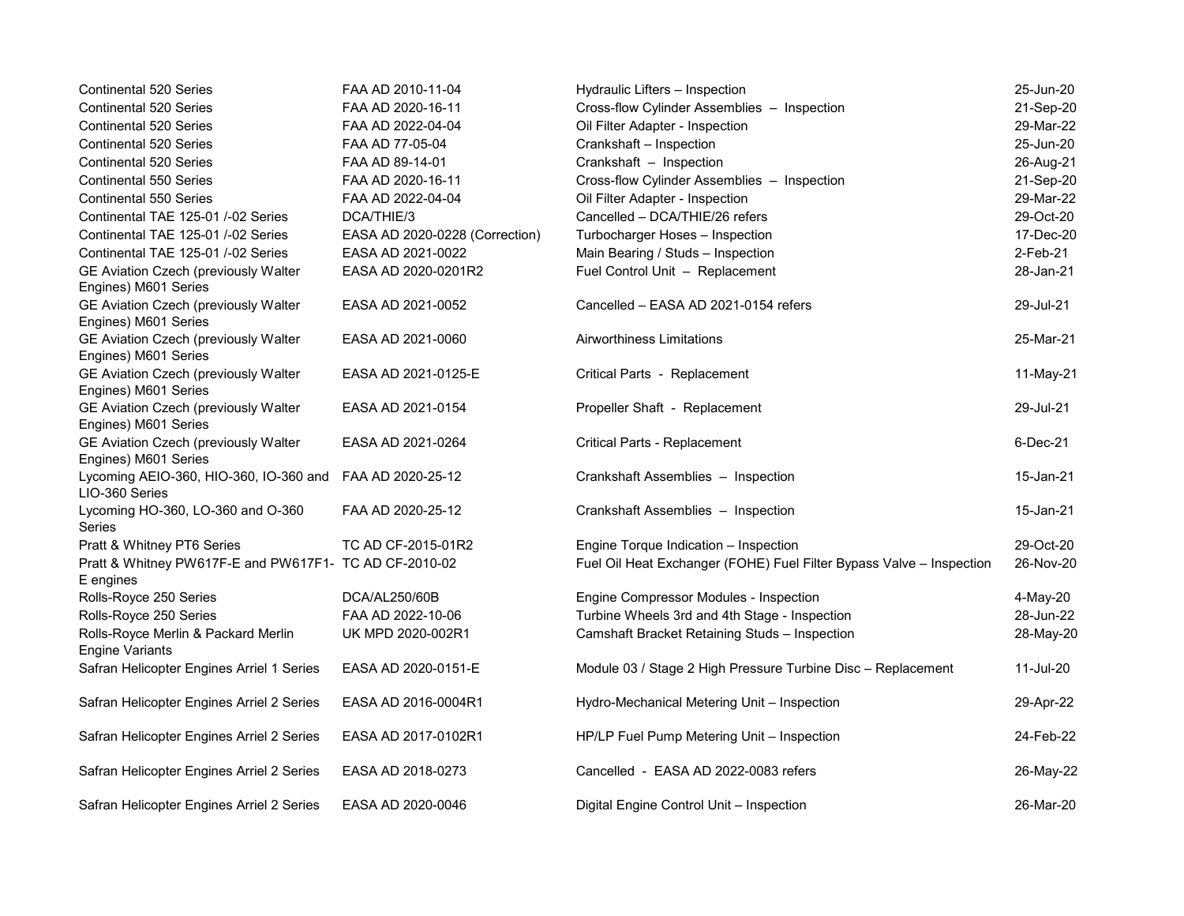| <b>Continental 520 Series</b>                                              | FAA AD 2010-11-04              | Hydraulic Lifters - Inspection                                       | 25-Jun-20 |
|----------------------------------------------------------------------------|--------------------------------|----------------------------------------------------------------------|-----------|
| <b>Continental 520 Series</b>                                              | FAA AD 2020-16-11              | Cross-flow Cylinder Assemblies - Inspection                          | 21-Sep-20 |
| <b>Continental 520 Series</b>                                              | FAA AD 2022-04-04              | Oil Filter Adapter - Inspection                                      | 29-Mar-22 |
| Continental 520 Series                                                     | FAA AD 77-05-04                | Crankshaft - Inspection                                              | 25-Jun-20 |
| Continental 520 Series                                                     | FAA AD 89-14-01                | Crankshaft - Inspection                                              | 26-Aug-21 |
| <b>Continental 550 Series</b>                                              | FAA AD 2020-16-11              | Cross-flow Cylinder Assemblies - Inspection                          | 21-Sep-20 |
| Continental 550 Series                                                     | FAA AD 2022-04-04              | Oil Filter Adapter - Inspection                                      | 29-Mar-22 |
| Continental TAE 125-01 /-02 Series                                         | DCA/THIE/3                     | Cancelled - DCA/THIE/26 refers                                       | 29-Oct-20 |
| Continental TAE 125-01 /-02 Series                                         | EASA AD 2020-0228 (Correction) | Turbocharger Hoses - Inspection                                      | 17-Dec-20 |
| Continental TAE 125-01 /-02 Series                                         | EASA AD 2021-0022              | Main Bearing / Studs - Inspection                                    | 2-Feb-21  |
| GE Aviation Czech (previously Walter<br>Engines) M601 Series               | EASA AD 2020-0201R2            | Fuel Control Unit - Replacement                                      | 28-Jan-21 |
| GE Aviation Czech (previously Walter<br>Engines) M601 Series               | EASA AD 2021-0052              | Cancelled - EASA AD 2021-0154 refers                                 | 29-Jul-21 |
| GE Aviation Czech (previously Walter<br>Engines) M601 Series               | EASA AD 2021-0060              | <b>Airworthiness Limitations</b>                                     | 25-Mar-21 |
| GE Aviation Czech (previously Walter<br>Engines) M601 Series               | EASA AD 2021-0125-E            | Critical Parts - Replacement                                         | 11-May-21 |
| GE Aviation Czech (previously Walter<br>Engines) M601 Series               | EASA AD 2021-0154              | Propeller Shaft - Replacement                                        | 29-Jul-21 |
| GE Aviation Czech (previously Walter<br>Engines) M601 Series               | EASA AD 2021-0264              | Critical Parts - Replacement                                         | 6-Dec-21  |
| Lycoming AEIO-360, HIO-360, IO-360 and FAA AD 2020-25-12<br>LIO-360 Series |                                | Crankshaft Assemblies - Inspection                                   | 15-Jan-21 |
| Lycoming HO-360, LO-360 and O-360<br><b>Series</b>                         | FAA AD 2020-25-12              | Crankshaft Assemblies - Inspection                                   | 15-Jan-21 |
| Pratt & Whitney PT6 Series                                                 | TC AD CF-2015-01R2             | Engine Torque Indication - Inspection                                | 29-Oct-20 |
| Pratt & Whitney PW617F-E and PW617F1- TC AD CF-2010-02<br>E engines        |                                | Fuel Oil Heat Exchanger (FOHE) Fuel Filter Bypass Valve - Inspection | 26-Nov-20 |
| Rolls-Royce 250 Series                                                     | DCA/AL250/60B                  | Engine Compressor Modules - Inspection                               | 4-May-20  |
| Rolls-Royce 250 Series                                                     | FAA AD 2022-10-06              | Turbine Wheels 3rd and 4th Stage - Inspection                        | 28-Jun-22 |
| Rolls-Royce Merlin & Packard Merlin<br><b>Engine Variants</b>              | UK MPD 2020-002R1              | Camshaft Bracket Retaining Studs - Inspection                        | 28-May-20 |
| Safran Helicopter Engines Arriel 1 Series                                  | EASA AD 2020-0151-E            | Module 03 / Stage 2 High Pressure Turbine Disc - Replacement         | 11-Jul-20 |
| Safran Helicopter Engines Arriel 2 Series                                  | EASA AD 2016-0004R1            | Hydro-Mechanical Metering Unit - Inspection                          | 29-Apr-22 |
| Safran Helicopter Engines Arriel 2 Series                                  | EASA AD 2017-0102R1            | HP/LP Fuel Pump Metering Unit - Inspection                           | 24-Feb-22 |
| Safran Helicopter Engines Arriel 2 Series                                  | EASA AD 2018-0273              | Cancelled - EASA AD 2022-0083 refers                                 | 26-May-22 |
| Safran Helicopter Engines Arriel 2 Series                                  | EASA AD 2020-0046              | Digital Engine Control Unit - Inspection                             | 26-Mar-20 |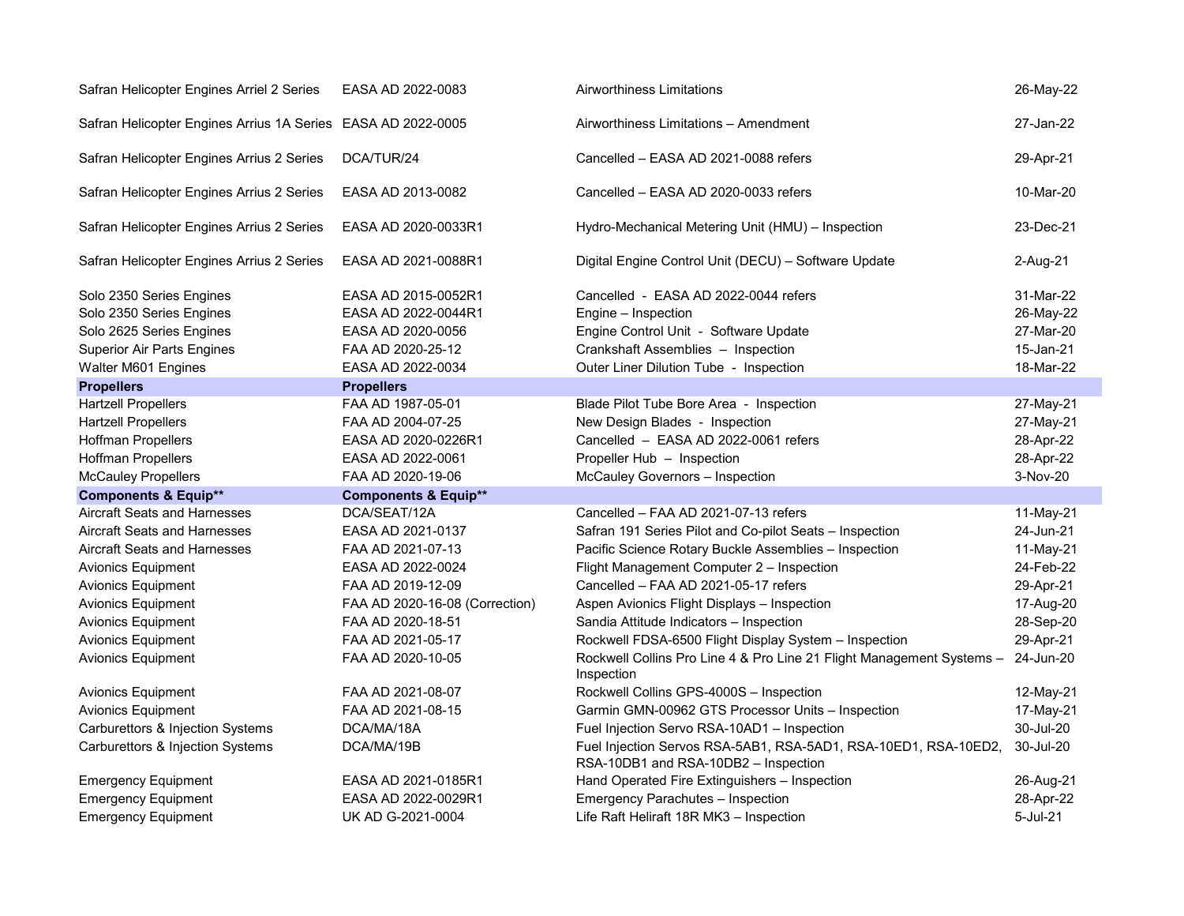| Safran Helicopter Engines Arriel 2 Series                    | EASA AD 2022-0083               | Airworthiness Limitations                                                                               | 26-May-22 |
|--------------------------------------------------------------|---------------------------------|---------------------------------------------------------------------------------------------------------|-----------|
| Safran Helicopter Engines Arrius 1A Series EASA AD 2022-0005 |                                 | Airworthiness Limitations - Amendment                                                                   | 27-Jan-22 |
| Safran Helicopter Engines Arrius 2 Series                    | DCA/TUR/24                      | Cancelled - EASA AD 2021-0088 refers                                                                    | 29-Apr-21 |
| Safran Helicopter Engines Arrius 2 Series                    | EASA AD 2013-0082               | Cancelled - EASA AD 2020-0033 refers                                                                    | 10-Mar-20 |
| Safran Helicopter Engines Arrius 2 Series                    | EASA AD 2020-0033R1             | Hydro-Mechanical Metering Unit (HMU) - Inspection                                                       | 23-Dec-21 |
| Safran Helicopter Engines Arrius 2 Series                    | EASA AD 2021-0088R1             | Digital Engine Control Unit (DECU) - Software Update                                                    | 2-Aug-21  |
| Solo 2350 Series Engines                                     | EASA AD 2015-0052R1             | Cancelled - EASA AD 2022-0044 refers                                                                    | 31-Mar-22 |
| Solo 2350 Series Engines                                     | EASA AD 2022-0044R1             | Engine - Inspection                                                                                     | 26-May-22 |
| Solo 2625 Series Engines                                     | EASA AD 2020-0056               | Engine Control Unit - Software Update                                                                   | 27-Mar-20 |
| <b>Superior Air Parts Engines</b>                            | FAA AD 2020-25-12               | Crankshaft Assemblies - Inspection                                                                      | 15-Jan-21 |
| Walter M601 Engines                                          | EASA AD 2022-0034               | Outer Liner Dilution Tube - Inspection                                                                  | 18-Mar-22 |
| <b>Propellers</b>                                            | <b>Propellers</b>               |                                                                                                         |           |
| <b>Hartzell Propellers</b>                                   | FAA AD 1987-05-01               | Blade Pilot Tube Bore Area - Inspection                                                                 | 27-May-21 |
| <b>Hartzell Propellers</b>                                   | FAA AD 2004-07-25               | New Design Blades - Inspection                                                                          | 27-May-21 |
| <b>Hoffman Propellers</b>                                    | EASA AD 2020-0226R1             | Cancelled - EASA AD 2022-0061 refers                                                                    | 28-Apr-22 |
|                                                              |                                 |                                                                                                         |           |
| Hoffman Propellers                                           | EASA AD 2022-0061               | Propeller Hub - Inspection                                                                              | 28-Apr-22 |
| <b>McCauley Propellers</b>                                   | FAA AD 2020-19-06               | McCauley Governors - Inspection                                                                         | 3-Nov-20  |
| <b>Components &amp; Equip**</b>                              | <b>Components &amp; Equip**</b> |                                                                                                         |           |
| <b>Aircraft Seats and Harnesses</b>                          | DCA/SEAT/12A                    | Cancelled - FAA AD 2021-07-13 refers                                                                    | 11-May-21 |
| Aircraft Seats and Harnesses                                 | EASA AD 2021-0137               | Safran 191 Series Pilot and Co-pilot Seats - Inspection                                                 | 24-Jun-21 |
| Aircraft Seats and Harnesses                                 | FAA AD 2021-07-13               | Pacific Science Rotary Buckle Assemblies - Inspection                                                   | 11-May-21 |
| Avionics Equipment                                           | EASA AD 2022-0024               | Flight Management Computer 2 - Inspection                                                               | 24-Feb-22 |
| Avionics Equipment                                           | FAA AD 2019-12-09               | Cancelled - FAA AD 2021-05-17 refers                                                                    | 29-Apr-21 |
| Avionics Equipment                                           | FAA AD 2020-16-08 (Correction)  | Aspen Avionics Flight Displays - Inspection                                                             | 17-Aug-20 |
| <b>Avionics Equipment</b>                                    | FAA AD 2020-18-51               | Sandia Attitude Indicators - Inspection                                                                 | 28-Sep-20 |
| <b>Avionics Equipment</b>                                    | FAA AD 2021-05-17               | Rockwell FDSA-6500 Flight Display System - Inspection                                                   | 29-Apr-21 |
| <b>Avionics Equipment</b>                                    | FAA AD 2020-10-05               | Rockwell Collins Pro Line 4 & Pro Line 21 Flight Management Systems -<br>Inspection                     | 24-Jun-20 |
| <b>Avionics Equipment</b>                                    | FAA AD 2021-08-07               | Rockwell Collins GPS-4000S - Inspection                                                                 | 12-May-21 |
| <b>Avionics Equipment</b>                                    | FAA AD 2021-08-15               | Garmin GMN-00962 GTS Processor Units - Inspection                                                       | 17-May-21 |
| Carburettors & Injection Systems                             | DCA/MA/18A                      | Fuel Injection Servo RSA-10AD1 - Inspection                                                             | 30-Jul-20 |
| Carburettors & Injection Systems                             | DCA/MA/19B                      | Fuel Injection Servos RSA-5AB1, RSA-5AD1, RSA-10ED1, RSA-10ED2,<br>RSA-10DB1 and RSA-10DB2 - Inspection | 30-Jul-20 |
| <b>Emergency Equipment</b>                                   | EASA AD 2021-0185R1             | Hand Operated Fire Extinguishers - Inspection                                                           | 26-Aug-21 |
| <b>Emergency Equipment</b>                                   | EASA AD 2022-0029R1             | Emergency Parachutes - Inspection                                                                       | 28-Apr-22 |